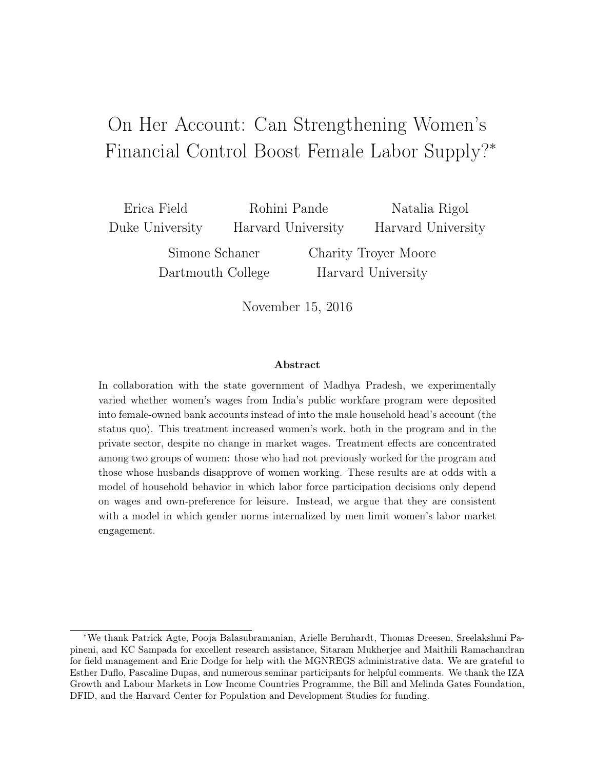# <span id="page-0-0"></span>On Her Account: Can Strengthening Women's Financial Control Boost Female Labor Supply?<sup>∗</sup>

Erica Field Duke University

Rohini Pande Harvard University

Natalia Rigol Harvard University

Simone Schaner Dartmouth College Charity Troyer Moore Harvard University

November 15, 2016

#### Abstract

In collaboration with the state government of Madhya Pradesh, we experimentally varied whether women's wages from India's public workfare program were deposited into female-owned bank accounts instead of into the male household head's account (the status quo). This treatment increased women's work, both in the program and in the private sector, despite no change in market wages. Treatment effects are concentrated among two groups of women: those who had not previously worked for the program and those whose husbands disapprove of women working. These results are at odds with a model of household behavior in which labor force participation decisions only depend on wages and own-preference for leisure. Instead, we argue that they are consistent with a model in which gender norms internalized by men limit women's labor market engagement.

<sup>∗</sup>We thank Patrick Agte, Pooja Balasubramanian, Arielle Bernhardt, Thomas Dreesen, Sreelakshmi Papineni, and KC Sampada for excellent research assistance, Sitaram Mukherjee and Maithili Ramachandran for field management and Eric Dodge for help with the MGNREGS administrative data. We are grateful to Esther Duflo, Pascaline Dupas, and numerous seminar participants for helpful comments. We thank the IZA Growth and Labour Markets in Low Income Countries Programme, the Bill and Melinda Gates Foundation, DFID, and the Harvard Center for Population and Development Studies for funding.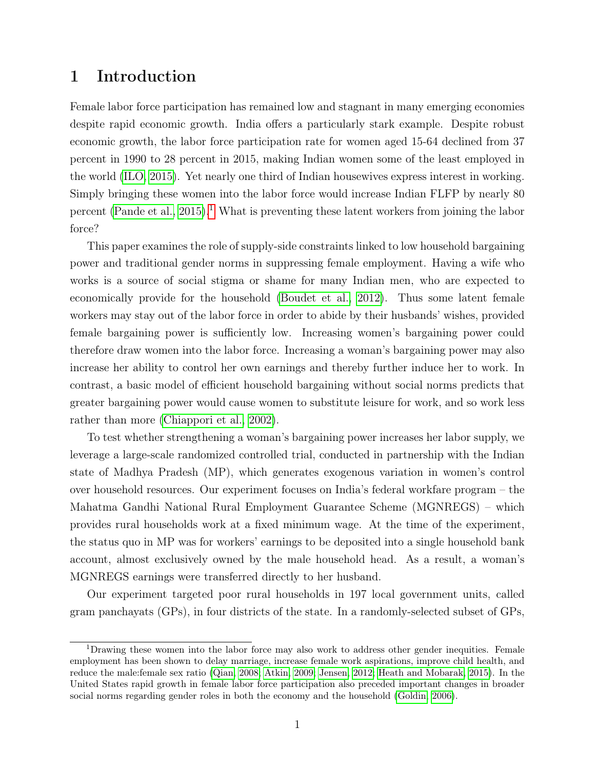# 1 Introduction

Female labor force participation has remained low and stagnant in many emerging economies despite rapid economic growth. India offers a particularly stark example. Despite robust economic growth, the labor force participation rate for women aged 15-64 declined from 37 percent in 1990 to 28 percent in 2015, making Indian women some of the least employed in the world [\(ILO, 2015\)](#page-33-0). Yet nearly one third of Indian housewives express interest in working. Simply bringing these women into the labor force would increase Indian FLFP by nearly 80 percent [\(Pande et al., 2015\)](#page-33-1).<sup>[1](#page-0-0)</sup> What is preventing these latent workers from joining the labor force?

This paper examines the role of supply-side constraints linked to low household bargaining power and traditional gender norms in suppressing female employment. Having a wife who works is a source of social stigma or shame for many Indian men, who are expected to economically provide for the household [\(Boudet et al., 2012\)](#page-32-0). Thus some latent female workers may stay out of the labor force in order to abide by their husbands' wishes, provided female bargaining power is sufficiently low. Increasing women's bargaining power could therefore draw women into the labor force. Increasing a woman's bargaining power may also increase her ability to control her own earnings and thereby further induce her to work. In contrast, a basic model of efficient household bargaining without social norms predicts that greater bargaining power would cause women to substitute leisure for work, and so work less rather than more [\(Chiappori et al., 2002\)](#page-32-1).

To test whether strengthening a woman's bargaining power increases her labor supply, we leverage a large-scale randomized controlled trial, conducted in partnership with the Indian state of Madhya Pradesh (MP), which generates exogenous variation in women's control over household resources. Our experiment focuses on India's federal workfare program – the Mahatma Gandhi National Rural Employment Guarantee Scheme (MGNREGS) – which provides rural households work at a fixed minimum wage. At the time of the experiment, the status quo in MP was for workers' earnings to be deposited into a single household bank account, almost exclusively owned by the male household head. As a result, a woman's MGNREGS earnings were transferred directly to her husband.

Our experiment targeted poor rural households in 197 local government units, called gram panchayats (GPs), in four districts of the state. In a randomly-selected subset of GPs,

<sup>1</sup>Drawing these women into the labor force may also work to address other gender inequities. Female employment has been shown to delay marriage, increase female work aspirations, improve child health, and reduce the male:female sex ratio [\(Qian, 2008;](#page-33-2) [Atkin, 2009;](#page-31-0) [Jensen, 2012;](#page-33-3) [Heath and Mobarak, 2015\)](#page-33-4). In the United States rapid growth in female labor force participation also preceded important changes in broader social norms regarding gender roles in both the economy and the household [\(Goldin, 2006\)](#page-32-2).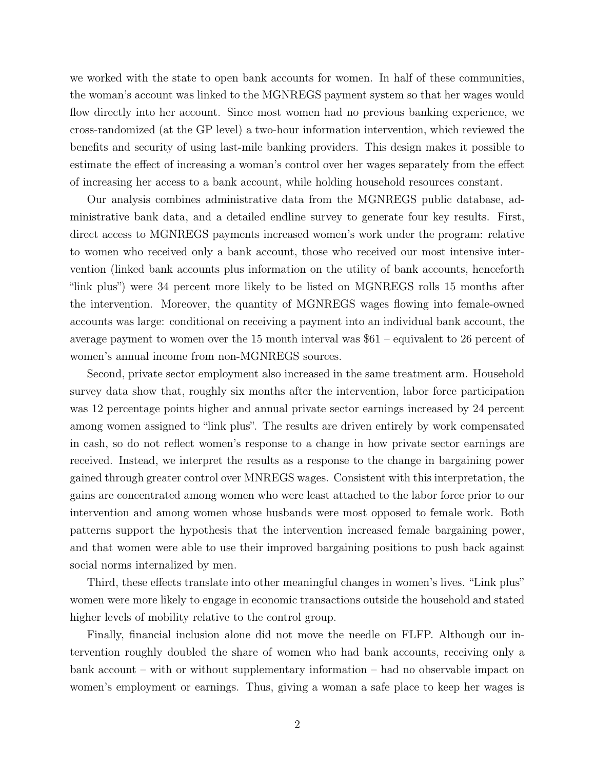we worked with the state to open bank accounts for women. In half of these communities, the woman's account was linked to the MGNREGS payment system so that her wages would flow directly into her account. Since most women had no previous banking experience, we cross-randomized (at the GP level) a two-hour information intervention, which reviewed the benefits and security of using last-mile banking providers. This design makes it possible to estimate the effect of increasing a woman's control over her wages separately from the effect of increasing her access to a bank account, while holding household resources constant.

Our analysis combines administrative data from the MGNREGS public database, administrative bank data, and a detailed endline survey to generate four key results. First, direct access to MGNREGS payments increased women's work under the program: relative to women who received only a bank account, those who received our most intensive intervention (linked bank accounts plus information on the utility of bank accounts, henceforth "link plus") were 34 percent more likely to be listed on MGNREGS rolls 15 months after the intervention. Moreover, the quantity of MGNREGS wages flowing into female-owned accounts was large: conditional on receiving a payment into an individual bank account, the average payment to women over the 15 month interval was \$61 – equivalent to 26 percent of women's annual income from non-MGNREGS sources.

Second, private sector employment also increased in the same treatment arm. Household survey data show that, roughly six months after the intervention, labor force participation was 12 percentage points higher and annual private sector earnings increased by 24 percent among women assigned to "link plus". The results are driven entirely by work compensated in cash, so do not reflect women's response to a change in how private sector earnings are received. Instead, we interpret the results as a response to the change in bargaining power gained through greater control over MNREGS wages. Consistent with this interpretation, the gains are concentrated among women who were least attached to the labor force prior to our intervention and among women whose husbands were most opposed to female work. Both patterns support the hypothesis that the intervention increased female bargaining power, and that women were able to use their improved bargaining positions to push back against social norms internalized by men.

Third, these effects translate into other meaningful changes in women's lives. "Link plus" women were more likely to engage in economic transactions outside the household and stated higher levels of mobility relative to the control group.

Finally, financial inclusion alone did not move the needle on FLFP. Although our intervention roughly doubled the share of women who had bank accounts, receiving only a bank account – with or without supplementary information – had no observable impact on women's employment or earnings. Thus, giving a woman a safe place to keep her wages is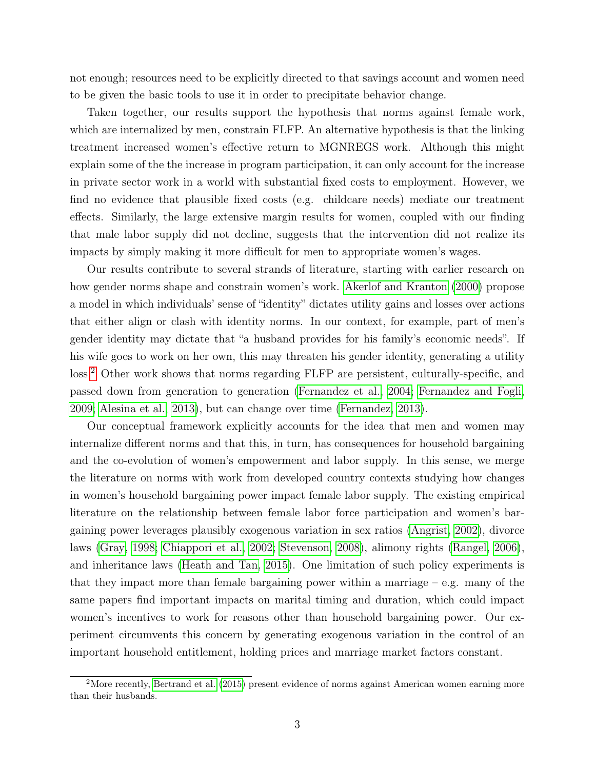not enough; resources need to be explicitly directed to that savings account and women need to be given the basic tools to use it in order to precipitate behavior change.

Taken together, our results support the hypothesis that norms against female work, which are internalized by men, constrain FLFP. An alternative hypothesis is that the linking treatment increased women's effective return to MGNREGS work. Although this might explain some of the the increase in program participation, it can only account for the increase in private sector work in a world with substantial fixed costs to employment. However, we find no evidence that plausible fixed costs (e.g. childcare needs) mediate our treatment effects. Similarly, the large extensive margin results for women, coupled with our finding that male labor supply did not decline, suggests that the intervention did not realize its impacts by simply making it more difficult for men to appropriate women's wages.

Our results contribute to several strands of literature, starting with earlier research on how gender norms shape and constrain women's work. [Akerlof and Kranton](#page-31-1) [\(2000\)](#page-31-1) propose a model in which individuals' sense of "identity" dictates utility gains and losses over actions that either align or clash with identity norms. In our context, for example, part of men's gender identity may dictate that "a husband provides for his family's economic needs". If his wife goes to work on her own, this may threaten his gender identity, generating a utility loss.<sup>[2](#page-0-0)</sup> Other work shows that norms regarding FLFP are persistent, culturally-specific, and passed down from generation to generation [\(Fernandez et al., 2004;](#page-32-3) [Fernandez and Fogli,](#page-32-4) [2009;](#page-32-4) [Alesina et al., 2013\)](#page-31-2), but can change over time [\(Fernandez, 2013\)](#page-32-5).

Our conceptual framework explicitly accounts for the idea that men and women may internalize different norms and that this, in turn, has consequences for household bargaining and the co-evolution of women's empowerment and labor supply. In this sense, we merge the literature on norms with work from developed country contexts studying how changes in women's household bargaining power impact female labor supply. The existing empirical literature on the relationship between female labor force participation and women's bargaining power leverages plausibly exogenous variation in sex ratios [\(Angrist, 2002\)](#page-31-3), divorce laws [\(Gray, 1998;](#page-32-6) [Chiappori et al., 2002;](#page-32-1) [Stevenson, 2008\)](#page-34-0), alimony rights [\(Rangel, 2006\)](#page-33-5), and inheritance laws [\(Heath and Tan, 2015\)](#page-33-6). One limitation of such policy experiments is that they impact more than female bargaining power within a marriage  $-$  e.g. many of the same papers find important impacts on marital timing and duration, which could impact women's incentives to work for reasons other than household bargaining power. Our experiment circumvents this concern by generating exogenous variation in the control of an important household entitlement, holding prices and marriage market factors constant.

<sup>&</sup>lt;sup>2</sup>More recently, [Bertrand et al.](#page-31-4) [\(2015\)](#page-31-4) present evidence of norms against American women earning more than their husbands.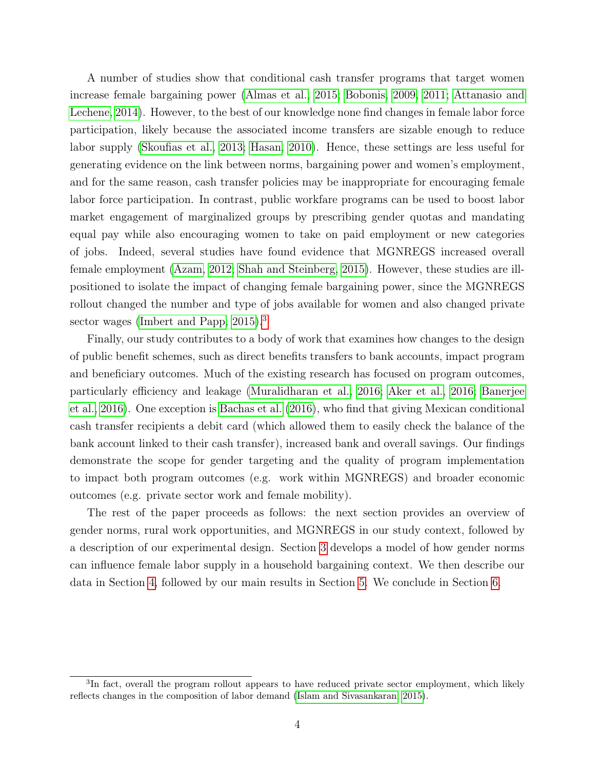A number of studies show that conditional cash transfer programs that target women increase female bargaining power [\(Almas et al., 2015;](#page-31-5) [Bobonis, 2009,](#page-32-7) [2011;](#page-32-8) [Attanasio and](#page-31-6) [Lechene, 2014\)](#page-31-6). However, to the best of our knowledge none find changes in female labor force participation, likely because the associated income transfers are sizable enough to reduce labor supply [\(Skoufias et al., 2013;](#page-34-1) [Hasan, 2010\)](#page-32-9). Hence, these settings are less useful for generating evidence on the link between norms, bargaining power and women's employment, and for the same reason, cash transfer policies may be inappropriate for encouraging female labor force participation. In contrast, public workfare programs can be used to boost labor market engagement of marginalized groups by prescribing gender quotas and mandating equal pay while also encouraging women to take on paid employment or new categories of jobs. Indeed, several studies have found evidence that MGNREGS increased overall female employment [\(Azam, 2012;](#page-31-7) [Shah and Steinberg, 2015\)](#page-34-2). However, these studies are illpositioned to isolate the impact of changing female bargaining power, since the MGNREGS rollout changed the number and type of jobs available for women and also changed private sector wages [\(Imbert and Papp, 2015\)](#page-33-7).<sup>[3](#page-0-0)</sup>

Finally, our study contributes to a body of work that examines how changes to the design of public benefit schemes, such as direct benefits transfers to bank accounts, impact program and beneficiary outcomes. Much of the existing research has focused on program outcomes, particularly efficiency and leakage [\(Muralidharan et al., 2016;](#page-33-8) [Aker et al., 2016;](#page-31-8) [Banerjee](#page-31-9) [et al., 2016\)](#page-31-9). One exception is [Bachas et al.](#page-31-10) [\(2016\)](#page-31-10), who find that giving Mexican conditional cash transfer recipients a debit card (which allowed them to easily check the balance of the bank account linked to their cash transfer), increased bank and overall savings. Our findings demonstrate the scope for gender targeting and the quality of program implementation to impact both program outcomes (e.g. work within MGNREGS) and broader economic outcomes (e.g. private sector work and female mobility).

The rest of the paper proceeds as follows: the next section provides an overview of gender norms, rural work opportunities, and MGNREGS in our study context, followed by a description of our experimental design. Section [3](#page-10-0) develops a model of how gender norms can influence female labor supply in a household bargaining context. We then describe our data in Section [4,](#page-14-0) followed by our main results in Section [5.](#page-16-0) We conclude in Section [6.](#page-28-0)

<sup>&</sup>lt;sup>3</sup>In fact, overall the program rollout appears to have reduced private sector employment, which likely reflects changes in the composition of labor demand [\(Islam and Sivasankaran, 2015\)](#page-33-9).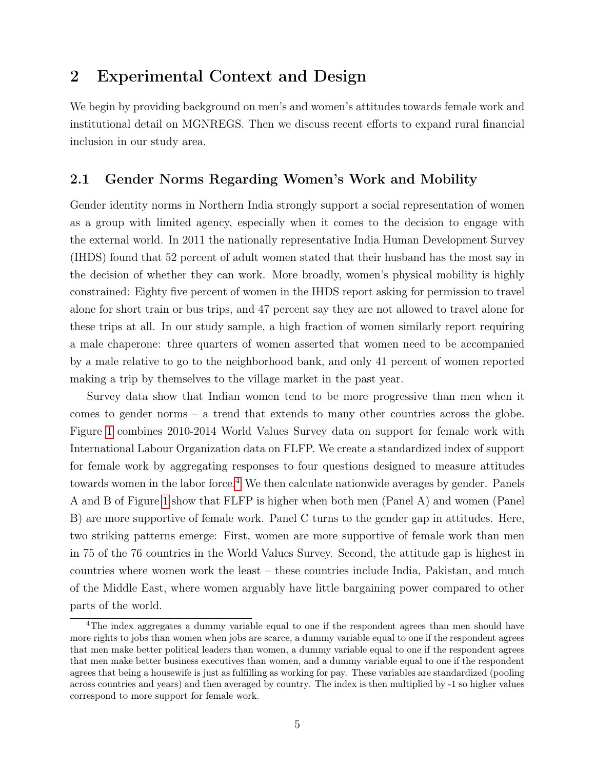### 2 Experimental Context and Design

We begin by providing background on men's and women's attitudes towards female work and institutional detail on MGNREGS. Then we discuss recent efforts to expand rural financial inclusion in our study area.

### 2.1 Gender Norms Regarding Women's Work and Mobility

Gender identity norms in Northern India strongly support a social representation of women as a group with limited agency, especially when it comes to the decision to engage with the external world. In 2011 the nationally representative India Human Development Survey (IHDS) found that 52 percent of adult women stated that their husband has the most say in the decision of whether they can work. More broadly, women's physical mobility is highly constrained: Eighty five percent of women in the IHDS report asking for permission to travel alone for short train or bus trips, and 47 percent say they are not allowed to travel alone for these trips at all. In our study sample, a high fraction of women similarly report requiring a male chaperone: three quarters of women asserted that women need to be accompanied by a male relative to go to the neighborhood bank, and only 41 percent of women reported making a trip by themselves to the village market in the past year.

Survey data show that Indian women tend to be more progressive than men when it comes to gender norms – a trend that extends to many other countries across the globe. Figure [1](#page-43-0) combines 2010-2014 World Values Survey data on support for female work with International Labour Organization data on FLFP. We create a standardized index of support for female work by aggregating responses to four questions designed to measure attitudes towards women in the labor force.<sup>[4](#page-0-0)</sup> We then calculate nationwide averages by gender. Panels A and B of Figure [1](#page-43-0) show that FLFP is higher when both men (Panel A) and women (Panel B) are more supportive of female work. Panel C turns to the gender gap in attitudes. Here, two striking patterns emerge: First, women are more supportive of female work than men in 75 of the 76 countries in the World Values Survey. Second, the attitude gap is highest in countries where women work the least – these countries include India, Pakistan, and much of the Middle East, where women arguably have little bargaining power compared to other parts of the world.

<sup>&</sup>lt;sup>4</sup>The index aggregates a dummy variable equal to one if the respondent agrees than men should have more rights to jobs than women when jobs are scarce, a dummy variable equal to one if the respondent agrees that men make better political leaders than women, a dummy variable equal to one if the respondent agrees that men make better business executives than women, and a dummy variable equal to one if the respondent agrees that being a housewife is just as fulfilling as working for pay. These variables are standardized (pooling across countries and years) and then averaged by country. The index is then multiplied by -1 so higher values correspond to more support for female work.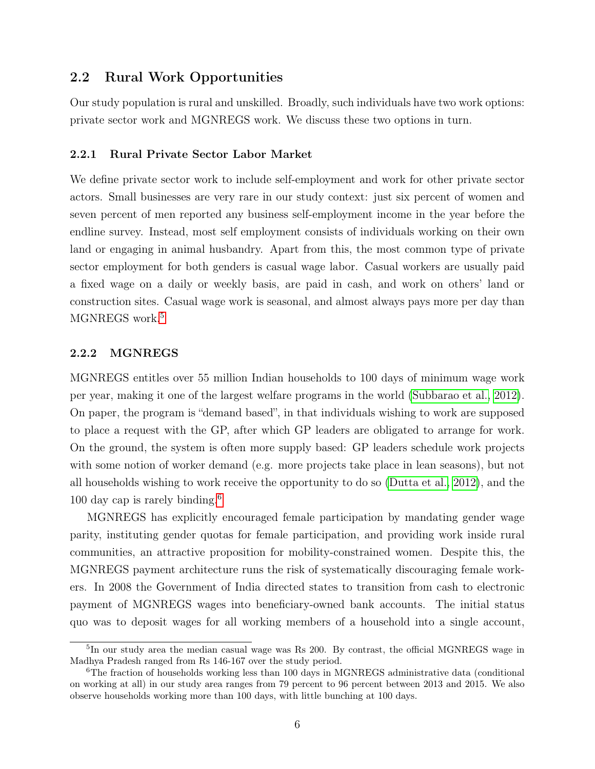### 2.2 Rural Work Opportunities

Our study population is rural and unskilled. Broadly, such individuals have two work options: private sector work and MGNREGS work. We discuss these two options in turn.

#### 2.2.1 Rural Private Sector Labor Market

We define private sector work to include self-employment and work for other private sector actors. Small businesses are very rare in our study context: just six percent of women and seven percent of men reported any business self-employment income in the year before the endline survey. Instead, most self employment consists of individuals working on their own land or engaging in animal husbandry. Apart from this, the most common type of private sector employment for both genders is casual wage labor. Casual workers are usually paid a fixed wage on a daily or weekly basis, are paid in cash, and work on others' land or construction sites. Casual wage work is seasonal, and almost always pays more per day than MGNREGS work.<sup>[5](#page-0-0)</sup>

#### 2.2.2 MGNREGS

MGNREGS entitles over 55 million Indian households to 100 days of minimum wage work per year, making it one of the largest welfare programs in the world [\(Subbarao et al., 2012\)](#page-34-3). On paper, the program is "demand based", in that individuals wishing to work are supposed to place a request with the GP, after which GP leaders are obligated to arrange for work. On the ground, the system is often more supply based: GP leaders schedule work projects with some notion of worker demand (e.g. more projects take place in lean seasons), but not all households wishing to work receive the opportunity to do so [\(Dutta et al., 2012\)](#page-32-10), and the 100 day cap is rarely binding.[6](#page-0-0)

MGNREGS has explicitly encouraged female participation by mandating gender wage parity, instituting gender quotas for female participation, and providing work inside rural communities, an attractive proposition for mobility-constrained women. Despite this, the MGNREGS payment architecture runs the risk of systematically discouraging female workers. In 2008 the Government of India directed states to transition from cash to electronic payment of MGNREGS wages into beneficiary-owned bank accounts. The initial status quo was to deposit wages for all working members of a household into a single account,

<sup>&</sup>lt;sup>5</sup>In our study area the median casual wage was Rs 200. By contrast, the official MGNREGS wage in Madhya Pradesh ranged from Rs 146-167 over the study period.

<sup>&</sup>lt;sup>6</sup>The fraction of households working less than 100 days in MGNREGS administrative data (conditional on working at all) in our study area ranges from 79 percent to 96 percent between 2013 and 2015. We also observe households working more than 100 days, with little bunching at 100 days.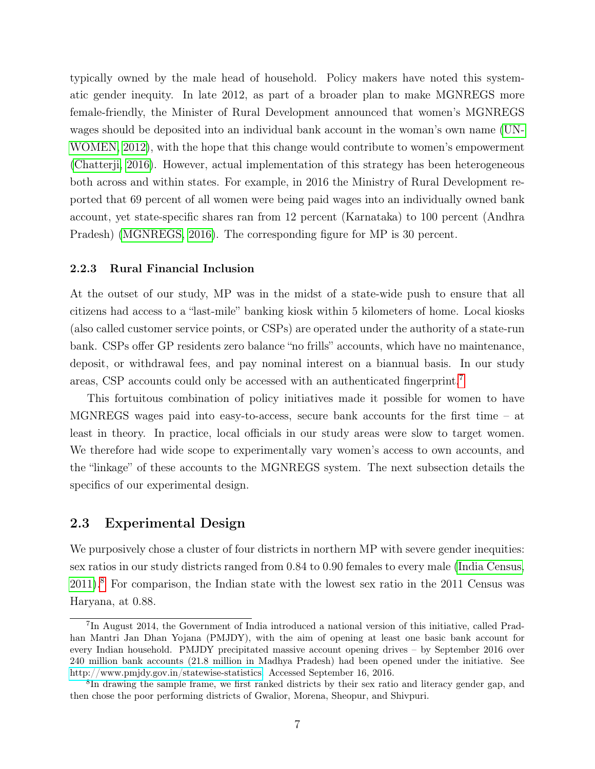typically owned by the male head of household. Policy makers have noted this systematic gender inequity. In late 2012, as part of a broader plan to make MGNREGS more female-friendly, the Minister of Rural Development announced that women's MGNREGS wages should be deposited into an individual bank account in the woman's own name [\(UN-](#page-34-4)[WOMEN, 2012\)](#page-34-4), with the hope that this change would contribute to women's empowerment [\(Chatterji, 2016\)](#page-32-11). However, actual implementation of this strategy has been heterogeneous both across and within states. For example, in 2016 the Ministry of Rural Development reported that 69 percent of all women were being paid wages into an individually owned bank account, yet state-specific shares ran from 12 percent (Karnataka) to 100 percent (Andhra Pradesh) [\(MGNREGS, 2016\)](#page-33-10). The corresponding figure for MP is 30 percent.

#### 2.2.3 Rural Financial Inclusion

At the outset of our study, MP was in the midst of a state-wide push to ensure that all citizens had access to a "last-mile" banking kiosk within 5 kilometers of home. Local kiosks (also called customer service points, or CSPs) are operated under the authority of a state-run bank. CSPs offer GP residents zero balance "no frills" accounts, which have no maintenance, deposit, or withdrawal fees, and pay nominal interest on a biannual basis. In our study areas, CSP accounts could only be accessed with an authenticated fingerprint.[7](#page-0-0)

This fortuitous combination of policy initiatives made it possible for women to have MGNREGS wages paid into easy-to-access, secure bank accounts for the first time – at least in theory. In practice, local officials in our study areas were slow to target women. We therefore had wide scope to experimentally vary women's access to own accounts, and the "linkage" of these accounts to the MGNREGS system. The next subsection details the specifics of our experimental design.

#### 2.3 Experimental Design

We purposively chose a cluster of four districts in northern MP with severe gender inequities: sex ratios in our study districts ranged from 0.84 to 0.90 females to every male [\(India Census,](#page-33-11) [2011\)](#page-33-11).[8](#page-0-0) For comparison, the Indian state with the lowest sex ratio in the 2011 Census was Haryana, at 0.88.

<sup>&</sup>lt;sup>7</sup>In August 2014, the Government of India introduced a national version of this initiative, called Pradhan Mantri Jan Dhan Yojana (PMJDY), with the aim of opening at least one basic bank account for every Indian household. PMJDY precipitated massive account opening drives – by September 2016 over 240 million bank accounts (21.8 million in Madhya Pradesh) had been opened under the initiative. See [http://www.pmjdy.gov.in/statewise-statistics.](http://www.pmjdy.gov.in/statewise-statistics) Accessed September 16, 2016.

<sup>&</sup>lt;sup>8</sup>In drawing the sample frame, we first ranked districts by their sex ratio and literacy gender gap, and then chose the poor performing districts of Gwalior, Morena, Sheopur, and Shivpuri.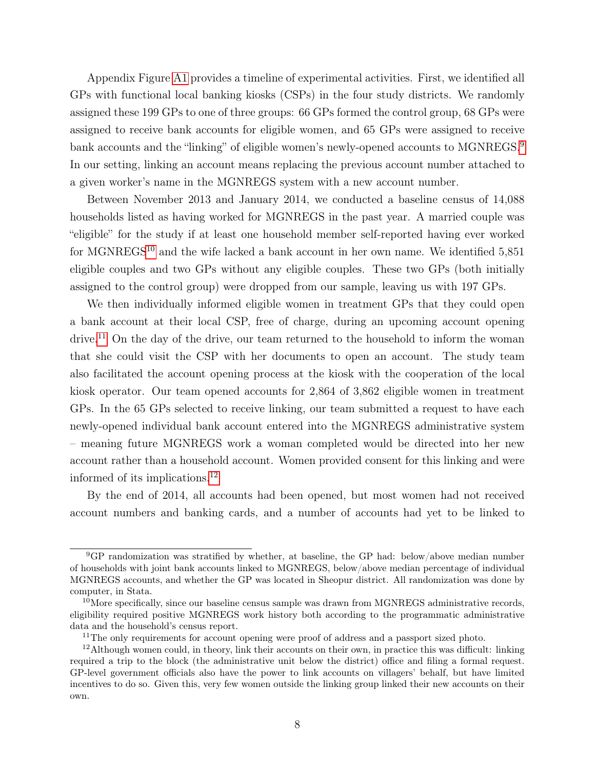Appendix Figure [A1](#page-59-0) provides a timeline of experimental activities. First, we identified all GPs with functional local banking kiosks (CSPs) in the four study districts. We randomly assigned these 199 GPs to one of three groups: 66 GPs formed the control group, 68 GPs were assigned to receive bank accounts for eligible women, and 65 GPs were assigned to receive bank accounts and the "linking" of eligible women's newly-opened accounts to MGNREGS.<sup>[9](#page-0-0)</sup> In our setting, linking an account means replacing the previous account number attached to a given worker's name in the MGNREGS system with a new account number.

Between November 2013 and January 2014, we conducted a baseline census of 14,088 households listed as having worked for MGNREGS in the past year. A married couple was "eligible" for the study if at least one household member self-reported having ever worked for MGNREGS<sup>[10](#page-0-0)</sup> and the wife lacked a bank account in her own name. We identified 5,851 eligible couples and two GPs without any eligible couples. These two GPs (both initially assigned to the control group) were dropped from our sample, leaving us with 197 GPs.

We then individually informed eligible women in treatment GPs that they could open a bank account at their local CSP, free of charge, during an upcoming account opening drive.<sup>[11](#page-0-0)</sup> On the day of the drive, our team returned to the household to inform the woman that she could visit the CSP with her documents to open an account. The study team also facilitated the account opening process at the kiosk with the cooperation of the local kiosk operator. Our team opened accounts for 2,864 of 3,862 eligible women in treatment GPs. In the 65 GPs selected to receive linking, our team submitted a request to have each newly-opened individual bank account entered into the MGNREGS administrative system – meaning future MGNREGS work a woman completed would be directed into her new account rather than a household account. Women provided consent for this linking and were informed of its implications.[12](#page-0-0)

By the end of 2014, all accounts had been opened, but most women had not received account numbers and banking cards, and a number of accounts had yet to be linked to

<sup>9</sup>GP randomization was stratified by whether, at baseline, the GP had: below/above median number of households with joint bank accounts linked to MGNREGS, below/above median percentage of individual MGNREGS accounts, and whether the GP was located in Sheopur district. All randomization was done by computer, in Stata.

<sup>&</sup>lt;sup>10</sup>More specifically, since our baseline census sample was drawn from MGNREGS administrative records, eligibility required positive MGNREGS work history both according to the programmatic administrative data and the household's census report.

<sup>&</sup>lt;sup>11</sup>The only requirements for account opening were proof of address and a passport sized photo.

<sup>12</sup>Although women could, in theory, link their accounts on their own, in practice this was difficult: linking required a trip to the block (the administrative unit below the district) office and filing a formal request. GP-level government officials also have the power to link accounts on villagers' behalf, but have limited incentives to do so. Given this, very few women outside the linking group linked their new accounts on their own.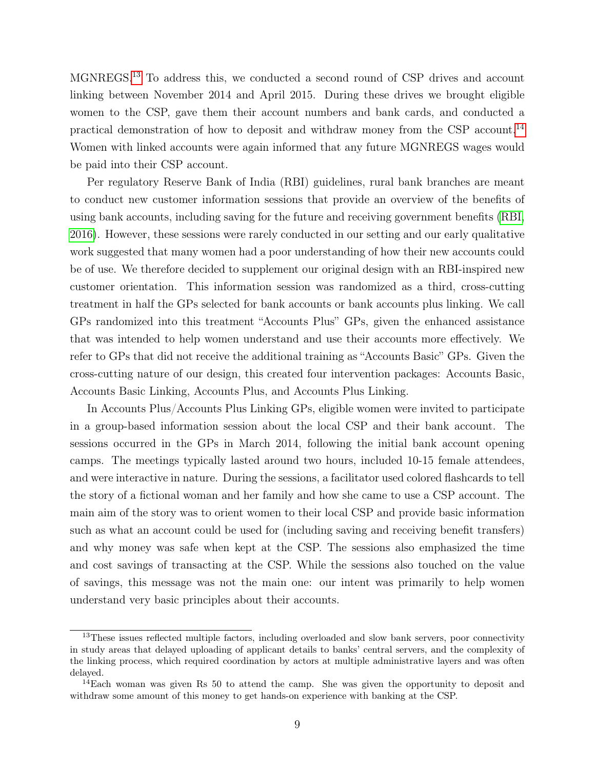MGNREGS.[13](#page-0-0) To address this, we conducted a second round of CSP drives and account linking between November 2014 and April 2015. During these drives we brought eligible women to the CSP, gave them their account numbers and bank cards, and conducted a practical demonstration of how to deposit and withdraw money from the CSP account.[14](#page-0-0) Women with linked accounts were again informed that any future MGNREGS wages would be paid into their CSP account.

Per regulatory Reserve Bank of India (RBI) guidelines, rural bank branches are meant to conduct new customer information sessions that provide an overview of the benefits of using bank accounts, including saving for the future and receiving government benefits [\(RBI,](#page-33-12) [2016\)](#page-33-12). However, these sessions were rarely conducted in our setting and our early qualitative work suggested that many women had a poor understanding of how their new accounts could be of use. We therefore decided to supplement our original design with an RBI-inspired new customer orientation. This information session was randomized as a third, cross-cutting treatment in half the GPs selected for bank accounts or bank accounts plus linking. We call GPs randomized into this treatment "Accounts Plus" GPs, given the enhanced assistance that was intended to help women understand and use their accounts more effectively. We refer to GPs that did not receive the additional training as "Accounts Basic" GPs. Given the cross-cutting nature of our design, this created four intervention packages: Accounts Basic, Accounts Basic Linking, Accounts Plus, and Accounts Plus Linking.

In Accounts Plus/Accounts Plus Linking GPs, eligible women were invited to participate in a group-based information session about the local CSP and their bank account. The sessions occurred in the GPs in March 2014, following the initial bank account opening camps. The meetings typically lasted around two hours, included 10-15 female attendees, and were interactive in nature. During the sessions, a facilitator used colored flashcards to tell the story of a fictional woman and her family and how she came to use a CSP account. The main aim of the story was to orient women to their local CSP and provide basic information such as what an account could be used for (including saving and receiving benefit transfers) and why money was safe when kept at the CSP. The sessions also emphasized the time and cost savings of transacting at the CSP. While the sessions also touched on the value of savings, this message was not the main one: our intent was primarily to help women understand very basic principles about their accounts.

<sup>&</sup>lt;sup>13</sup>These issues reflected multiple factors, including overloaded and slow bank servers, poor connectivity in study areas that delayed uploading of applicant details to banks' central servers, and the complexity of the linking process, which required coordination by actors at multiple administrative layers and was often delayed.

 $14$ Each woman was given Rs 50 to attend the camp. She was given the opportunity to deposit and withdraw some amount of this money to get hands-on experience with banking at the CSP.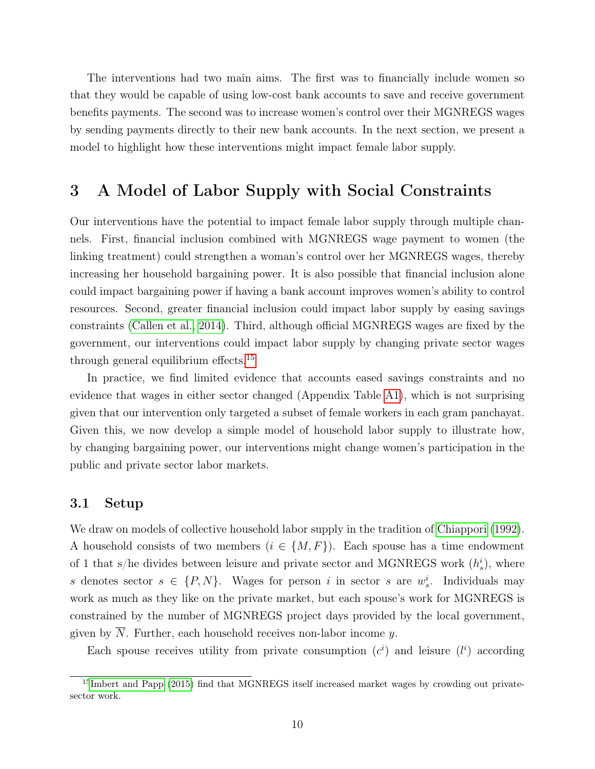The interventions had two main aims. The first was to financially include women so that they would be capable of using low-cost bank accounts to save and receive government benefits payments. The second was to increase women's control over their MGNREGS wages by sending payments directly to their new bank accounts. In the next section, we present a model to highlight how these interventions might impact female labor supply.

### <span id="page-10-0"></span>3 A Model of Labor Supply with Social Constraints

Our interventions have the potential to impact female labor supply through multiple channels. First, financial inclusion combined with MGNREGS wage payment to women (the linking treatment) could strengthen a woman's control over her MGNREGS wages, thereby increasing her household bargaining power. It is also possible that financial inclusion alone could impact bargaining power if having a bank account improves women's ability to control resources. Second, greater financial inclusion could impact labor supply by easing savings constraints [\(Callen et al., 2014\)](#page-32-12). Third, although official MGNREGS wages are fixed by the government, our interventions could impact labor supply by changing private sector wages through general equilibrium effects.<sup>[15](#page-0-0)</sup>

In practice, we find limited evidence that accounts eased savings constraints and no evidence that wages in either sector changed (Appendix Table [A1\)](#page-49-0), which is not surprising given that our intervention only targeted a subset of female workers in each gram panchayat. Given this, we now develop a simple model of household labor supply to illustrate how, by changing bargaining power, our interventions might change women's participation in the public and private sector labor markets.

#### 3.1 Setup

We draw on models of collective household labor supply in the tradition of [Chiappori](#page-32-13) [\(1992\)](#page-32-13). A household consists of two members  $(i \in \{M, F\})$ . Each spouse has a time endowment of 1 that s/he divides between leisure and private sector and MGNREGS work  $(h_s^i)$ , where s denotes sector  $s \in \{P, N\}$ . Wages for person i in sector s are  $w_s^i$ . Individuals may work as much as they like on the private market, but each spouse's work for MGNREGS is constrained by the number of MGNREGS project days provided by the local government, given by  $N$ . Further, each household receives non-labor income  $y$ .

Each spouse receives utility from private consumption  $(c<sup>i</sup>)$  and leisure  $(l<sup>i</sup>)$  according

<sup>&</sup>lt;sup>15</sup>[Imbert and Papp](#page-33-7) [\(2015\)](#page-33-7) find that MGNREGS itself increased market wages by crowding out privatesector work.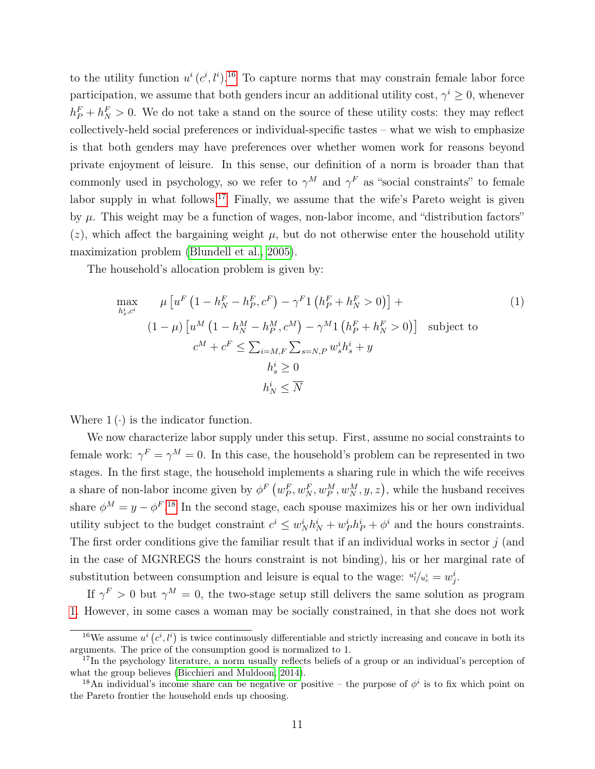to the utility function  $u^i(c^i, l^i)$ .<sup>[16](#page-0-0)</sup> To capture norms that may constrain female labor force participation, we assume that both genders incur an additional utility cost,  $\gamma^i \geq 0$ , whenever  $h_P^F + h_N^F > 0$ . We do not take a stand on the source of these utility costs: they may reflect collectively-held social preferences or individual-specific tastes – what we wish to emphasize is that both genders may have preferences over whether women work for reasons beyond private enjoyment of leisure. In this sense, our definition of a norm is broader than that commonly used in psychology, so we refer to  $\gamma^M$  and  $\gamma^F$  as "social constraints" to female labor supply in what follows.<sup>[17](#page-0-0)</sup> Finally, we assume that the wife's Pareto weight is given by  $\mu$ . This weight may be a function of wages, non-labor income, and "distribution factors"  $(z)$ , which affect the bargaining weight  $\mu$ , but do not otherwise enter the household utility maximization problem [\(Blundell et al., 2005\)](#page-32-14).

The household's allocation problem is given by:

<span id="page-11-0"></span>
$$
\max_{h_s^i, c^i} \mu \left[ u^F \left( 1 - h_N^F - h_P^F, c^F \right) - \gamma^F 1 \left( h_P^F + h_N^F > 0 \right) \right] +
$$
\n
$$
(1 - \mu) \left[ u^M \left( 1 - h_N^M - h_P^M, c^M \right) - \gamma^M 1 \left( h_P^F + h_N^F > 0 \right) \right] \text{ subject to}
$$
\n
$$
c^M + c^F \le \sum_{i=M, F} \sum_{s=N, P} w_s^i h_s^i + y
$$
\n
$$
h_s^i \ge 0
$$
\n
$$
h_N^i \le \overline{N}
$$
\n(1)

Where  $1(\cdot)$  is the indicator function.

We now characterize labor supply under this setup. First, assume no social constraints to female work:  $\gamma^F = \gamma^M = 0$ . In this case, the household's problem can be represented in two stages. In the first stage, the household implements a sharing rule in which the wife receives a share of non-labor income given by  $\phi^F(w_P^F, w_N^F, w_N^M, w_N^M, y, z)$ , while the husband receives share  $\phi^M = y - \phi^F$ .<sup>[18](#page-0-0)</sup> In the second stage, each spouse maximizes his or her own individual utility subject to the budget constraint  $c^i \leq w_N^i h_N^i + w_P^i h_P^i + \phi^i$  and the hours constraints. The first order conditions give the familiar result that if an individual works in sector  $j$  (and in the case of MGNREGS the hours constraint is not binding), his or her marginal rate of substitution between consumption and leisure is equal to the wage:  $u_i^i/u_c^i = w_j^i$ .

If  $\gamma^F > 0$  but  $\gamma^M = 0$ , the two-stage setup still delivers the same solution as program [1.](#page-11-0) However, in some cases a woman may be socially constrained, in that she does not work

<sup>&</sup>lt;sup>16</sup>We assume  $u^i(c^i, l^i)$  is twice continuously differentiable and strictly increasing and concave in both its arguments. The price of the consumption good is normalized to 1.

<sup>&</sup>lt;sup>17</sup>In the psychology literature, a norm usually reflects beliefs of a group or an individual's perception of what the group believes [\(Bicchieri and Muldoon, 2014\)](#page-31-11).

<sup>&</sup>lt;sup>18</sup>An individual's income share can be negative or positive – the purpose of  $\phi^i$  is to fix which point on the Pareto frontier the household ends up choosing.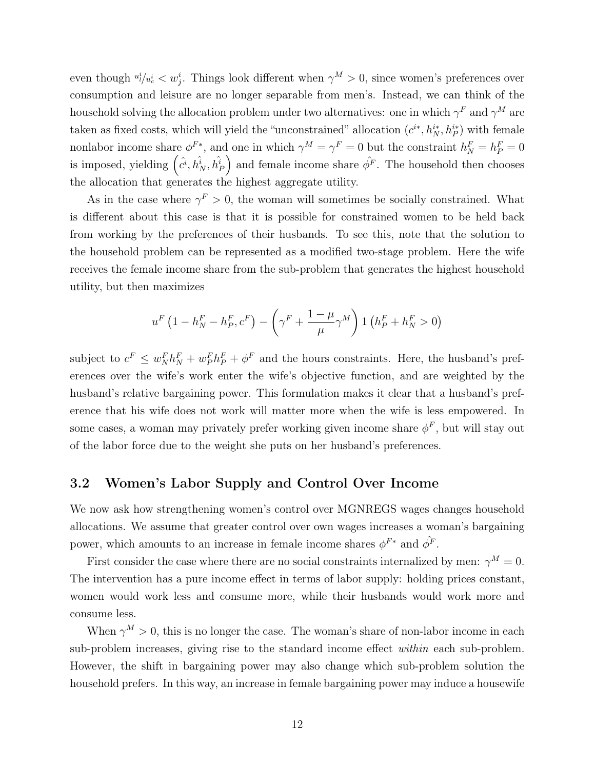even though  $u_i^i/u_c^i < w_j^i$ . Things look different when  $\gamma^M > 0$ , since women's preferences over consumption and leisure are no longer separable from men's. Instead, we can think of the household solving the allocation problem under two alternatives: one in which  $\gamma^F$  and  $\gamma^M$  are taken as fixed costs, which will yield the "unconstrained" allocation  $(c^{i*}, h_N^{i*}, h_P^{i*})$  with female nonlabor income share  $\phi^{F*}$ , and one in which  $\gamma^M = \gamma^F = 0$  but the constraint  $h_N^F = h_P^F = 0$ is imposed, yielding  $(\hat{c}^i, h_N^{\hat{i}}, h_P^{\hat{i}})$  and female income share  $\hat{\phi}^F$ . The household then chooses the allocation that generates the highest aggregate utility.

As in the case where  $\gamma^F > 0$ , the woman will sometimes be socially constrained. What is different about this case is that it is possible for constrained women to be held back from working by the preferences of their husbands. To see this, note that the solution to the household problem can be represented as a modified two-stage problem. Here the wife receives the female income share from the sub-problem that generates the highest household utility, but then maximizes

$$
u^{F}\left(1-h_{N}^{F}-h_{P}^{F},c^{F}\right)-\left(\gamma^{F}+\frac{1-\mu}{\mu}\gamma^{M}\right)1\left(h_{P}^{F}+h_{N}^{F}>0\right)
$$

subject to  $c^F \leq w_N^F h_N^F + w_P^F h_P^F + \phi^F$  and the hours constraints. Here, the husband's preferences over the wife's work enter the wife's objective function, and are weighted by the husband's relative bargaining power. This formulation makes it clear that a husband's preference that his wife does not work will matter more when the wife is less empowered. In some cases, a woman may privately prefer working given income share  $\phi^F$ , but will stay out of the labor force due to the weight she puts on her husband's preferences.

#### 3.2 Women's Labor Supply and Control Over Income

We now ask how strengthening women's control over MGNREGS wages changes household allocations. We assume that greater control over own wages increases a woman's bargaining power, which amounts to an increase in female income shares  $\phi^{F*}$  and  $\hat{\phi^F}$ .

First consider the case where there are no social constraints internalized by men:  $\gamma^M = 0$ . The intervention has a pure income effect in terms of labor supply: holding prices constant, women would work less and consume more, while their husbands would work more and consume less.

When  $\gamma^M > 0$ , this is no longer the case. The woman's share of non-labor income in each sub-problem increases, giving rise to the standard income effect within each sub-problem. However, the shift in bargaining power may also change which sub-problem solution the household prefers. In this way, an increase in female bargaining power may induce a housewife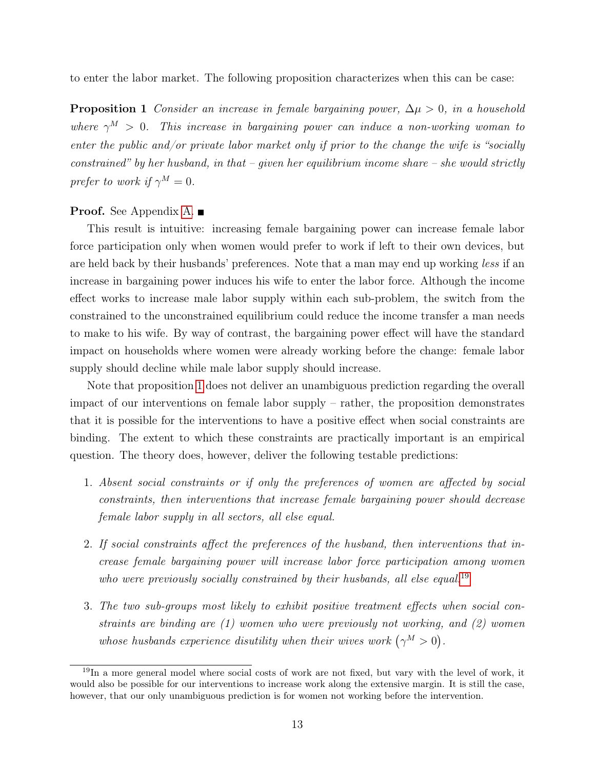<span id="page-13-0"></span>to enter the labor market. The following proposition characterizes when this can be case:

**Proposition 1** Consider an increase in female bargaining power,  $\Delta \mu > 0$ , in a household where  $\gamma^M > 0$ . This increase in bargaining power can induce a non-working woman to enter the public and/or private labor market only if prior to the change the wife is "socially constrained" by her husband, in that – given her equilibrium income share – she would strictly prefer to work if  $\gamma^M = 0$ .

#### **Proof.** See Appendix [A.](#page-30-0) ■

This result is intuitive: increasing female bargaining power can increase female labor force participation only when women would prefer to work if left to their own devices, but are held back by their husbands' preferences. Note that a man may end up working less if an increase in bargaining power induces his wife to enter the labor force. Although the income effect works to increase male labor supply within each sub-problem, the switch from the constrained to the unconstrained equilibrium could reduce the income transfer a man needs to make to his wife. By way of contrast, the bargaining power effect will have the standard impact on households where women were already working before the change: female labor supply should decline while male labor supply should increase.

Note that proposition [1](#page-13-0) does not deliver an unambiguous prediction regarding the overall impact of our interventions on female labor supply – rather, the proposition demonstrates that it is possible for the interventions to have a positive effect when social constraints are binding. The extent to which these constraints are practically important is an empirical question. The theory does, however, deliver the following testable predictions:

- 1. Absent social constraints or if only the preferences of women are affected by social constraints, then interventions that increase female bargaining power should decrease female labor supply in all sectors, all else equal.
- 2. If social constraints affect the preferences of the husband, then interventions that increase female bargaining power will increase labor force participation among women who were previously socially constrained by their husbands, all else equal.<sup>[19](#page-0-0)</sup>
- 3. The two sub-groups most likely to exhibit positive treatment effects when social constraints are binding are (1) women who were previously not working, and (2) women whose husbands experience disutility when their wives work  $(\gamma^M > 0)$ .

<sup>19</sup>In a more general model where social costs of work are not fixed, but vary with the level of work, it would also be possible for our interventions to increase work along the extensive margin. It is still the case, however, that our only unambiguous prediction is for women not working before the intervention.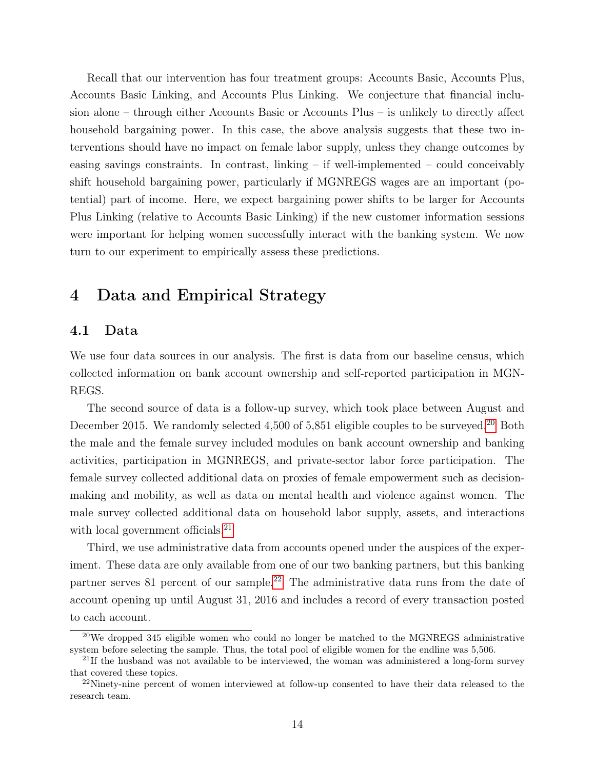Recall that our intervention has four treatment groups: Accounts Basic, Accounts Plus, Accounts Basic Linking, and Accounts Plus Linking. We conjecture that financial inclusion alone – through either Accounts Basic or Accounts Plus – is unlikely to directly affect household bargaining power. In this case, the above analysis suggests that these two interventions should have no impact on female labor supply, unless they change outcomes by easing savings constraints. In contrast, linking – if well-implemented – could conceivably shift household bargaining power, particularly if MGNREGS wages are an important (potential) part of income. Here, we expect bargaining power shifts to be larger for Accounts Plus Linking (relative to Accounts Basic Linking) if the new customer information sessions were important for helping women successfully interact with the banking system. We now turn to our experiment to empirically assess these predictions.

# <span id="page-14-0"></span>4 Data and Empirical Strategy

#### 4.1 Data

We use four data sources in our analysis. The first is data from our baseline census, which collected information on bank account ownership and self-reported participation in MGN-REGS.

The second source of data is a follow-up survey, which took place between August and December [20](#page-0-0)15. We randomly selected 4,500 of 5,851 eligible couples to be surveyed.<sup>20</sup> Both the male and the female survey included modules on bank account ownership and banking activities, participation in MGNREGS, and private-sector labor force participation. The female survey collected additional data on proxies of female empowerment such as decisionmaking and mobility, as well as data on mental health and violence against women. The male survey collected additional data on household labor supply, assets, and interactions with local government officials.<sup>[21](#page-0-0)</sup>

Third, we use administrative data from accounts opened under the auspices of the experiment. These data are only available from one of our two banking partners, but this banking partner serves 81 percent of our sample.<sup>[22](#page-0-0)</sup> The administrative data runs from the date of account opening up until August 31, 2016 and includes a record of every transaction posted to each account.

<sup>&</sup>lt;sup>20</sup>We dropped 345 eligible women who could no longer be matched to the MGNREGS administrative system before selecting the sample. Thus, the total pool of eligible women for the endline was 5,506.

 $21$ If the husband was not available to be interviewed, the woman was administered a long-form survey that covered these topics.

<sup>&</sup>lt;sup>22</sup>Ninety-nine percent of women interviewed at follow-up consented to have their data released to the research team.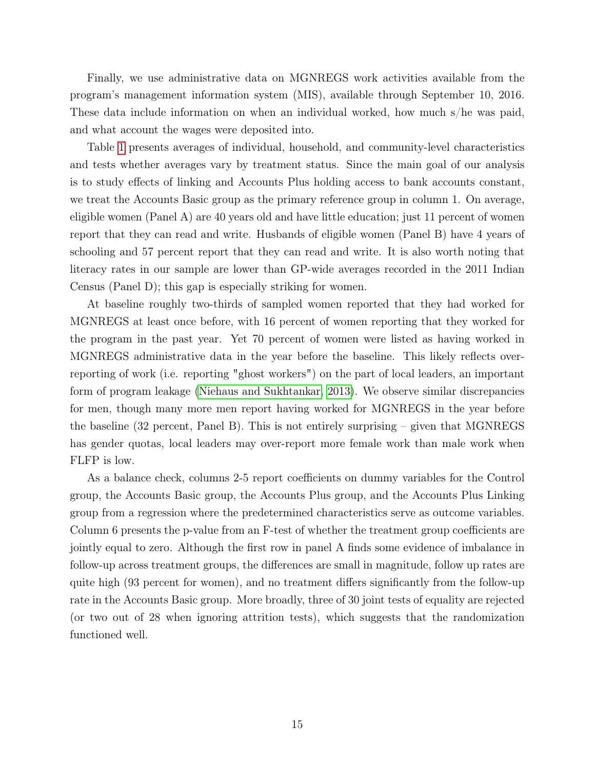Finally, we use administrative data on MGNREGS work activities available from the program's management information system (MIS), available through September 10, 2016. These data include information on when an individual worked, how much s/he was paid, and what account the wages were deposited into.

Table [1](#page-36-0) presents averages of individual, household, and community-level characteristics and tests whether averages vary by treatment status. Since the main goal of our analysis is to study effects of linking and Accounts Plus holding access to bank accounts constant, we treat the Accounts Basic group as the primary reference group in column 1. On average, eligible women (Panel A) are 40 years old and have little education; just 11 percent of women report that they can read and write. Husbands of eligible women (Panel B) have 4 years of schooling and 57 percent report that they can read and write. It is also worth noting that literacy rates in our sample are lower than GP-wide averages recorded in the 2011 Indian Census (Panel D); this gap is especially striking for women.

At baseline roughly two-thirds of sampled women reported that they had worked for MGNREGS at least once before, with 16 percent of women reporting that they worked for the program in the past year. Yet 70 percent of women were listed as having worked in MGNREGS administrative data in the year before the baseline. This likely reflects overreporting of work (i.e. reporting "ghost workers") on the part of local leaders, an important form of program leakage [\(Niehaus and Sukhtankar, 2013\)](#page-33-13). We observe similar discrepancies for men, though many more men report having worked for MGNREGS in the year before the baseline (32 percent, Panel B). This is not entirely surprising – given that MGNREGS has gender quotas, local leaders may over-report more female work than male work when FLFP is low.

As a balance check, columns 2-5 report coefficients on dummy variables for the Control group, the Accounts Basic group, the Accounts Plus group, and the Accounts Plus Linking group from a regression where the predetermined characteristics serve as outcome variables. Column 6 presents the p-value from an F-test of whether the treatment group coefficients are jointly equal to zero. Although the first row in panel A finds some evidence of imbalance in follow-up across treatment groups, the differences are small in magnitude, follow up rates are quite high (93 percent for women), and no treatment differs significantly from the follow-up rate in the Accounts Basic group. More broadly, three of 30 joint tests of equality are rejected (or two out of 28 when ignoring attrition tests), which suggests that the randomization functioned well.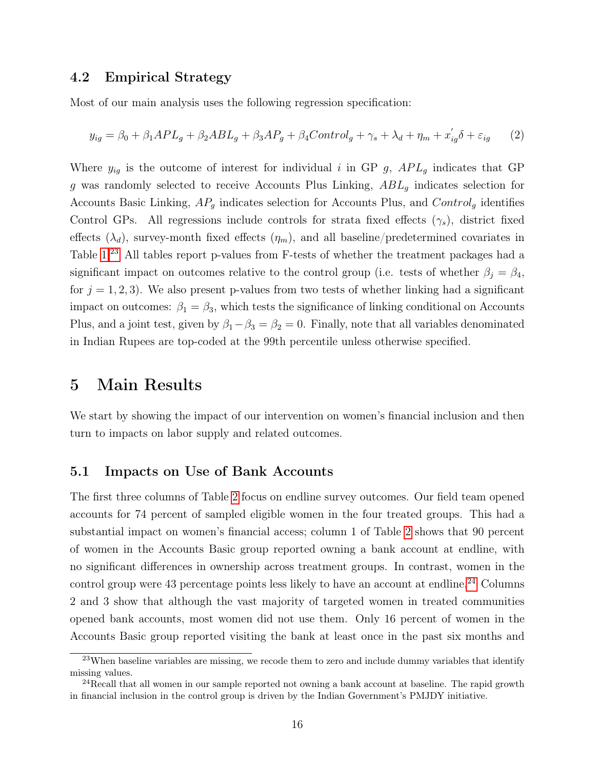#### 4.2 Empirical Strategy

Most of our main analysis uses the following regression specification:

<span id="page-16-1"></span>
$$
y_{ig} = \beta_0 + \beta_1 APL_g + \beta_2 ABL_g + \beta_3 AP_g + \beta_4 Control_g + \gamma_s + \lambda_d + \eta_m + x_{ig}'\delta + \varepsilon_{ig} \tag{2}
$$

Where  $y_{ig}$  is the outcome of interest for individual i in GP g,  $APL<sub>g</sub>$  indicates that GP g was randomly selected to receive Accounts Plus Linking,  $ABL<sub>g</sub>$  indicates selection for Accounts Basic Linking,  $AP<sub>g</sub>$  indicates selection for Accounts Plus, and  $Control<sub>g</sub>$  identifies Control GPs. All regressions include controls for strata fixed effects  $(\gamma_s)$ , district fixed effects  $(\lambda_d)$ , survey-month fixed effects  $(\eta_m)$ , and all baseline/predetermined covariates in Table [1.](#page-36-0)[23](#page-0-0) All tables report p-values from F-tests of whether the treatment packages had a significant impact on outcomes relative to the control group (i.e. tests of whether  $\beta_j = \beta_4$ , for  $j = 1, 2, 3$ . We also present p-values from two tests of whether linking had a significant impact on outcomes:  $\beta_1 = \beta_3$ , which tests the significance of linking conditional on Accounts Plus, and a joint test, given by  $\beta_1 - \beta_3 = \beta_2 = 0$ . Finally, note that all variables denominated in Indian Rupees are top-coded at the 99th percentile unless otherwise specified.

### <span id="page-16-0"></span>5 Main Results

We start by showing the impact of our intervention on women's financial inclusion and then turn to impacts on labor supply and related outcomes.

### 5.1 Impacts on Use of Bank Accounts

The first three columns of Table [2](#page-37-0) focus on endline survey outcomes. Our field team opened accounts for 74 percent of sampled eligible women in the four treated groups. This had a substantial impact on women's financial access; column 1 of Table [2](#page-37-0) shows that 90 percent of women in the Accounts Basic group reported owning a bank account at endline, with no significant differences in ownership across treatment groups. In contrast, women in the control group were 43 percentage points less likely to have an account at endline.<sup>[24](#page-0-0)</sup> Columns 2 and 3 show that although the vast majority of targeted women in treated communities opened bank accounts, most women did not use them. Only 16 percent of women in the Accounts Basic group reported visiting the bank at least once in the past six months and

<sup>&</sup>lt;sup>23</sup>When baseline variables are missing, we recode them to zero and include dummy variables that identify missing values.

 $^{24}$ Recall that all women in our sample reported not owning a bank account at baseline. The rapid growth in financial inclusion in the control group is driven by the Indian Government's PMJDY initiative.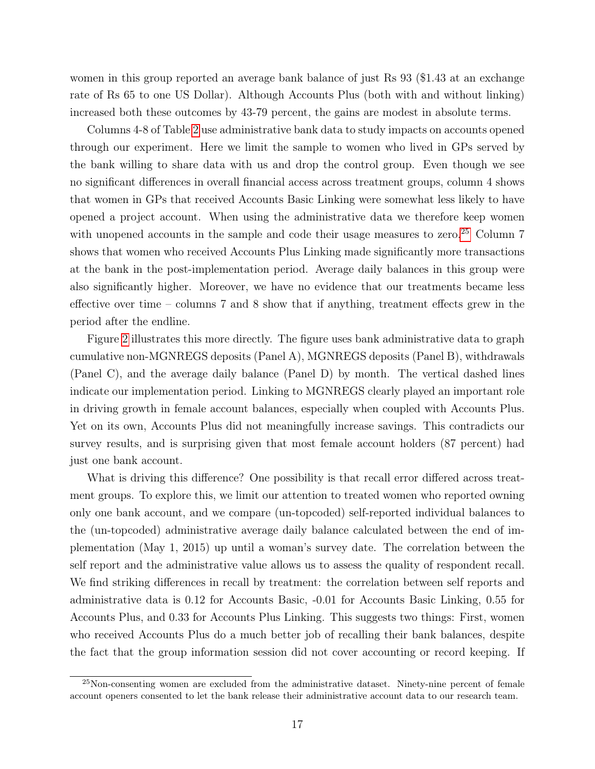women in this group reported an average bank balance of just Rs 93 (\$1.43 at an exchange rate of Rs 65 to one US Dollar). Although Accounts Plus (both with and without linking) increased both these outcomes by 43-79 percent, the gains are modest in absolute terms.

Columns 4-8 of Table [2](#page-37-0) use administrative bank data to study impacts on accounts opened through our experiment. Here we limit the sample to women who lived in GPs served by the bank willing to share data with us and drop the control group. Even though we see no significant differences in overall financial access across treatment groups, column 4 shows that women in GPs that received Accounts Basic Linking were somewhat less likely to have opened a project account. When using the administrative data we therefore keep women with unopened accounts in the sample and code their usage measures to zero.<sup>[25](#page-0-0)</sup> Column  $7$ shows that women who received Accounts Plus Linking made significantly more transactions at the bank in the post-implementation period. Average daily balances in this group were also significantly higher. Moreover, we have no evidence that our treatments became less effective over time – columns 7 and 8 show that if anything, treatment effects grew in the period after the endline.

Figure [2](#page-44-0) illustrates this more directly. The figure uses bank administrative data to graph cumulative non-MGNREGS deposits (Panel A), MGNREGS deposits (Panel B), withdrawals (Panel C), and the average daily balance (Panel D) by month. The vertical dashed lines indicate our implementation period. Linking to MGNREGS clearly played an important role in driving growth in female account balances, especially when coupled with Accounts Plus. Yet on its own, Accounts Plus did not meaningfully increase savings. This contradicts our survey results, and is surprising given that most female account holders (87 percent) had just one bank account.

What is driving this difference? One possibility is that recall error differed across treatment groups. To explore this, we limit our attention to treated women who reported owning only one bank account, and we compare (un-topcoded) self-reported individual balances to the (un-topcoded) administrative average daily balance calculated between the end of implementation (May 1, 2015) up until a woman's survey date. The correlation between the self report and the administrative value allows us to assess the quality of respondent recall. We find striking differences in recall by treatment: the correlation between self reports and administrative data is 0.12 for Accounts Basic, -0.01 for Accounts Basic Linking, 0.55 for Accounts Plus, and 0.33 for Accounts Plus Linking. This suggests two things: First, women who received Accounts Plus do a much better job of recalling their bank balances, despite the fact that the group information session did not cover accounting or record keeping. If

 $^{25}$ Non-consenting women are excluded from the administrative dataset. Ninety-nine percent of female account openers consented to let the bank release their administrative account data to our research team.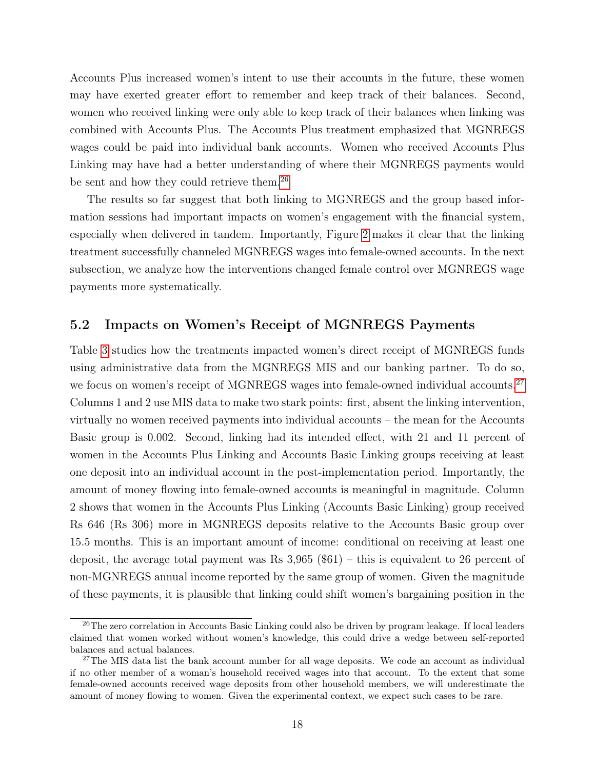Accounts Plus increased women's intent to use their accounts in the future, these women may have exerted greater effort to remember and keep track of their balances. Second, women who received linking were only able to keep track of their balances when linking was combined with Accounts Plus. The Accounts Plus treatment emphasized that MGNREGS wages could be paid into individual bank accounts. Women who received Accounts Plus Linking may have had a better understanding of where their MGNREGS payments would be sent and how they could retrieve them.<sup>[26](#page-0-0)</sup>

The results so far suggest that both linking to MGNREGS and the group based information sessions had important impacts on women's engagement with the financial system, especially when delivered in tandem. Importantly, Figure [2](#page-44-0) makes it clear that the linking treatment successfully channeled MGNREGS wages into female-owned accounts. In the next subsection, we analyze how the interventions changed female control over MGNREGS wage payments more systematically.

#### 5.2 Impacts on Women's Receipt of MGNREGS Payments

Table [3](#page-38-0) studies how the treatments impacted women's direct receipt of MGNREGS funds using administrative data from the MGNREGS MIS and our banking partner. To do so, we focus on women's receipt of MGNREGS wages into female-owned individual accounts.<sup>[27](#page-0-0)</sup> Columns 1 and 2 use MIS data to make two stark points: first, absent the linking intervention, virtually no women received payments into individual accounts – the mean for the Accounts Basic group is 0.002. Second, linking had its intended effect, with 21 and 11 percent of women in the Accounts Plus Linking and Accounts Basic Linking groups receiving at least one deposit into an individual account in the post-implementation period. Importantly, the amount of money flowing into female-owned accounts is meaningful in magnitude. Column 2 shows that women in the Accounts Plus Linking (Accounts Basic Linking) group received Rs 646 (Rs 306) more in MGNREGS deposits relative to the Accounts Basic group over 15.5 months. This is an important amount of income: conditional on receiving at least one deposit, the average total payment was Rs  $3,965$  (\$61) – this is equivalent to 26 percent of non-MGNREGS annual income reported by the same group of women. Given the magnitude of these payments, it is plausible that linking could shift women's bargaining position in the

<sup>&</sup>lt;sup>26</sup>The zero correlation in Accounts Basic Linking could also be driven by program leakage. If local leaders claimed that women worked without women's knowledge, this could drive a wedge between self-reported balances and actual balances.

<sup>&</sup>lt;sup>27</sup>The MIS data list the bank account number for all wage deposits. We code an account as individual if no other member of a woman's household received wages into that account. To the extent that some female-owned accounts received wage deposits from other household members, we will underestimate the amount of money flowing to women. Given the experimental context, we expect such cases to be rare.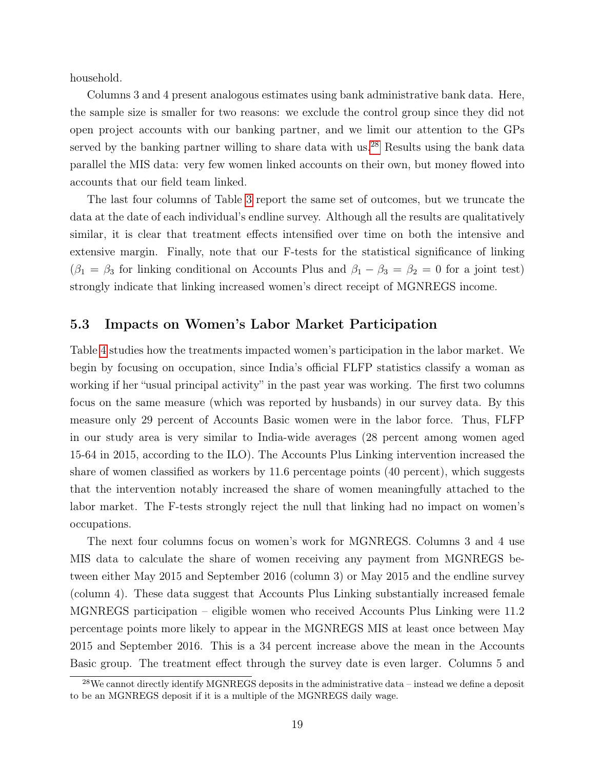household.

Columns 3 and 4 present analogous estimates using bank administrative bank data. Here, the sample size is smaller for two reasons: we exclude the control group since they did not open project accounts with our banking partner, and we limit our attention to the GPs served by the banking partner willing to share data with us.<sup>[28](#page-0-0)</sup> Results using the bank data parallel the MIS data: very few women linked accounts on their own, but money flowed into accounts that our field team linked.

The last four columns of Table [3](#page-38-0) report the same set of outcomes, but we truncate the data at the date of each individual's endline survey. Although all the results are qualitatively similar, it is clear that treatment effects intensified over time on both the intensive and extensive margin. Finally, note that our F-tests for the statistical significance of linking  $(\beta_1 = \beta_3$  for linking conditional on Accounts Plus and  $\beta_1 - \beta_3 = \beta_2 = 0$  for a joint test) strongly indicate that linking increased women's direct receipt of MGNREGS income.

### 5.3 Impacts on Women's Labor Market Participation

Table [4](#page-39-0) studies how the treatments impacted women's participation in the labor market. We begin by focusing on occupation, since India's official FLFP statistics classify a woman as working if her "usual principal activity" in the past year was working. The first two columns focus on the same measure (which was reported by husbands) in our survey data. By this measure only 29 percent of Accounts Basic women were in the labor force. Thus, FLFP in our study area is very similar to India-wide averages (28 percent among women aged 15-64 in 2015, according to the ILO). The Accounts Plus Linking intervention increased the share of women classified as workers by 11.6 percentage points (40 percent), which suggests that the intervention notably increased the share of women meaningfully attached to the labor market. The F-tests strongly reject the null that linking had no impact on women's occupations.

The next four columns focus on women's work for MGNREGS. Columns 3 and 4 use MIS data to calculate the share of women receiving any payment from MGNREGS between either May 2015 and September 2016 (column 3) or May 2015 and the endline survey (column 4). These data suggest that Accounts Plus Linking substantially increased female MGNREGS participation – eligible women who received Accounts Plus Linking were 11.2 percentage points more likely to appear in the MGNREGS MIS at least once between May 2015 and September 2016. This is a 34 percent increase above the mean in the Accounts Basic group. The treatment effect through the survey date is even larger. Columns 5 and

 $^{28}$ We cannot directly identify MGNREGS deposits in the administrative data – instead we define a deposit to be an MGNREGS deposit if it is a multiple of the MGNREGS daily wage.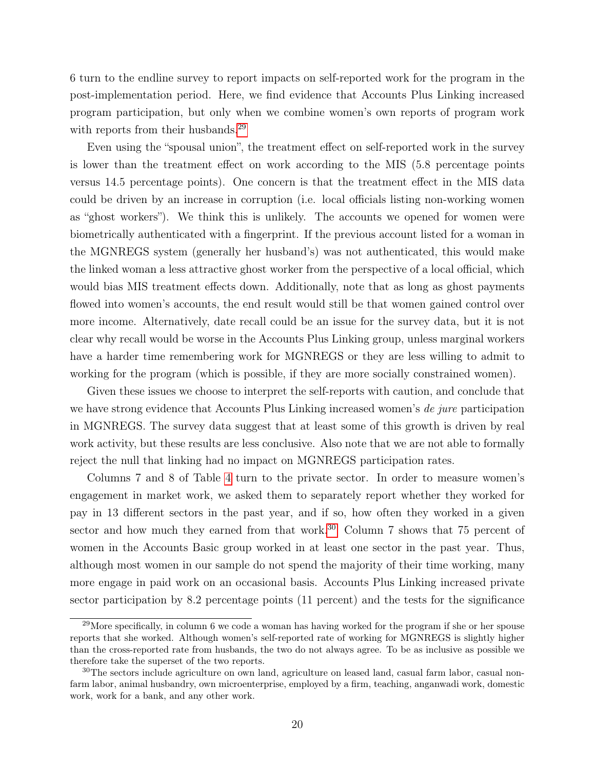6 turn to the endline survey to report impacts on self-reported work for the program in the post-implementation period. Here, we find evidence that Accounts Plus Linking increased program participation, but only when we combine women's own reports of program work with reports from their husbands.<sup>[29](#page-0-0)</sup>

Even using the "spousal union", the treatment effect on self-reported work in the survey is lower than the treatment effect on work according to the MIS (5.8 percentage points versus 14.5 percentage points). One concern is that the treatment effect in the MIS data could be driven by an increase in corruption (i.e. local officials listing non-working women as "ghost workers"). We think this is unlikely. The accounts we opened for women were biometrically authenticated with a fingerprint. If the previous account listed for a woman in the MGNREGS system (generally her husband's) was not authenticated, this would make the linked woman a less attractive ghost worker from the perspective of a local official, which would bias MIS treatment effects down. Additionally, note that as long as ghost payments flowed into women's accounts, the end result would still be that women gained control over more income. Alternatively, date recall could be an issue for the survey data, but it is not clear why recall would be worse in the Accounts Plus Linking group, unless marginal workers have a harder time remembering work for MGNREGS or they are less willing to admit to working for the program (which is possible, if they are more socially constrained women).

Given these issues we choose to interpret the self-reports with caution, and conclude that we have strong evidence that Accounts Plus Linking increased women's de jure participation in MGNREGS. The survey data suggest that at least some of this growth is driven by real work activity, but these results are less conclusive. Also note that we are not able to formally reject the null that linking had no impact on MGNREGS participation rates.

Columns 7 and 8 of Table [4](#page-39-0) turn to the private sector. In order to measure women's engagement in market work, we asked them to separately report whether they worked for pay in 13 different sectors in the past year, and if so, how often they worked in a given sector and how much they earned from that work. $30$  Column 7 shows that 75 percent of women in the Accounts Basic group worked in at least one sector in the past year. Thus, although most women in our sample do not spend the majority of their time working, many more engage in paid work on an occasional basis. Accounts Plus Linking increased private sector participation by 8.2 percentage points (11 percent) and the tests for the significance

<sup>&</sup>lt;sup>29</sup>More specifically, in column 6 we code a woman has having worked for the program if she or her spouse reports that she worked. Although women's self-reported rate of working for MGNREGS is slightly higher than the cross-reported rate from husbands, the two do not always agree. To be as inclusive as possible we therefore take the superset of the two reports.

<sup>30</sup>The sectors include agriculture on own land, agriculture on leased land, casual farm labor, casual nonfarm labor, animal husbandry, own microenterprise, employed by a firm, teaching, anganwadi work, domestic work, work for a bank, and any other work.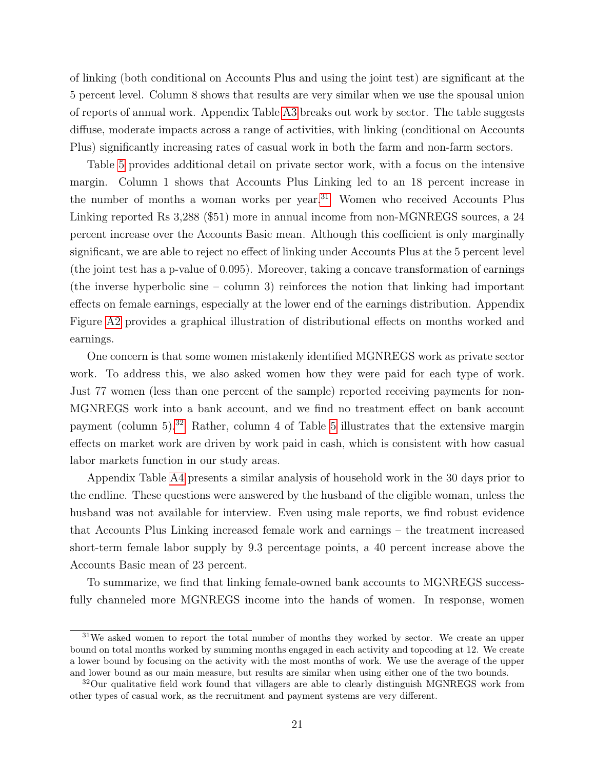of linking (both conditional on Accounts Plus and using the joint test) are significant at the 5 percent level. Column 8 shows that results are very similar when we use the spousal union of reports of annual work. Appendix Table [A3](#page-51-0) breaks out work by sector. The table suggests diffuse, moderate impacts across a range of activities, with linking (conditional on Accounts Plus) significantly increasing rates of casual work in both the farm and non-farm sectors.

Table [5](#page-40-0) provides additional detail on private sector work, with a focus on the intensive margin. Column 1 shows that Accounts Plus Linking led to an 18 percent increase in the number of months a woman works per year.<sup>[31](#page-0-0)</sup> Women who received Accounts Plus Linking reported Rs 3,288 (\$51) more in annual income from non-MGNREGS sources, a 24 percent increase over the Accounts Basic mean. Although this coefficient is only marginally significant, we are able to reject no effect of linking under Accounts Plus at the 5 percent level (the joint test has a p-value of 0.095). Moreover, taking a concave transformation of earnings (the inverse hyperbolic sine – column 3) reinforces the notion that linking had important effects on female earnings, especially at the lower end of the earnings distribution. Appendix Figure [A2](#page-60-0) provides a graphical illustration of distributional effects on months worked and earnings.

One concern is that some women mistakenly identified MGNREGS work as private sector work. To address this, we also asked women how they were paid for each type of work. Just 77 women (less than one percent of the sample) reported receiving payments for non-MGNREGS work into a bank account, and we find no treatment effect on bank account payment (column 5).[32](#page-0-0) Rather, column 4 of Table [5](#page-40-0) illustrates that the extensive margin effects on market work are driven by work paid in cash, which is consistent with how casual labor markets function in our study areas.

Appendix Table [A4](#page-52-0) presents a similar analysis of household work in the 30 days prior to the endline. These questions were answered by the husband of the eligible woman, unless the husband was not available for interview. Even using male reports, we find robust evidence that Accounts Plus Linking increased female work and earnings – the treatment increased short-term female labor supply by 9.3 percentage points, a 40 percent increase above the Accounts Basic mean of 23 percent.

To summarize, we find that linking female-owned bank accounts to MGNREGS successfully channeled more MGNREGS income into the hands of women. In response, women

<sup>&</sup>lt;sup>31</sup>We asked women to report the total number of months they worked by sector. We create an upper bound on total months worked by summing months engaged in each activity and topcoding at 12. We create a lower bound by focusing on the activity with the most months of work. We use the average of the upper and lower bound as our main measure, but results are similar when using either one of the two bounds.

<sup>&</sup>lt;sup>32</sup>Our qualitative field work found that villagers are able to clearly distinguish MGNREGS work from other types of casual work, as the recruitment and payment systems are very different.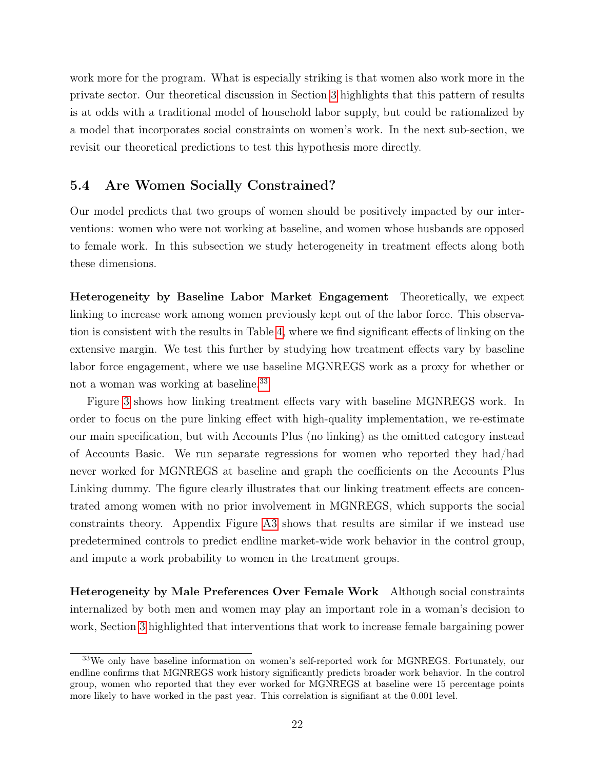work more for the program. What is especially striking is that women also work more in the private sector. Our theoretical discussion in Section [3](#page-10-0) highlights that this pattern of results is at odds with a traditional model of household labor supply, but could be rationalized by a model that incorporates social constraints on women's work. In the next sub-section, we revisit our theoretical predictions to test this hypothesis more directly.

### 5.4 Are Women Socially Constrained?

Our model predicts that two groups of women should be positively impacted by our interventions: women who were not working at baseline, and women whose husbands are opposed to female work. In this subsection we study heterogeneity in treatment effects along both these dimensions.

Heterogeneity by Baseline Labor Market Engagement Theoretically, we expect linking to increase work among women previously kept out of the labor force. This observation is consistent with the results in Table [4,](#page-39-0) where we find significant effects of linking on the extensive margin. We test this further by studying how treatment effects vary by baseline labor force engagement, where we use baseline MGNREGS work as a proxy for whether or not a woman was working at baseline.[33](#page-0-0)

Figure [3](#page-45-0) shows how linking treatment effects vary with baseline MGNREGS work. In order to focus on the pure linking effect with high-quality implementation, we re-estimate our main specification, but with Accounts Plus (no linking) as the omitted category instead of Accounts Basic. We run separate regressions for women who reported they had/had never worked for MGNREGS at baseline and graph the coefficients on the Accounts Plus Linking dummy. The figure clearly illustrates that our linking treatment effects are concentrated among women with no prior involvement in MGNREGS, which supports the social constraints theory. Appendix Figure [A3](#page-61-0) shows that results are similar if we instead use predetermined controls to predict endline market-wide work behavior in the control group, and impute a work probability to women in the treatment groups.

Heterogeneity by Male Preferences Over Female Work Although social constraints internalized by both men and women may play an important role in a woman's decision to work, Section [3](#page-10-0) highlighted that interventions that work to increase female bargaining power

<sup>33</sup>We only have baseline information on women's self-reported work for MGNREGS. Fortunately, our endline confirms that MGNREGS work history significantly predicts broader work behavior. In the control group, women who reported that they ever worked for MGNREGS at baseline were 15 percentage points more likely to have worked in the past year. This correlation is signifiant at the 0.001 level.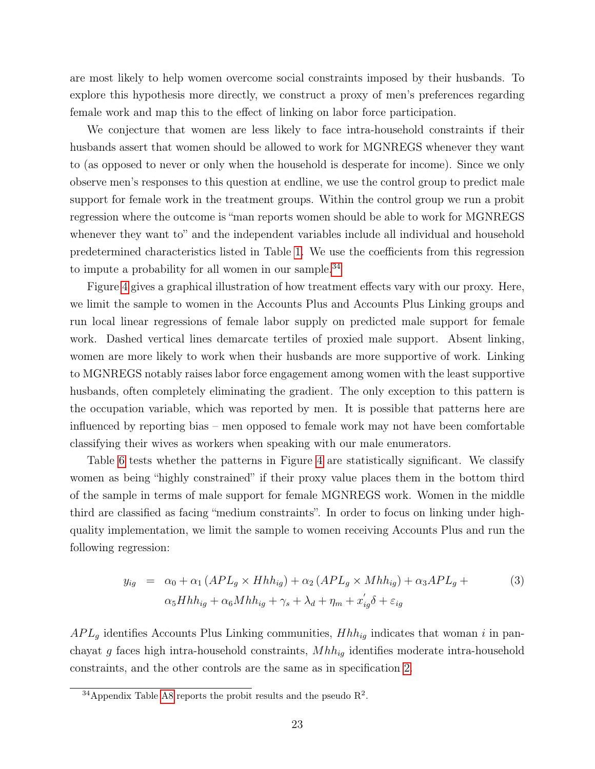are most likely to help women overcome social constraints imposed by their husbands. To explore this hypothesis more directly, we construct a proxy of men's preferences regarding female work and map this to the effect of linking on labor force participation.

We conjecture that women are less likely to face intra-household constraints if their husbands assert that women should be allowed to work for MGNREGS whenever they want to (as opposed to never or only when the household is desperate for income). Since we only observe men's responses to this question at endline, we use the control group to predict male support for female work in the treatment groups. Within the control group we run a probit regression where the outcome is "man reports women should be able to work for MGNREGS whenever they want to" and the independent variables include all individual and household predetermined characteristics listed in Table [1.](#page-36-0) We use the coefficients from this regression to impute a probability for all women in our sample. $34$ 

Figure [4](#page-46-0) gives a graphical illustration of how treatment effects vary with our proxy. Here, we limit the sample to women in the Accounts Plus and Accounts Plus Linking groups and run local linear regressions of female labor supply on predicted male support for female work. Dashed vertical lines demarcate tertiles of proxied male support. Absent linking, women are more likely to work when their husbands are more supportive of work. Linking to MGNREGS notably raises labor force engagement among women with the least supportive husbands, often completely eliminating the gradient. The only exception to this pattern is the occupation variable, which was reported by men. It is possible that patterns here are influenced by reporting bias – men opposed to female work may not have been comfortable classifying their wives as workers when speaking with our male enumerators.

Table [6](#page-41-0) tests whether the patterns in Figure [4](#page-46-0) are statistically significant. We classify women as being "highly constrained" if their proxy value places them in the bottom third of the sample in terms of male support for female MGNREGS work. Women in the middle third are classified as facing "medium constraints". In order to focus on linking under highquality implementation, we limit the sample to women receiving Accounts Plus and run the following regression:

$$
y_{ig} = \alpha_0 + \alpha_1 (APL_g \times Hhh_{ig}) + \alpha_2 (APL_g \times Mhh_{ig}) + \alpha_3 APL_g +
$$
  
\n
$$
\alpha_5 Hhh_{ig} + \alpha_6 Mhh_{ig} + \gamma_s + \lambda_d + \eta_m + x'_{ig}\delta + \varepsilon_{ig}
$$
\n(3)

 $APL<sub>g</sub>$  identifies Accounts Plus Linking communities,  $Hhh<sub>ig</sub>$  indicates that woman i in panchayat g faces high intra-household constraints,  $Mhh_{iq}$  identifies moderate intra-household constraints, and the other controls are the same as in specification [2.](#page-16-1)

<sup>&</sup>lt;sup>34</sup> Appendix Table [A8](#page-56-0) reports the probit results and the pseudo  $\mathbb{R}^2$ .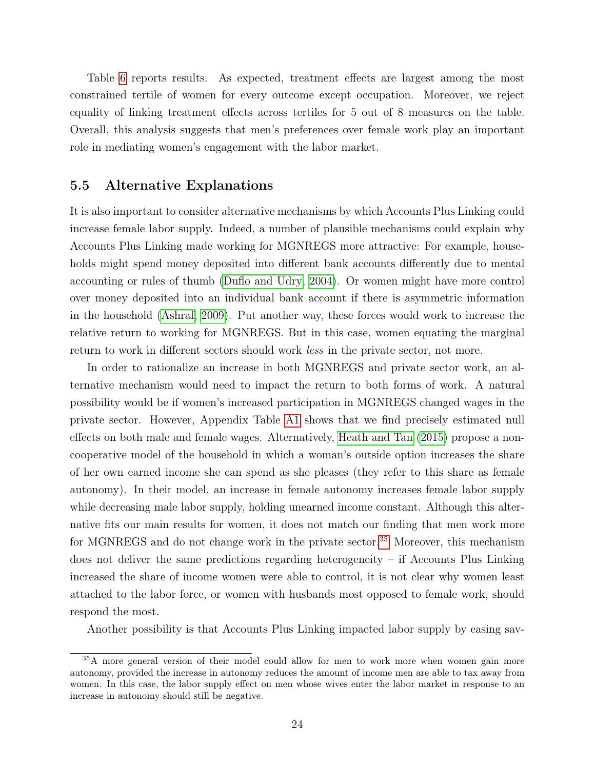Table [6](#page-41-0) reports results. As expected, treatment effects are largest among the most constrained tertile of women for every outcome except occupation. Moreover, we reject equality of linking treatment effects across tertiles for 5 out of 8 measures on the table. Overall, this analysis suggests that men's preferences over female work play an important role in mediating women's engagement with the labor market.

#### 5.5 Alternative Explanations

It is also important to consider alternative mechanisms by which Accounts Plus Linking could increase female labor supply. Indeed, a number of plausible mechanisms could explain why Accounts Plus Linking made working for MGNREGS more attractive: For example, households might spend money deposited into different bank accounts differently due to mental accounting or rules of thumb [\(Duflo and Udry, 2004\)](#page-32-15). Or women might have more control over money deposited into an individual bank account if there is asymmetric information in the household [\(Ashraf, 2009\)](#page-31-12). Put another way, these forces would work to increase the relative return to working for MGNREGS. But in this case, women equating the marginal return to work in different sectors should work less in the private sector, not more.

In order to rationalize an increase in both MGNREGS and private sector work, an alternative mechanism would need to impact the return to both forms of work. A natural possibility would be if women's increased participation in MGNREGS changed wages in the private sector. However, Appendix Table [A1](#page-49-0) shows that we find precisely estimated null effects on both male and female wages. Alternatively, [Heath and Tan](#page-33-6) [\(2015\)](#page-33-6) propose a noncooperative model of the household in which a woman's outside option increases the share of her own earned income she can spend as she pleases (they refer to this share as female autonomy). In their model, an increase in female autonomy increases female labor supply while decreasing male labor supply, holding unearned income constant. Although this alternative fits our main results for women, it does not match our finding that men work more for MGNREGS and do not change work in the private sector.<sup>[35](#page-0-0)</sup> Moreover, this mechanism does not deliver the same predictions regarding heterogeneity – if Accounts Plus Linking increased the share of income women were able to control, it is not clear why women least attached to the labor force, or women with husbands most opposed to female work, should respond the most.

Another possibility is that Accounts Plus Linking impacted labor supply by easing sav-

<sup>35</sup>A more general version of their model could allow for men to work more when women gain more autonomy, provided the increase in autonomy reduces the amount of income men are able to tax away from women. In this case, the labor supply effect on men whose wives enter the labor market in response to an increase in autonomy should still be negative.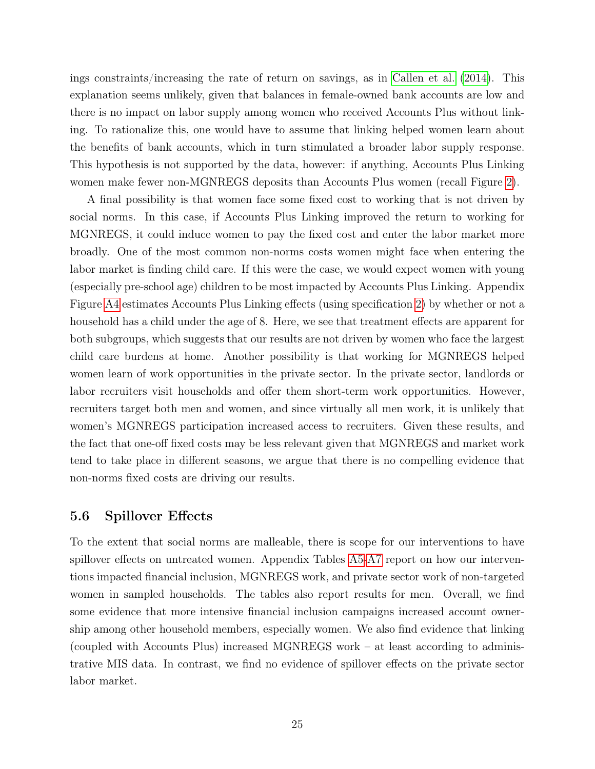ings constraints/increasing the rate of return on savings, as in [Callen et al.](#page-32-12) [\(2014\)](#page-32-12). This explanation seems unlikely, given that balances in female-owned bank accounts are low and there is no impact on labor supply among women who received Accounts Plus without linking. To rationalize this, one would have to assume that linking helped women learn about the benefits of bank accounts, which in turn stimulated a broader labor supply response. This hypothesis is not supported by the data, however: if anything, Accounts Plus Linking women make fewer non-MGNREGS deposits than Accounts Plus women (recall Figure [2\)](#page-44-0).

A final possibility is that women face some fixed cost to working that is not driven by social norms. In this case, if Accounts Plus Linking improved the return to working for MGNREGS, it could induce women to pay the fixed cost and enter the labor market more broadly. One of the most common non-norms costs women might face when entering the labor market is finding child care. If this were the case, we would expect women with young (especially pre-school age) children to be most impacted by Accounts Plus Linking. Appendix Figure [A4](#page-62-0) estimates Accounts Plus Linking effects (using specification [2\)](#page-16-1) by whether or not a household has a child under the age of 8. Here, we see that treatment effects are apparent for both subgroups, which suggests that our results are not driven by women who face the largest child care burdens at home. Another possibility is that working for MGNREGS helped women learn of work opportunities in the private sector. In the private sector, landlords or labor recruiters visit households and offer them short-term work opportunities. However, recruiters target both men and women, and since virtually all men work, it is unlikely that women's MGNREGS participation increased access to recruiters. Given these results, and the fact that one-off fixed costs may be less relevant given that MGNREGS and market work tend to take place in different seasons, we argue that there is no compelling evidence that non-norms fixed costs are driving our results.

#### 5.6 Spillover Effects

To the extent that social norms are malleable, there is scope for our interventions to have spillover effects on untreated women. Appendix Tables [A5-](#page-53-0)[A7](#page-55-0) report on how our interventions impacted financial inclusion, MGNREGS work, and private sector work of non-targeted women in sampled households. The tables also report results for men. Overall, we find some evidence that more intensive financial inclusion campaigns increased account ownership among other household members, especially women. We also find evidence that linking (coupled with Accounts Plus) increased MGNREGS work – at least according to administrative MIS data. In contrast, we find no evidence of spillover effects on the private sector labor market.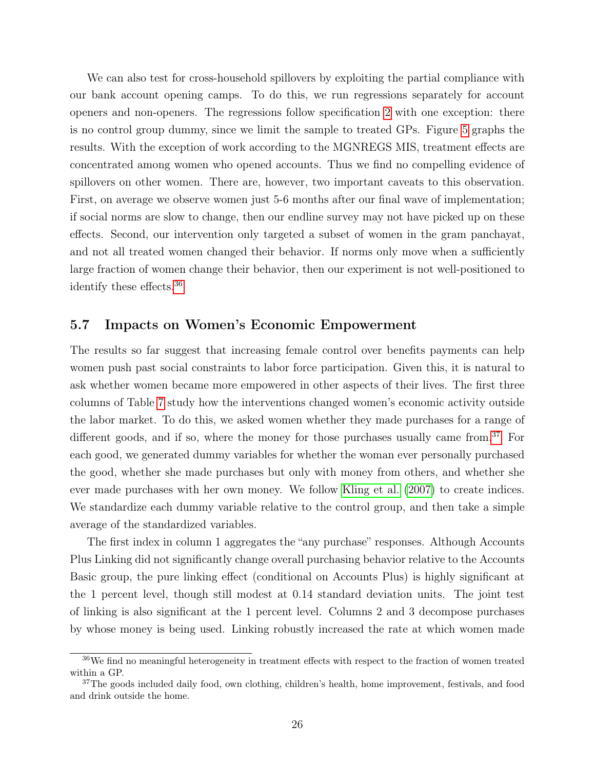We can also test for cross-household spillovers by exploiting the partial compliance with our bank account opening camps. To do this, we run regressions separately for account openers and non-openers. The regressions follow specification [2](#page-16-1) with one exception: there is no control group dummy, since we limit the sample to treated GPs. Figure [5](#page-47-0) graphs the results. With the exception of work according to the MGNREGS MIS, treatment effects are concentrated among women who opened accounts. Thus we find no compelling evidence of spillovers on other women. There are, however, two important caveats to this observation. First, on average we observe women just 5-6 months after our final wave of implementation; if social norms are slow to change, then our endline survey may not have picked up on these effects. Second, our intervention only targeted a subset of women in the gram panchayat, and not all treated women changed their behavior. If norms only move when a sufficiently large fraction of women change their behavior, then our experiment is not well-positioned to identify these effects.[36](#page-0-0)

#### 5.7 Impacts on Women's Economic Empowerment

The results so far suggest that increasing female control over benefits payments can help women push past social constraints to labor force participation. Given this, it is natural to ask whether women became more empowered in other aspects of their lives. The first three columns of Table [7](#page-42-0) study how the interventions changed women's economic activity outside the labor market. To do this, we asked women whether they made purchases for a range of different goods, and if so, where the money for those purchases usually came from.<sup>[37](#page-0-0)</sup> For each good, we generated dummy variables for whether the woman ever personally purchased the good, whether she made purchases but only with money from others, and whether she ever made purchases with her own money. We follow [Kling et al.](#page-33-14) [\(2007\)](#page-33-14) to create indices. We standardize each dummy variable relative to the control group, and then take a simple average of the standardized variables.

The first index in column 1 aggregates the "any purchase" responses. Although Accounts Plus Linking did not significantly change overall purchasing behavior relative to the Accounts Basic group, the pure linking effect (conditional on Accounts Plus) is highly significant at the 1 percent level, though still modest at 0.14 standard deviation units. The joint test of linking is also significant at the 1 percent level. Columns 2 and 3 decompose purchases by whose money is being used. Linking robustly increased the rate at which women made

<sup>36</sup>We find no meaningful heterogeneity in treatment effects with respect to the fraction of women treated within a GP.

<sup>&</sup>lt;sup>37</sup>The goods included daily food, own clothing, children's health, home improvement, festivals, and food and drink outside the home.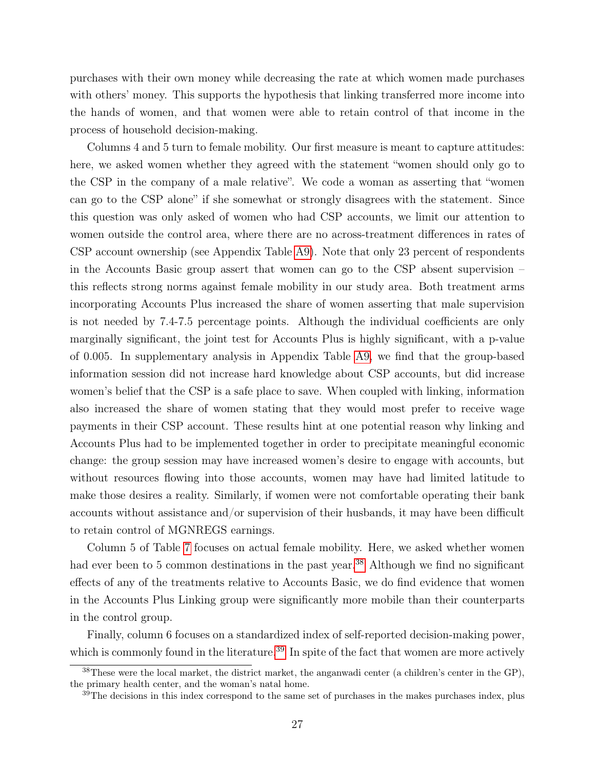purchases with their own money while decreasing the rate at which women made purchases with others' money. This supports the hypothesis that linking transferred more income into the hands of women, and that women were able to retain control of that income in the process of household decision-making.

Columns 4 and 5 turn to female mobility. Our first measure is meant to capture attitudes: here, we asked women whether they agreed with the statement "women should only go to the CSP in the company of a male relative". We code a woman as asserting that "women can go to the CSP alone" if she somewhat or strongly disagrees with the statement. Since this question was only asked of women who had CSP accounts, we limit our attention to women outside the control area, where there are no across-treatment differences in rates of CSP account ownership (see Appendix Table [A9\)](#page-57-0). Note that only 23 percent of respondents in the Accounts Basic group assert that women can go to the CSP absent supervision – this reflects strong norms against female mobility in our study area. Both treatment arms incorporating Accounts Plus increased the share of women asserting that male supervision is not needed by 7.4-7.5 percentage points. Although the individual coefficients are only marginally significant, the joint test for Accounts Plus is highly significant, with a p-value of 0.005. In supplementary analysis in Appendix Table [A9,](#page-57-0) we find that the group-based information session did not increase hard knowledge about CSP accounts, but did increase women's belief that the CSP is a safe place to save. When coupled with linking, information also increased the share of women stating that they would most prefer to receive wage payments in their CSP account. These results hint at one potential reason why linking and Accounts Plus had to be implemented together in order to precipitate meaningful economic change: the group session may have increased women's desire to engage with accounts, but without resources flowing into those accounts, women may have had limited latitude to make those desires a reality. Similarly, if women were not comfortable operating their bank accounts without assistance and/or supervision of their husbands, it may have been difficult to retain control of MGNREGS earnings.

Column 5 of Table [7](#page-42-0) focuses on actual female mobility. Here, we asked whether women had ever been to 5 common destinations in the past year.<sup>[38](#page-0-0)</sup> Although we find no significant effects of any of the treatments relative to Accounts Basic, we do find evidence that women in the Accounts Plus Linking group were significantly more mobile than their counterparts in the control group.

Finally, column 6 focuses on a standardized index of self-reported decision-making power, which is commonly found in the literature.<sup>[39](#page-0-0)</sup> In spite of the fact that women are more actively

 $38$ These were the local market, the district market, the anganwadi center (a children's center in the GP), the primary health center, and the woman's natal home.

<sup>&</sup>lt;sup>39</sup>The decisions in this index correspond to the same set of purchases in the makes purchases index, plus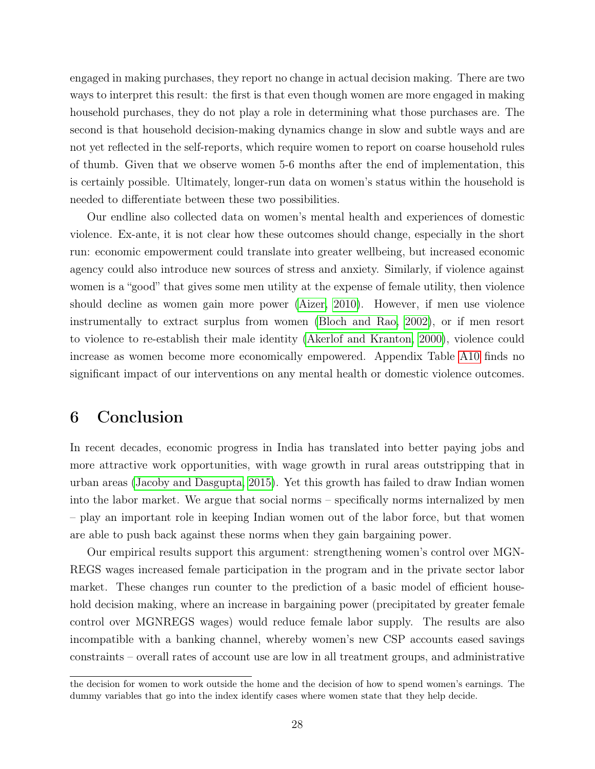engaged in making purchases, they report no change in actual decision making. There are two ways to interpret this result: the first is that even though women are more engaged in making household purchases, they do not play a role in determining what those purchases are. The second is that household decision-making dynamics change in slow and subtle ways and are not yet reflected in the self-reports, which require women to report on coarse household rules of thumb. Given that we observe women 5-6 months after the end of implementation, this is certainly possible. Ultimately, longer-run data on women's status within the household is needed to differentiate between these two possibilities.

Our endline also collected data on women's mental health and experiences of domestic violence. Ex-ante, it is not clear how these outcomes should change, especially in the short run: economic empowerment could translate into greater wellbeing, but increased economic agency could also introduce new sources of stress and anxiety. Similarly, if violence against women is a "good" that gives some men utility at the expense of female utility, then violence should decline as women gain more power [\(Aizer, 2010\)](#page-31-13). However, if men use violence instrumentally to extract surplus from women [\(Bloch and Rao, 2002\)](#page-31-14), or if men resort to violence to re-establish their male identity [\(Akerlof and Kranton, 2000\)](#page-31-1), violence could increase as women become more economically empowered. Appendix Table [A10](#page-58-0) finds no significant impact of our interventions on any mental health or domestic violence outcomes.

### <span id="page-28-0"></span>6 Conclusion

In recent decades, economic progress in India has translated into better paying jobs and more attractive work opportunities, with wage growth in rural areas outstripping that in urban areas [\(Jacoby and Dasgupta, 2015\)](#page-33-15). Yet this growth has failed to draw Indian women into the labor market. We argue that social norms – specifically norms internalized by men – play an important role in keeping Indian women out of the labor force, but that women are able to push back against these norms when they gain bargaining power.

Our empirical results support this argument: strengthening women's control over MGN-REGS wages increased female participation in the program and in the private sector labor market. These changes run counter to the prediction of a basic model of efficient household decision making, where an increase in bargaining power (precipitated by greater female control over MGNREGS wages) would reduce female labor supply. The results are also incompatible with a banking channel, whereby women's new CSP accounts eased savings constraints – overall rates of account use are low in all treatment groups, and administrative

the decision for women to work outside the home and the decision of how to spend women's earnings. The dummy variables that go into the index identify cases where women state that they help decide.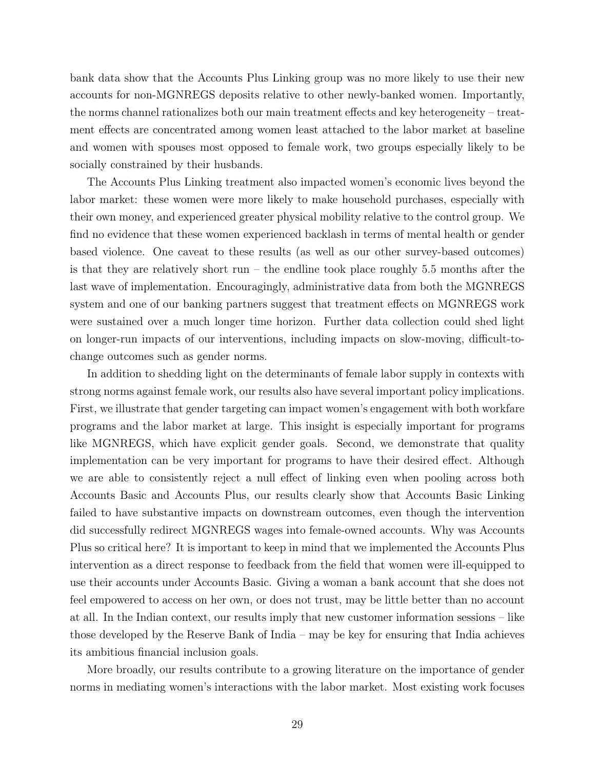bank data show that the Accounts Plus Linking group was no more likely to use their new accounts for non-MGNREGS deposits relative to other newly-banked women. Importantly, the norms channel rationalizes both our main treatment effects and key heterogeneity – treatment effects are concentrated among women least attached to the labor market at baseline and women with spouses most opposed to female work, two groups especially likely to be socially constrained by their husbands.

The Accounts Plus Linking treatment also impacted women's economic lives beyond the labor market: these women were more likely to make household purchases, especially with their own money, and experienced greater physical mobility relative to the control group. We find no evidence that these women experienced backlash in terms of mental health or gender based violence. One caveat to these results (as well as our other survey-based outcomes) is that they are relatively short run – the endline took place roughly  $5.5$  months after the last wave of implementation. Encouragingly, administrative data from both the MGNREGS system and one of our banking partners suggest that treatment effects on MGNREGS work were sustained over a much longer time horizon. Further data collection could shed light on longer-run impacts of our interventions, including impacts on slow-moving, difficult-tochange outcomes such as gender norms.

In addition to shedding light on the determinants of female labor supply in contexts with strong norms against female work, our results also have several important policy implications. First, we illustrate that gender targeting can impact women's engagement with both workfare programs and the labor market at large. This insight is especially important for programs like MGNREGS, which have explicit gender goals. Second, we demonstrate that quality implementation can be very important for programs to have their desired effect. Although we are able to consistently reject a null effect of linking even when pooling across both Accounts Basic and Accounts Plus, our results clearly show that Accounts Basic Linking failed to have substantive impacts on downstream outcomes, even though the intervention did successfully redirect MGNREGS wages into female-owned accounts. Why was Accounts Plus so critical here? It is important to keep in mind that we implemented the Accounts Plus intervention as a direct response to feedback from the field that women were ill-equipped to use their accounts under Accounts Basic. Giving a woman a bank account that she does not feel empowered to access on her own, or does not trust, may be little better than no account at all. In the Indian context, our results imply that new customer information sessions – like those developed by the Reserve Bank of India – may be key for ensuring that India achieves its ambitious financial inclusion goals.

More broadly, our results contribute to a growing literature on the importance of gender norms in mediating women's interactions with the labor market. Most existing work focuses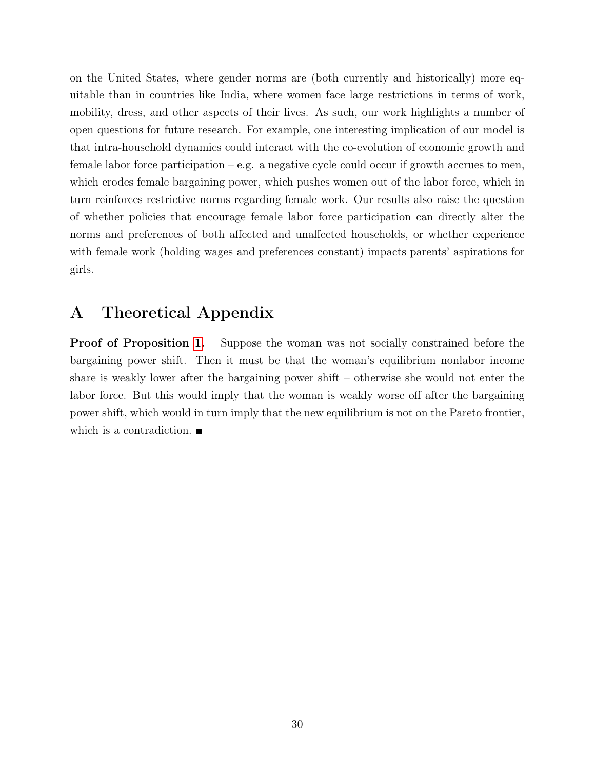on the United States, where gender norms are (both currently and historically) more equitable than in countries like India, where women face large restrictions in terms of work, mobility, dress, and other aspects of their lives. As such, our work highlights a number of open questions for future research. For example, one interesting implication of our model is that intra-household dynamics could interact with the co-evolution of economic growth and female labor force participation – e.g. a negative cycle could occur if growth accrues to men, which erodes female bargaining power, which pushes women out of the labor force, which in turn reinforces restrictive norms regarding female work. Our results also raise the question of whether policies that encourage female labor force participation can directly alter the norms and preferences of both affected and unaffected households, or whether experience with female work (holding wages and preferences constant) impacts parents' aspirations for girls.

# <span id="page-30-0"></span>A Theoretical Appendix

**Proof of Proposition [1.](#page-13-0)** Suppose the woman was not socially constrained before the bargaining power shift. Then it must be that the woman's equilibrium nonlabor income share is weakly lower after the bargaining power shift – otherwise she would not enter the labor force. But this would imply that the woman is weakly worse off after the bargaining power shift, which would in turn imply that the new equilibrium is not on the Pareto frontier, which is a contradiction.  $\blacksquare$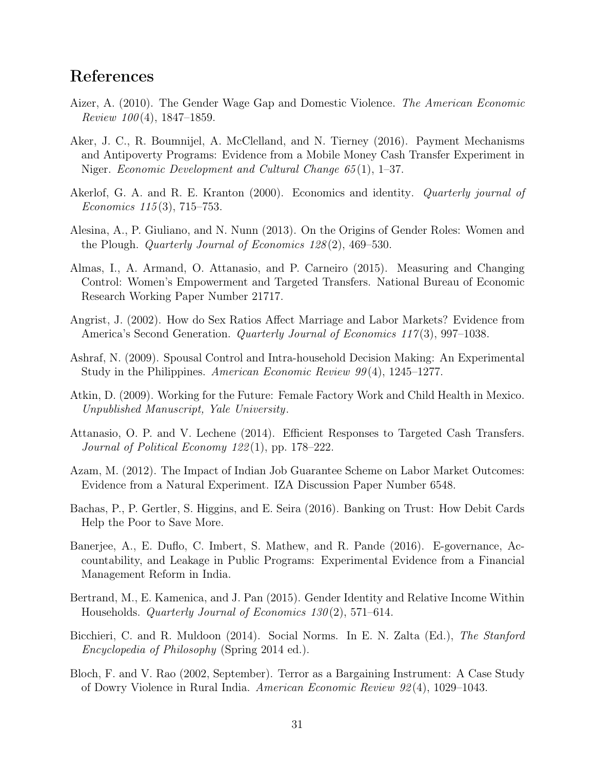# References

- <span id="page-31-13"></span>Aizer, A. (2010). The Gender Wage Gap and Domestic Violence. The American Economic Review  $100(4)$ , 1847–1859.
- <span id="page-31-8"></span>Aker, J. C., R. Boumnijel, A. McClelland, and N. Tierney (2016). Payment Mechanisms and Antipoverty Programs: Evidence from a Mobile Money Cash Transfer Experiment in Niger. Economic Development and Cultural Change 65 (1), 1–37.
- <span id="page-31-1"></span>Akerlof, G. A. and R. E. Kranton (2000). Economics and identity. *Quarterly journal of* Economics 115 (3), 715–753.
- <span id="page-31-2"></span>Alesina, A., P. Giuliano, and N. Nunn (2013). On the Origins of Gender Roles: Women and the Plough. Quarterly Journal of Economics 128 (2), 469–530.
- <span id="page-31-5"></span>Almas, I., A. Armand, O. Attanasio, and P. Carneiro (2015). Measuring and Changing Control: Women's Empowerment and Targeted Transfers. National Bureau of Economic Research Working Paper Number 21717.
- <span id="page-31-3"></span>Angrist, J. (2002). How do Sex Ratios Affect Marriage and Labor Markets? Evidence from America's Second Generation. *Quarterly Journal of Economics 117*(3), 997–1038.
- <span id="page-31-12"></span>Ashraf, N. (2009). Spousal Control and Intra-household Decision Making: An Experimental Study in the Philippines. American Economic Review 99(4), 1245–1277.
- <span id="page-31-0"></span>Atkin, D. (2009). Working for the Future: Female Factory Work and Child Health in Mexico. Unpublished Manuscript, Yale University.
- <span id="page-31-6"></span>Attanasio, O. P. and V. Lechene (2014). Efficient Responses to Targeted Cash Transfers. Journal of Political Economy  $122(1)$ , pp. 178–222.
- <span id="page-31-7"></span>Azam, M. (2012). The Impact of Indian Job Guarantee Scheme on Labor Market Outcomes: Evidence from a Natural Experiment. IZA Discussion Paper Number 6548.
- <span id="page-31-10"></span>Bachas, P., P. Gertler, S. Higgins, and E. Seira (2016). Banking on Trust: How Debit Cards Help the Poor to Save More.
- <span id="page-31-9"></span>Banerjee, A., E. Duflo, C. Imbert, S. Mathew, and R. Pande (2016). E-governance, Accountability, and Leakage in Public Programs: Experimental Evidence from a Financial Management Reform in India.
- <span id="page-31-4"></span>Bertrand, M., E. Kamenica, and J. Pan (2015). Gender Identity and Relative Income Within Households. Quarterly Journal of Economics 130 (2), 571–614.
- <span id="page-31-11"></span>Bicchieri, C. and R. Muldoon (2014). Social Norms. In E. N. Zalta (Ed.), The Stanford Encyclopedia of Philosophy (Spring 2014 ed.).
- <span id="page-31-14"></span>Bloch, F. and V. Rao (2002, September). Terror as a Bargaining Instrument: A Case Study of Dowry Violence in Rural India. American Economic Review 92 (4), 1029–1043.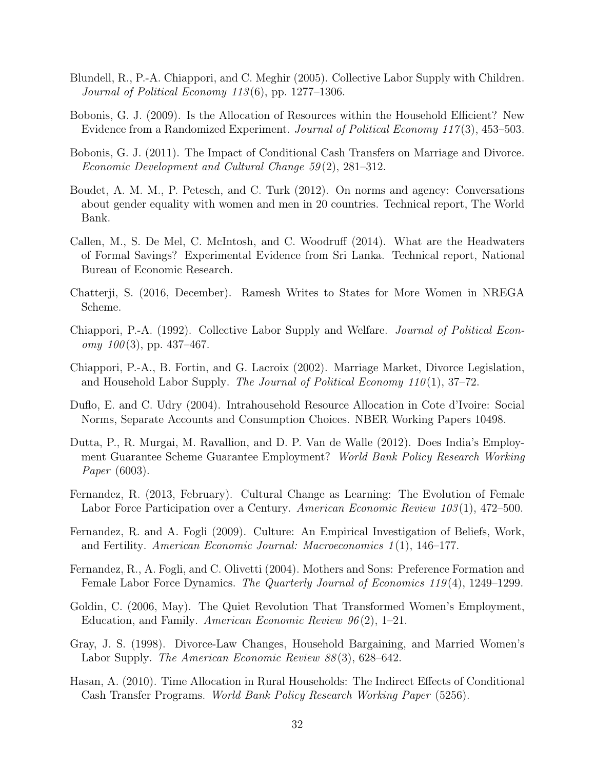- <span id="page-32-14"></span>Blundell, R., P.-A. Chiappori, and C. Meghir (2005). Collective Labor Supply with Children. Journal of Political Economy  $113(6)$ , pp. 1277–1306.
- <span id="page-32-7"></span>Bobonis, G. J. (2009). Is the Allocation of Resources within the Household Efficient? New Evidence from a Randomized Experiment. Journal of Political Economy 117 (3), 453–503.
- <span id="page-32-8"></span>Bobonis, G. J. (2011). The Impact of Conditional Cash Transfers on Marriage and Divorce. Economic Development and Cultural Change 59 (2), 281–312.
- <span id="page-32-0"></span>Boudet, A. M. M., P. Petesch, and C. Turk (2012). On norms and agency: Conversations about gender equality with women and men in 20 countries. Technical report, The World Bank.
- <span id="page-32-12"></span>Callen, M., S. De Mel, C. McIntosh, and C. Woodruff (2014). What are the Headwaters of Formal Savings? Experimental Evidence from Sri Lanka. Technical report, National Bureau of Economic Research.
- <span id="page-32-11"></span>Chatterji, S. (2016, December). Ramesh Writes to States for More Women in NREGA Scheme.
- <span id="page-32-13"></span>Chiappori, P.-A. (1992). Collective Labor Supply and Welfare. Journal of Political Econ $omy \, 100(3)$ , pp. 437–467.
- <span id="page-32-1"></span>Chiappori, P.-A., B. Fortin, and G. Lacroix (2002). Marriage Market, Divorce Legislation, and Household Labor Supply. The Journal of Political Economy  $110(1)$ , 37–72.
- <span id="page-32-15"></span>Duflo, E. and C. Udry (2004). Intrahousehold Resource Allocation in Cote d'Ivoire: Social Norms, Separate Accounts and Consumption Choices. NBER Working Papers 10498.
- <span id="page-32-10"></span>Dutta, P., R. Murgai, M. Ravallion, and D. P. Van de Walle (2012). Does India's Employment Guarantee Scheme Guarantee Employment? World Bank Policy Research Working Paper (6003).
- <span id="page-32-5"></span>Fernandez, R. (2013, February). Cultural Change as Learning: The Evolution of Female Labor Force Participation over a Century. American Economic Review 103(1), 472–500.
- <span id="page-32-4"></span>Fernandez, R. and A. Fogli (2009). Culture: An Empirical Investigation of Beliefs, Work, and Fertility. American Economic Journal: Macroeconomics 1 (1), 146–177.
- <span id="page-32-3"></span>Fernandez, R., A. Fogli, and C. Olivetti (2004). Mothers and Sons: Preference Formation and Female Labor Force Dynamics. The Quarterly Journal of Economics 119 (4), 1249–1299.
- <span id="page-32-2"></span>Goldin, C. (2006, May). The Quiet Revolution That Transformed Women's Employment, Education, and Family. American Economic Review 96 (2), 1–21.
- <span id="page-32-6"></span>Gray, J. S. (1998). Divorce-Law Changes, Household Bargaining, and Married Women's Labor Supply. The American Economic Review 88 (3), 628–642.
- <span id="page-32-9"></span>Hasan, A. (2010). Time Allocation in Rural Households: The Indirect Effects of Conditional Cash Transfer Programs. World Bank Policy Research Working Paper (5256).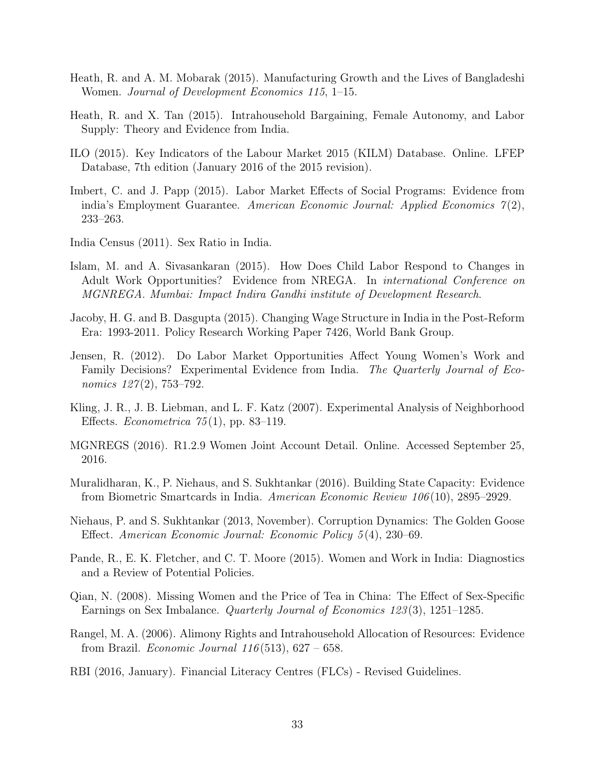- <span id="page-33-4"></span>Heath, R. and A. M. Mobarak (2015). Manufacturing Growth and the Lives of Bangladeshi Women. Journal of Development Economics 115, 1–15.
- <span id="page-33-6"></span>Heath, R. and X. Tan (2015). Intrahousehold Bargaining, Female Autonomy, and Labor Supply: Theory and Evidence from India.
- <span id="page-33-0"></span>ILO (2015). Key Indicators of the Labour Market 2015 (KILM) Database. Online. LFEP Database, 7th edition (January 2016 of the 2015 revision).
- <span id="page-33-7"></span>Imbert, C. and J. Papp (2015). Labor Market Effects of Social Programs: Evidence from india's Employment Guarantee. American Economic Journal: Applied Economics  $\mathcal{T}(2)$ , 233–263.
- <span id="page-33-11"></span>India Census (2011). Sex Ratio in India.
- <span id="page-33-9"></span>Islam, M. and A. Sivasankaran (2015). How Does Child Labor Respond to Changes in Adult Work Opportunities? Evidence from NREGA. In international Conference on MGNREGA. Mumbai: Impact Indira Gandhi institute of Development Research.
- <span id="page-33-15"></span>Jacoby, H. G. and B. Dasgupta (2015). Changing Wage Structure in India in the Post-Reform Era: 1993-2011. Policy Research Working Paper 7426, World Bank Group.
- <span id="page-33-3"></span>Jensen, R. (2012). Do Labor Market Opportunities Affect Young Women's Work and Family Decisions? Experimental Evidence from India. The Quarterly Journal of Economics  $127(2)$ , 753–792.
- <span id="page-33-14"></span>Kling, J. R., J. B. Liebman, and L. F. Katz (2007). Experimental Analysis of Neighborhood Effects. *Econometrica*  $75(1)$ , pp. 83–119.
- <span id="page-33-10"></span>MGNREGS (2016). R1.2.9 Women Joint Account Detail. Online. Accessed September 25, 2016.
- <span id="page-33-8"></span>Muralidharan, K., P. Niehaus, and S. Sukhtankar (2016). Building State Capacity: Evidence from Biometric Smartcards in India. American Economic Review 106 (10), 2895–2929.
- <span id="page-33-13"></span>Niehaus, P. and S. Sukhtankar (2013, November). Corruption Dynamics: The Golden Goose Effect. American Economic Journal: Economic Policy 5 (4), 230–69.
- <span id="page-33-1"></span>Pande, R., E. K. Fletcher, and C. T. Moore (2015). Women and Work in India: Diagnostics and a Review of Potential Policies.
- <span id="page-33-2"></span>Qian, N. (2008). Missing Women and the Price of Tea in China: The Effect of Sex-Specific Earnings on Sex Imbalance. Quarterly Journal of Economics 123 (3), 1251–1285.
- <span id="page-33-5"></span>Rangel, M. A. (2006). Alimony Rights and Intrahousehold Allocation of Resources: Evidence from Brazil. *Economic Journal*  $116(513)$ ,  $627 - 658$ .
- <span id="page-33-12"></span>RBI (2016, January). Financial Literacy Centres (FLCs) - Revised Guidelines.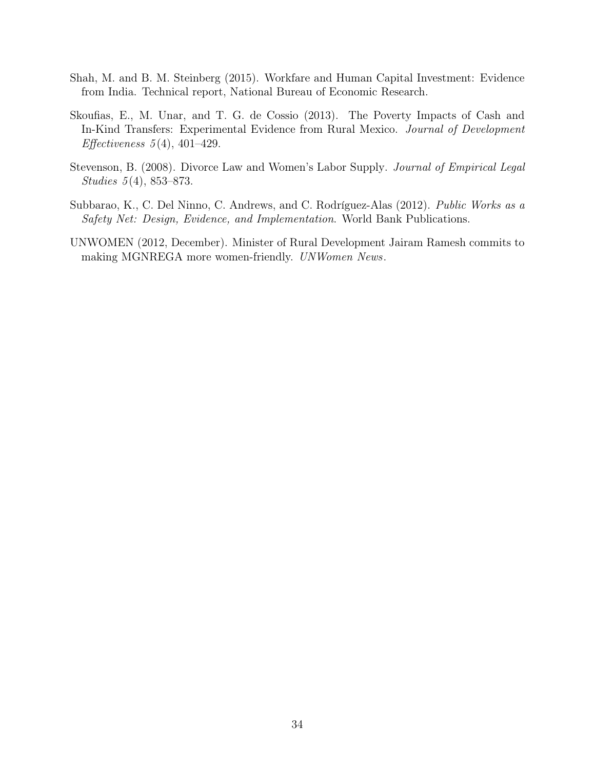- <span id="page-34-2"></span>Shah, M. and B. M. Steinberg (2015). Workfare and Human Capital Investment: Evidence from India. Technical report, National Bureau of Economic Research.
- <span id="page-34-1"></span>Skoufias, E., M. Unar, and T. G. de Cossio (2013). The Poverty Impacts of Cash and In-Kind Transfers: Experimental Evidence from Rural Mexico. Journal of Development Effectiveness  $5(4)$ , 401–429.
- <span id="page-34-0"></span>Stevenson, B. (2008). Divorce Law and Women's Labor Supply. Journal of Empirical Legal Studies 5 (4), 853–873.
- <span id="page-34-3"></span>Subbarao, K., C. Del Ninno, C. Andrews, and C. Rodríguez-Alas (2012). Public Works as a Safety Net: Design, Evidence, and Implementation. World Bank Publications.
- <span id="page-34-4"></span>UNWOMEN (2012, December). Minister of Rural Development Jairam Ramesh commits to making MGNREGA more women-friendly. UNWomen News.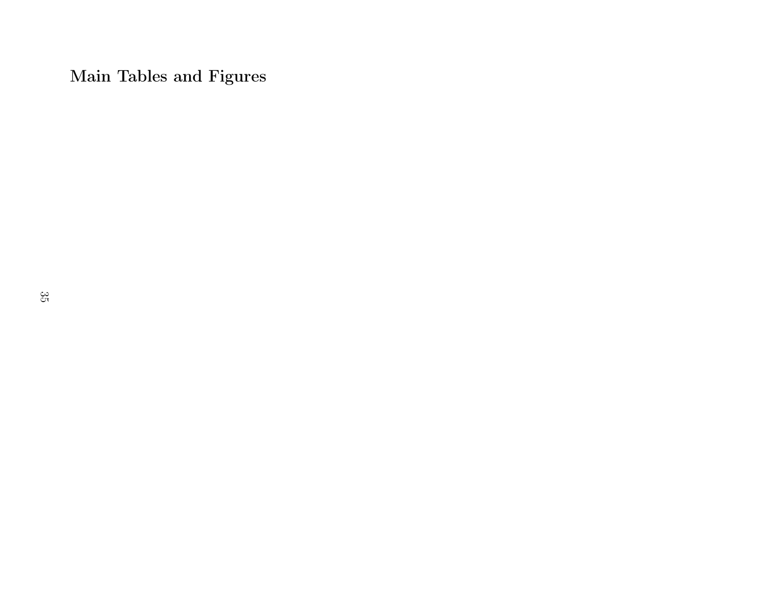Main Tables and Figures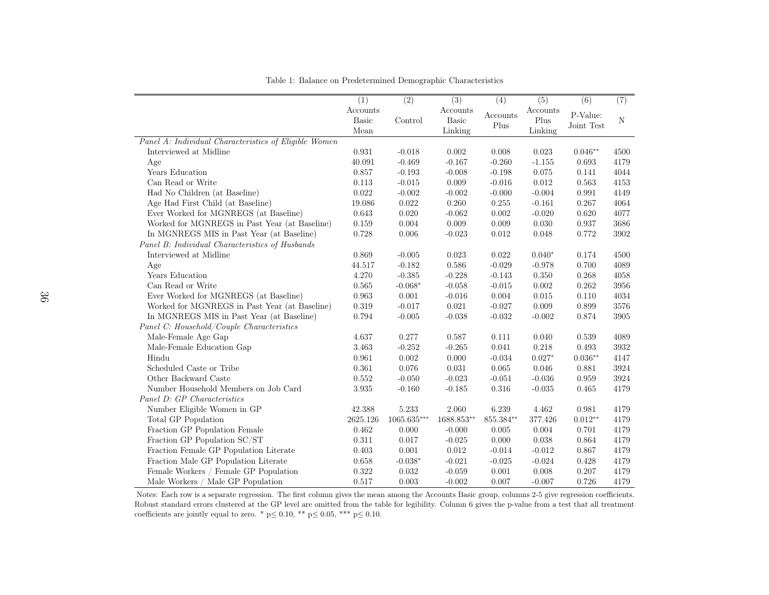|                                                       | (1)          | (2)           | (3)          | (4)       | $\overline{(5)}$ | (6)        | (7)         |
|-------------------------------------------------------|--------------|---------------|--------------|-----------|------------------|------------|-------------|
|                                                       | Accounts     |               | Accounts     |           | Accounts         |            |             |
|                                                       | <b>Basic</b> | Control       | <b>Basic</b> | Accounts  | Plus             | P-Value:   | $\mathbf N$ |
|                                                       | Mean         |               | Linking      | Plus      | Linking          | Joint Test |             |
| Panel A: Individual Characteristics of Eligible Women |              |               |              |           |                  |            |             |
| Interviewed at Midline                                | 0.931        | $-0.018$      | 0.002        | 0.008     | 0.023            | $0.046**$  | 4500        |
| Age                                                   | 40.091       | $-0.469$      | $-0.167$     | $-0.260$  | $-1.155$         | 0.693      | 4179        |
| Years Education                                       | 0.857        | $-0.193$      | $-0.008$     | $-0.198$  | 0.075            | 0.141      | 4044        |
| Can Read or Write                                     | 0.113        | $-0.015$      | 0.009        | $-0.016$  | 0.012            | 0.563      | 4153        |
| Had No Children (at Baseline)                         | 0.022        | $-0.002$      | $-0.002$     | $-0.000$  | $-0.004$         | 0.991      | 4149        |
| Age Had First Child (at Baseline)                     | 19.086       | 0.022         | 0.260        | 0.255     | $-0.161$         | 0.267      | 4064        |
| Ever Worked for MGNREGS (at Baseline)                 | 0.643        | 0.020         | $-0.062$     | 0.002     | $-0.020$         | 0.620      | 4077        |
| Worked for MGNREGS in Past Year (at Baseline)         | 0.159        | 0.004         | 0.009        | 0.009     | 0.030            | 0.937      | 3686        |
| In MGNREGS MIS in Past Year (at Baseline)             | 0.728        | 0.006         | $-0.023$     | 0.012     | 0.048            | 0.772      | 3902        |
| Panel B: Individual Characteristics of Husbands       |              |               |              |           |                  |            |             |
| Interviewed at Midline                                | 0.869        | $-0.005$      | 0.023        | 0.022     | $0.040*$         | 0.174      | 4500        |
| Age                                                   | 44.517       | $-0.182$      | 0.586        | $-0.029$  | $-0.978$         | 0.700      | 4089        |
| Years Education                                       | 4.270        | $-0.385$      | $-0.228$     | $-0.143$  | 0.350            | 0.268      | 4058        |
| Can Read or Write                                     | 0.565        | $-0.068*$     | $-0.058$     | $-0.015$  | 0.002            | 0.262      | 3956        |
| Ever Worked for MGNREGS (at Baseline)                 | 0.963        | 0.001         | $-0.016$     | 0.004     | 0.015            | 0.110      | 4034        |
| Worked for MGNREGS in Past Year (at Baseline)         | 0.319        | $-0.017$      | 0.021        | $-0.027$  | 0.009            | 0.899      | 3576        |
| In MGNREGS MIS in Past Year (at Baseline)             | 0.794        | $-0.005$      | $-0.038$     | $-0.032$  | $-0.002$         | 0.874      | 3905        |
| Panel C: Household/Couple Characteristics             |              |               |              |           |                  |            |             |
| Male-Female Age Gap                                   | 4.637        | 0.277         | 0.587        | 0.111     | 0.040            | 0.539      | 4089        |
| Male-Female Education Gap                             | 3.463        | $-0.252$      | $-0.265$     | 0.041     | 0.218            | 0.493      | 3932        |
| Hindu                                                 | 0.961        | 0.002         | 0.000        | $-0.034$  | $0.027*$         | $0.036**$  | 4147        |
| Scheduled Caste or Tribe                              | 0.361        | 0.076         | 0.031        | 0.065     | 0.046            | 0.881      | 3924        |
| Other Backward Caste                                  | 0.552        | $-0.050$      | $-0.023$     | $-0.051$  | $-0.036$         | 0.959      | 3924        |
| Number Household Members on Job Card                  | 3.935        | $-0.160$      | $-0.185$     | 0.316     | $-0.035$         | 0.465      | 4179        |
| Panel D: GP Characteristics                           |              |               |              |           |                  |            |             |
| Number Eligible Women in GP                           | 42.388       | 5.233         | 2.060        | 6.239     | 4.462            | 0.981      | 4179        |
| Total GP Population                                   | 2625.126     | $1065.635***$ | 1688.853**   | 855.384** | 377.426          | $0.012**$  | 4179        |
| Fraction GP Population Female                         | 0.462        | 0.000         | $-0.000$     | 0.005     | 0.004            | 0.701      | 4179        |
| Fraction GP Population SC/ST                          | 0.311        | 0.017         | $-0.025$     | 0.000     | 0.038            | 0.864      | 4179        |
| Fraction Female GP Population Literate                | 0.403        | 0.001         | 0.012        | $-0.014$  | $-0.012$         | 0.867      | 4179        |
| Fraction Male GP Population Literate                  | 0.658        | $-0.038*$     | $-0.021$     | $-0.025$  | $-0.024$         | 0.428      | 4179        |
| Female Workers / Female GP Population                 | 0.322        | 0.032         | $-0.059$     | 0.001     | 0.008            | 0.207      | 4179        |
| Male Workers / Male GP Population                     | 0.517        | 0.003         | $-0.002$     | 0.007     | $-0.007$         | 0.726      | 4179        |

<span id="page-36-0"></span>Table 1: Balance on Predetermined Demographic Characteristics

 Notes: Each row is <sup>a</sup> separate regression. The first column gives the mean among the Accounts Basic group, columns 2-5 give regression coefficients.Robust standard errors clustered at the GP level are omitted from the table for legibility. Column 6 gives the p-value from a test that all treatment coefficients are jointly equal to zero. \*  $p \le 0.10$ , \*\*  $p \le 0.05$ , \*\*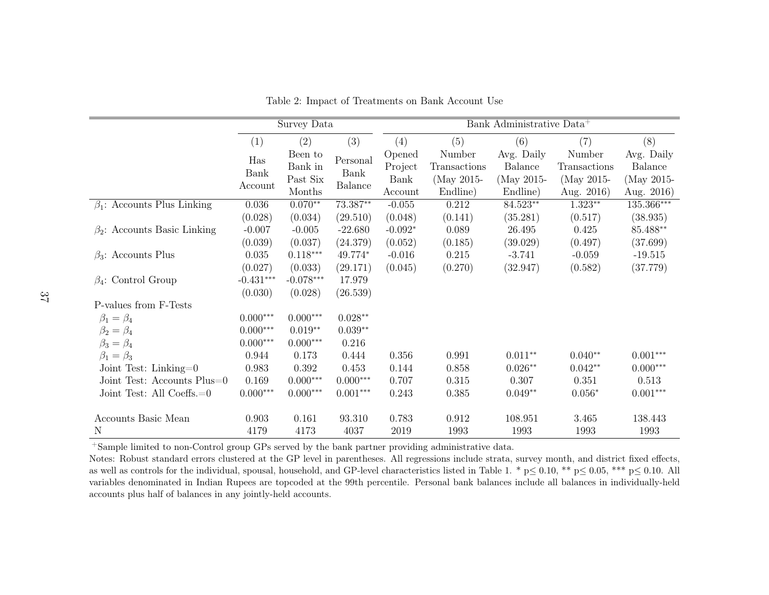|                                    |             | Survey Data                    |                           |                           |                                      | Bank Administrative Data <sup>+</sup> |                                      |                                     |
|------------------------------------|-------------|--------------------------------|---------------------------|---------------------------|--------------------------------------|---------------------------------------|--------------------------------------|-------------------------------------|
|                                    | (1)         | (2)                            | (3)                       | (4)                       | (5)                                  | (6)                                   | (7)                                  | (8)                                 |
|                                    | Has<br>Bank | Been to<br>Bank in<br>Past Six | $\mbox{Personal}$<br>Bank | Opened<br>Project<br>Bank | Number<br>Transactions<br>(May 2015- | Avg. Daily<br>Balance<br>(May 2015-   | Number<br>Transactions<br>(May 2015- | Avg. Daily<br>Balance<br>(May 2015- |
|                                    | Account     | Months                         | Balance                   | Account                   | Endline)                             | Endline)                              | Aug. 2016)                           | Aug. 2016)                          |
| $\beta_1$ : Accounts Plus Linking  | 0.036       | $0.070**$                      | 73.387**                  | $-0.055$                  | 0.212                                | 84.523**                              | $1.323**$                            | 135.366***                          |
|                                    | (0.028)     | (0.034)                        | (29.510)                  | (0.048)                   | (0.141)                              | (35.281)                              | (0.517)                              | (38.935)                            |
| $\beta_2$ : Accounts Basic Linking | $-0.007$    | $-0.005$                       | $-22.680$                 | $-0.092*$                 | 0.089                                | 26.495                                | 0.425                                | 85.488**                            |
|                                    | (0.039)     | (0.037)                        | (24.379)                  | (0.052)                   | (0.185)                              | (39.029)                              | (0.497)                              | (37.699)                            |
| $\beta_3$ : Accounts Plus          | 0.035       | $0.118***$                     | 49.774*                   | $-0.016$                  | 0.215                                | $-3.741$                              | $-0.059$                             | $-19.515$                           |
|                                    | (0.027)     | (0.033)                        | (29.171)                  | (0.045)                   | (0.270)                              | (32.947)                              | (0.582)                              | (37.779)                            |
| $\beta_4$ : Control Group          | $-0.431***$ | $-0.078***$                    | 17.979                    |                           |                                      |                                       |                                      |                                     |
|                                    | (0.030)     | (0.028)                        | (26.539)                  |                           |                                      |                                       |                                      |                                     |
| P-values from F-Tests              |             |                                |                           |                           |                                      |                                       |                                      |                                     |
| $\beta_1=\beta_4$                  | $0.000***$  | $0.000***$                     | $0.028**$                 |                           |                                      |                                       |                                      |                                     |
| $\beta_2=\beta_4$                  | $0.000***$  | $0.019**$                      | $0.039**$                 |                           |                                      |                                       |                                      |                                     |
| $\beta_3 = \beta_4$                | $0.000***$  | $0.000***$                     | 0.216                     |                           |                                      |                                       |                                      |                                     |
| $\beta_1=\beta_3$                  | 0.944       | 0.173                          | 0.444                     | 0.356                     | 0.991                                | $0.011**$                             | $0.040**$                            | $0.001***$                          |
| Joint Test: Linking= $0$           | 0.983       | 0.392                          | 0.453                     | 0.144                     | 0.858                                | $0.026**$                             | $0.042**$                            | $0.000***$                          |
| Joint Test: Accounts Plus=0        | 0.169       | $0.000***$                     | $0.000***$                | 0.707                     | 0.315                                | 0.307                                 | 0.351                                | 0.513                               |
| Joint Test: All Coeffs.=0          | $0.000***$  | $0.000***$                     | $0.001***$                | 0.243                     | 0.385                                | $0.049**$                             | $0.056*$                             | $0.001***$                          |
| Accounts Basic Mean                | 0.903       | 0.161                          | 93.310                    | 0.783                     | 0.912                                | 108.951                               | 3.465                                | 138.443                             |
| N                                  | 4179        | 4173                           | 4037                      | 2019                      | 1993                                 | 1993                                  | 1993                                 | 1993                                |

<span id="page-37-0"></span>Table 2: Impact of Treatments on Bank Account Use

<sup>+</sup>Sample limited to non-Control group GPs served by the bank partner providing administrative data.

 Notes: Robust standard errors clustered at the GP level in parentheses. All regressions include strata, survey month, and district fixed effects,as well as controls for the individual, spousal, household, and GP-level characteristics listed in Table 1. \*  $p \le 0.10$ , \*\*  $p \le 0.05$ , \*\*\*  $p \le 0.10$ . All<br>regulates dependented in Indian Burges are tensored at the 90th variables denominated in Indian Rupees are topcoded at the 99th percentile. Personal bank balances include all balances in individually-heldaccounts <sup>p</sup>lus half of balances in any jointly-held accounts.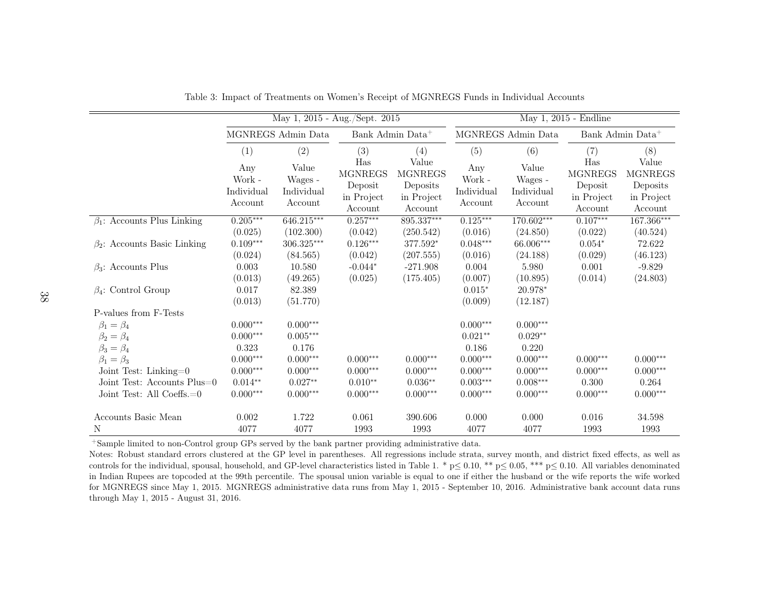|                                                         |                                        | May 1, 2015 - Aug./Sept. 2015             |                                                           |                                                              | May 1, 2015 - Endline                        |                                           |                                                           |                                                              |  |
|---------------------------------------------------------|----------------------------------------|-------------------------------------------|-----------------------------------------------------------|--------------------------------------------------------------|----------------------------------------------|-------------------------------------------|-----------------------------------------------------------|--------------------------------------------------------------|--|
|                                                         |                                        | MGNREGS Admin Data                        | Bank Admin Data <sup>+</sup>                              |                                                              |                                              | MGNREGS Admin Data                        | Bank Admin Data <sup>+</sup>                              |                                                              |  |
|                                                         | (1)                                    | (2)                                       | (3)                                                       | (4)                                                          | (5)                                          | (6)                                       | (7)                                                       | (8)                                                          |  |
|                                                         | Any<br>Work -<br>Individual<br>Account | Value<br>Wages -<br>Individual<br>Account | Has<br><b>MGNREGS</b><br>Deposit<br>in Project<br>Account | Value<br><b>MGNREGS</b><br>Deposits<br>in Project<br>Account | Any<br>Work -<br>Individual<br>Account       | Value<br>Wages -<br>Individual<br>Account | Has<br><b>MGNREGS</b><br>Deposit<br>in Project<br>Account | Value<br><b>MGNREGS</b><br>Deposits<br>in Project<br>Account |  |
| $\beta_1$ : Accounts Plus Linking                       | $0.205***$                             | 646.215***                                | $0.257***$                                                | 895.337***                                                   | $0.125***$                                   | 170.602***                                | $0.107***$                                                | $167.366***$                                                 |  |
| $\beta_2$ : Accounts Basic Linking                      | (0.025)<br>$0.109***$<br>(0.024)       | (102.300)<br>$306.325***$<br>(84.565)     | (0.042)<br>$0.126***$<br>(0.042)                          | (250.542)<br>377.592*<br>(207.555)                           | (0.016)<br>$0.048^{\ast\ast\ast}$<br>(0.016) | (24.850)<br>66.006***<br>(24.188)         | (0.022)<br>$0.054*$<br>(0.029)                            | (40.524)<br>72.622<br>(46.123)                               |  |
| $\beta_3$ : Accounts Plus                               | 0.003<br>(0.013)                       | 10.580<br>(49.265)                        | $-0.044*$<br>(0.025)                                      | $-271.908$<br>(175.405)                                      | 0.004<br>(0.007)                             | 5.980<br>(10.895)                         | 0.001<br>(0.014)                                          | $-9.829$<br>(24.803)                                         |  |
| $\beta_4$ : Control Group                               | 0.017<br>(0.013)                       | 82.389<br>(51.770)                        |                                                           |                                                              | $0.015*$<br>(0.009)                          | 20.978*<br>(12.187)                       |                                                           |                                                              |  |
| P-values from F-Tests                                   |                                        |                                           |                                                           |                                                              |                                              |                                           |                                                           |                                                              |  |
| $\beta_1 = \beta_4$<br>$\beta_2=\beta_4$                | $0.000***$<br>$0.000***$               | $0.000***$<br>$0.005***$                  |                                                           |                                                              | $0.000***$<br>$0.021**$                      | $0.000***$<br>$0.029**$                   |                                                           |                                                              |  |
| $\beta_3 = \beta_4$<br>$\beta_1=\beta_3$                | 0.323<br>$0.000***$                    | 0.176<br>$0.000***$                       | $0.000***$                                                | $0.000***$                                                   | 0.186<br>$0.000***$                          | 0.220<br>$0.000***$                       | $0.000***$                                                | $0.000***$                                                   |  |
| Joint Test: Linking= $0$<br>Joint Test: Accounts Plus=0 | $0.000***$<br>$0.014**$                | $0.000***$<br>$0.027**$                   | $0.000***$<br>$0.010**$                                   | $0.000***$<br>$0.036**$                                      | $0.000***$<br>$0.003***$                     | $0.000***$<br>$0.008***$                  | $0.000***$<br>0.300                                       | $0.000***$<br>0.264                                          |  |
| Joint Test: All Coeffs.=0                               | $0.000***$                             | $0.000***$                                | $0.000***$                                                | $0.000***$                                                   | $0.000***$                                   | $0.000***$                                | $0.000***$                                                | $0.000***$                                                   |  |
| Accounts Basic Mean<br>N                                | 0.002<br>4077                          | 1.722<br>4077                             | 0.061<br>1993                                             | 390.606<br>1993                                              | 0.000<br>4077                                | 0.000<br>4077                             | 0.016<br>1993                                             | 34.598<br>1993                                               |  |

<span id="page-38-0"></span>Table 3: Impact of Treatments on Women's Receipt of MGNREGS Funds in Individual Accounts

<sup>+</sup>Sample limited to non-Control group GPs served by the bank partner providing administrative data.

 Notes: Robust standard errors clustered at the GP level in parentheses. All regressions include strata, survey month, and district fixed effects, as well ascontrols for the individual, spousal, household, and GP-level characteristics listed in Table 1. \*  $p \le 0.10$ , \*\*  $p \le 0.05$ , \*\*\*  $p \le 0.10$ . All variables denominated in Indian Burges are toposed at the 00th perceptibe. in Indian Rupees are topcoded at the 99th percentile. The spousal union variable is equal to one if either the husband or the wife reports the wife worked for MGNREGS since May 1, 2015. MGNREGS administrative data runs from May 1, 2015 - September 10, 2016. Administrative bank account data runsthrough May 1, 2015 - August 31, 2016.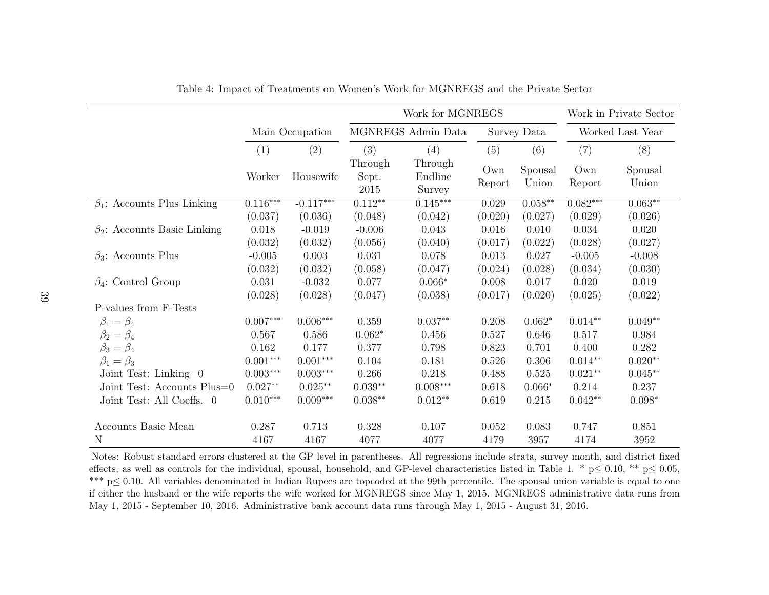|                                    |            |                 |                          | Work for MGNREGS             |               |                  | Work in Private Sector |                  |
|------------------------------------|------------|-----------------|--------------------------|------------------------------|---------------|------------------|------------------------|------------------|
|                                    |            | Main Occupation |                          | MGNREGS Admin Data           |               | Survey Data      |                        | Worked Last Year |
|                                    | (1)        | (2)             | (3)                      | (4)                          | (5)           | (6)              | (7)                    | (8)              |
|                                    | Worker     | Housewife       | Through<br>Sept.<br>2015 | Through<br>Endline<br>Survey | Own<br>Report | Spousal<br>Union | Own<br>Report          | Spousal<br>Union |
| $\beta_1$ : Accounts Plus Linking  | $0.116***$ | $-0.117***$     | $0.112**$                | $0.145***$                   | 0.029         | $0.058**$        | $0.082***$             | $0.063**$        |
|                                    | (0.037)    | (0.036)         | (0.048)                  | (0.042)                      | (0.020)       | (0.027)          | (0.029)                | (0.026)          |
| $\beta_2$ : Accounts Basic Linking | 0.018      | $-0.019$        | $-0.006$                 | 0.043                        | 0.016         | 0.010            | 0.034                  | 0.020            |
|                                    | (0.032)    | (0.032)         | (0.056)                  | (0.040)                      | (0.017)       | (0.022)          | (0.028)                | (0.027)          |
| $\beta_3$ : Accounts Plus          | $-0.005$   | 0.003           | 0.031                    | 0.078                        | 0.013         | 0.027            | $-0.005$               | $-0.008$         |
|                                    | (0.032)    | (0.032)         | (0.058)                  | (0.047)                      | (0.024)       | (0.028)          | (0.034)                | (0.030)          |
| $\beta_4$ : Control Group          | 0.031      | $-0.032$        | 0.077                    | $0.066*$                     | 0.008         | 0.017            | 0.020                  | 0.019            |
|                                    | (0.028)    | (0.028)         | (0.047)                  | (0.038)                      | (0.017)       | (0.020)          | (0.025)                | (0.022)          |
| P-values from F-Tests              |            |                 |                          |                              |               |                  |                        |                  |
| $\beta_1=\beta_4$                  | $0.007***$ | $0.006***$      | 0.359                    | $0.037**$                    | 0.208         | $0.062*$         | $0.014**$              | $0.049**$        |
| $\beta_2=\beta_4$                  | 0.567      | 0.586           | $0.062*$                 | 0.456                        | 0.527         | 0.646            | 0.517                  | 0.984            |
| $\beta_3 = \beta_4$                | 0.162      | 0.177           | 0.377                    | 0.798                        | 0.823         | 0.701            | 0.400                  | 0.282            |
| $\beta_1=\beta_3$                  | $0.001***$ | $0.001***$      | 0.104                    | 0.181                        | 0.526         | 0.306            | $0.014**$              | $0.020**$        |
| Joint Test: Linking=0              | $0.003***$ | $0.003***$      | 0.266                    | 0.218                        | 0.488         | 0.525            | $0.021**$              | $0.045**$        |
| Joint Test: Accounts Plus=0        | $0.027**$  | $0.025***$      | $0.039**$                | $0.008***$                   | 0.618         | $0.066*$         | 0.214                  | 0.237            |
| Joint Test: All Coeffs.=0          | $0.010***$ | $0.009***$      | $0.038**$                | $0.012**$                    | 0.619         | 0.215            | $0.042**$              | $0.098*$         |
| Accounts Basic Mean                | 0.287      | 0.713           | 0.328                    | 0.107                        | 0.052         | 0.083            | 0.747                  | 0.851            |
| $\mathbf N$                        | 4167       | 4167            | 4077                     | 4077                         | 4179          | 3957             | 4174                   | 3952             |

<span id="page-39-0"></span>Table 4: Impact of Treatments on Women's Work for MGNREGS and the Private Sector

Notes: Robust standard errors clustered at the GP level in parentheses. All regressions include strata, survey month, and district fixedeffects, as well as controls for the individual, spousal, household, and GP-level characteristics listed in Table 1. \*  $p \le 0.10$ , \*\*  $p \le 0.05$ , \*\*\* p≤ <sup>0</sup>.10. All variables denominated in Indian Rupees are topcoded at the 99th percentile. The spousa<sup>l</sup> union variable is equa<sup>l</sup> to one if either the husband or the wife reports the wife worked for MGNREGS since May 1, 2015. MGNREGS administrative data runs fromMay 1, 2015 - September 10, 2016. Administrative bank account data runs through May 1, 2015 - August 31, 2016.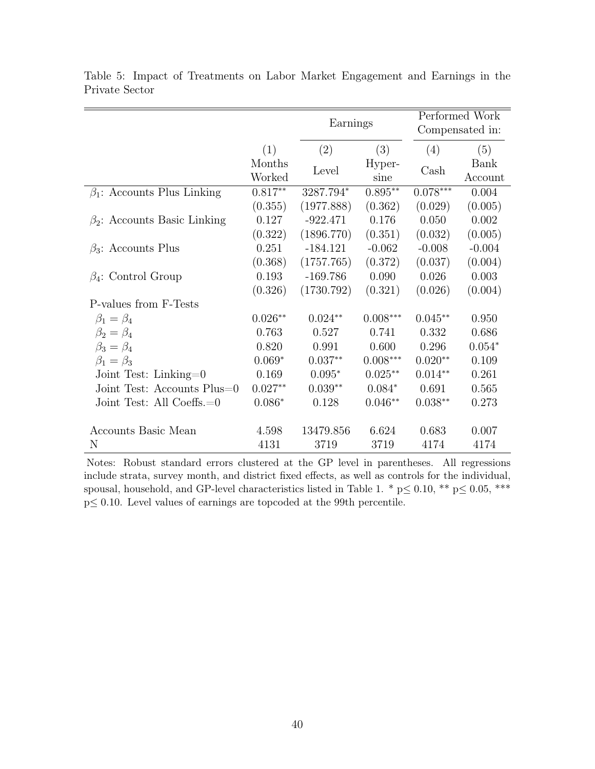|                                    |                  | Earnings   |                |                       | Performed Work<br>Compensated in: |
|------------------------------------|------------------|------------|----------------|-----------------------|-----------------------------------|
|                                    | (1)              | (2)        | (3)            | (4)                   | (5)                               |
|                                    | Months<br>Worked | Level      | Hyper-<br>sine | $\operatorname{Cash}$ | Bank<br>Account                   |
| $\beta_1$ : Accounts Plus Linking  | $0.817**$        | 3287.794*  | $0.895**$      | $0.078***$            | 0.004                             |
|                                    | (0.355)          | (1977.888) | (0.362)        | (0.029)               | (0.005)                           |
| $\beta_2$ : Accounts Basic Linking | 0.127            | $-922.471$ | 0.176          | 0.050                 | 0.002                             |
|                                    | (0.322)          | (1896.770) | (0.351)        | (0.032)               | (0.005)                           |
| $\beta_3$ : Accounts Plus          | 0.251            | $-184.121$ | $-0.062$       | $-0.008$              | $-0.004$                          |
|                                    | (0.368)          | (1757.765) | (0.372)        | (0.037)               | (0.004)                           |
| $\beta_4$ : Control Group          | 0.193            | $-169.786$ | 0.090          | 0.026                 | 0.003                             |
|                                    | (0.326)          | (1730.792) | (0.321)        | (0.026)               | (0.004)                           |
| P-values from F-Tests              |                  |            |                |                       |                                   |
| $\beta_1=\beta_4$                  | $0.026**$        | $0.024**$  | $0.008***$     | $0.045**$             | 0.950                             |
| $\beta_2=\beta_4$                  | 0.763            | 0.527      | 0.741          | 0.332                 | 0.686                             |
| $\beta_3 = \beta_4$                | 0.820            | 0.991      | 0.600          | 0.296                 | $0.054*$                          |
| $\beta_1 = \beta_3$                | $0.069*$         | $0.037**$  | $0.008***$     | $0.020**$             | 0.109                             |
| Joint Test: Linking= $0$           | 0.169            | $0.095*$   | $0.025**$      | $0.014**$             | 0.261                             |
| Joint Test: Accounts Plus=0        | $0.027**$        | $0.039**$  | $0.084*$       | 0.691                 | 0.565                             |
| Joint Test: All Coeffs. $=0$       | $0.086*$         | 0.128      | $0.046**$      | $0.038**$             | 0.273                             |
|                                    |                  |            |                |                       |                                   |
| Accounts Basic Mean                | 4.598            | 13479.856  | 6.624          | 0.683                 | 0.007                             |
| N                                  | 4131             | 3719       | 3719           | 4174                  | 4174                              |

<span id="page-40-0"></span>Table 5: Impact of Treatments on Labor Market Engagement and Earnings in the Private Sector

Notes: Robust standard errors clustered at the GP level in parentheses. All regressions include strata, survey month, and district fixed effects, as well as controls for the individual, spousal, household, and GP-level characteristics listed in Table 1. \* p $\leq 0.10$ , \*\* p $\leq 0.05$ , \*\*\* p≤ 0.10. Level values of earnings are topcoded at the 99th percentile.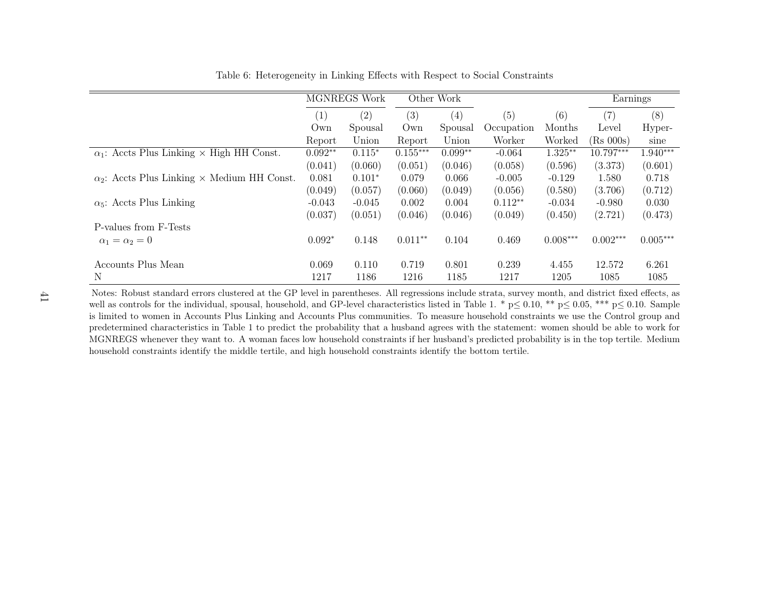|                                                           |                  | MGNREGS Work |            | Other Work |            |            | Earnings     |            |
|-----------------------------------------------------------|------------------|--------------|------------|------------|------------|------------|--------------|------------|
|                                                           | $\left(1\right)$ | (2)          | (3)        | (4)        | (5)        | (6)        | (7)          | (8)        |
|                                                           | Own              | Spousal      | Own        | Spousal    | Occupation | Months     | Level        | Hyper-     |
|                                                           | Report           | Union        | Report     | Union      | Worker     | Worked     | $(Rs\ 000s)$ | sine       |
| $\alpha_1$ : Accts Plus Linking × High HH Const.          | $0.092**$        | $0.115*$     | $0.155***$ | $0.099**$  | $-0.064$   | $1.325**$  | 10.797***    | 1.940***   |
|                                                           | (0.041)          | (0.060)      | (0.051)    | (0.046)    | (0.058)    | (0.596)    | (3.373)      | (0.601)    |
| $\alpha_2$ : Accts Plus Linking $\times$ Medium HH Const. | 0.081            | $0.101*$     | 0.079      | 0.066      | $-0.005$   | $-0.129$   | 1.580        | 0.718      |
|                                                           | (0.049)          | (0.057)      | (0.060)    | (0.049)    | (0.056)    | (0.580)    | (3.706)      | (0.712)    |
| $\alpha_5$ : Accts Plus Linking                           | $-0.043$         | $-0.045$     | 0.002      | 0.004      | $0.112**$  | $-0.034$   | $-0.980$     | 0.030      |
|                                                           | (0.037)          | (0.051)      | (0.046)    | (0.046)    | (0.049)    | (0.450)    | (2.721)      | (0.473)    |
| P-values from F-Tests                                     |                  |              |            |            |            |            |              |            |
| $\alpha_1=\alpha_2=0$                                     | $0.092*$         | 0.148        | $0.011**$  | 0.104      | 0.469      | $0.008***$ | $0.002***$   | $0.005***$ |
| Accounts Plus Mean                                        | 0.069            | 0.110        | 0.719      | 0.801      | 0.239      | 4.455      | 12.572       | 6.261      |
| N                                                         | 1217             | 1186         | 1216       | 1185       | 1217       | 1205       | 1085         | 1085       |

<span id="page-41-0"></span>Table 6: Heterogeneity in Linking Effects with Respect to Social Constraints

Notes: Robust standard errors clustered at the GP level in parentheses. All regressions include strata, survey month, and district fixed effects, aswell as controls for the individual, spousal, household, and GP-level characteristics listed in Table 1. \*  $p \le 0.10$ , \*\*  $p \le 0.05$ , \*\*\*  $p \le 0.10$ . Sample is limited to women in Accounts Plus Linking and Accounts Plus communities. To measure household constraints we use the Control group and predetermined characteristics in Table 1 to predict the probability that <sup>a</sup> husband agrees with the statement: women should be able to work for MGNREGS whenever they want to. A woman faces low household constraints if her husband's predicted probability is in the top tertile. Mediumhousehold constraints identify the middle tertile, and high household constraints identify the bottom tertile.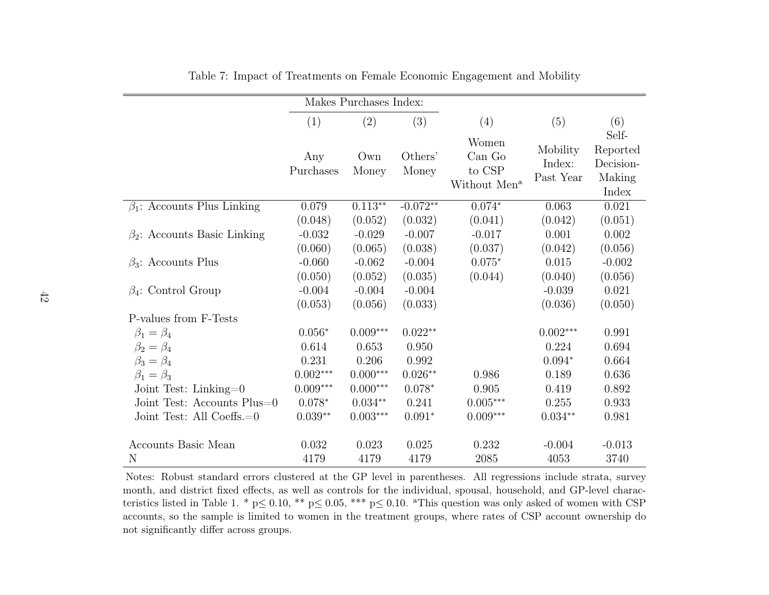|                                    |                  | Makes Purchases Index: |                  |                                                       |                                 |                                                   |
|------------------------------------|------------------|------------------------|------------------|-------------------------------------------------------|---------------------------------|---------------------------------------------------|
|                                    | (1)              | (2)                    | (3)              | (4)                                                   | (5)                             | (6)                                               |
|                                    | Any<br>Purchases | Own<br>Money           | Others'<br>Money | Women<br>Can Go<br>to CSP<br>Without Men <sup>a</sup> | Mobility<br>Index:<br>Past Year | Self-<br>Reported<br>Decision-<br>Making<br>Index |
| $\beta_1$ : Accounts Plus Linking  | 0.079            | $0.113**$              | $-0.072**$       | $0.074*$                                              | 0.063                           | 0.021                                             |
|                                    | (0.048)          | (0.052)                | (0.032)          | (0.041)                                               | (0.042)                         | (0.051)                                           |
| $\beta_2$ : Accounts Basic Linking | $-0.032$         | $-0.029$               | $-0.007$         | $-0.017$                                              | 0.001                           | 0.002                                             |
|                                    | (0.060)          | (0.065)                | (0.038)          | (0.037)                                               | (0.042)                         | (0.056)                                           |
| $\beta_3$ : Accounts Plus          | $-0.060$         | $-0.062$               | $-0.004$         | $0.075*$                                              | 0.015                           | $-0.002$                                          |
|                                    | (0.050)          | (0.052)                | (0.035)          | (0.044)                                               | (0.040)                         | (0.056)                                           |
| $\beta_4$ : Control Group          | $-0.004$         | $-0.004$               | $-0.004$         |                                                       | $-0.039$                        | 0.021                                             |
|                                    | (0.053)          | (0.056)                | (0.033)          |                                                       | (0.036)                         | (0.050)                                           |
| P-values from F-Tests              |                  |                        |                  |                                                       |                                 |                                                   |
| $\beta_1 = \beta_4$                | $0.056*$         | $0.009***$             | $0.022**$        |                                                       | $0.002***$                      | 0.991                                             |
| $\beta_2=\beta_4$                  | 0.614            | 0.653                  | 0.950            |                                                       | 0.224                           | 0.694                                             |
| $\beta_3 = \beta_4$                | 0.231            | 0.206                  | 0.992            |                                                       | $0.094*$                        | 0.664                                             |
| $\beta_1=\beta_3$                  | $0.002***$       | $0.000***$             | $0.026**$        | 0.986                                                 | 0.189                           | 0.636                                             |
| Joint Test: Linking= $0$           | $0.009***$       | $0.000***$             | $0.078*$         | 0.905                                                 | 0.419                           | 0.892                                             |
| Joint Test: Accounts Plus=0        | $0.078*$         | $0.034**$              | 0.241            | $0.005^{***}\,$                                       | 0.255                           | 0.933                                             |
| Joint Test: All Coeffs.=0          | $0.039**$        | $0.003***$             | $0.091*$         | $0.009***$                                            | $0.034**$                       | 0.981                                             |
| Accounts Basic Mean                | 0.032            | 0.023                  | 0.025            | 0.232                                                 | $-0.004$                        | $-0.013$                                          |
| N                                  | 4179             | 4179                   | 4179             | 2085                                                  | 4053                            | 3740                                              |

<span id="page-42-0"></span>Table 7: Impact of Treatments on Female Economic Engagement and Mobility

Notes: Robust standard errors clustered at the GP level in parentheses. All regressions include strata, survey month, and district fixed effects, as well as controls for the individual, spousal, household, and GP-level characteristics listed in Table 1. \*  $p \le 0.10$ , \*\*  $p \le 0.05$ , \*\*\*  $p \le 0.10$ . <sup>a</sup>This question was only asked of women with CSP accounts, so the sample is limited to women in the treatment groups, where rates of CSP account ownership donot significantly differ across groups.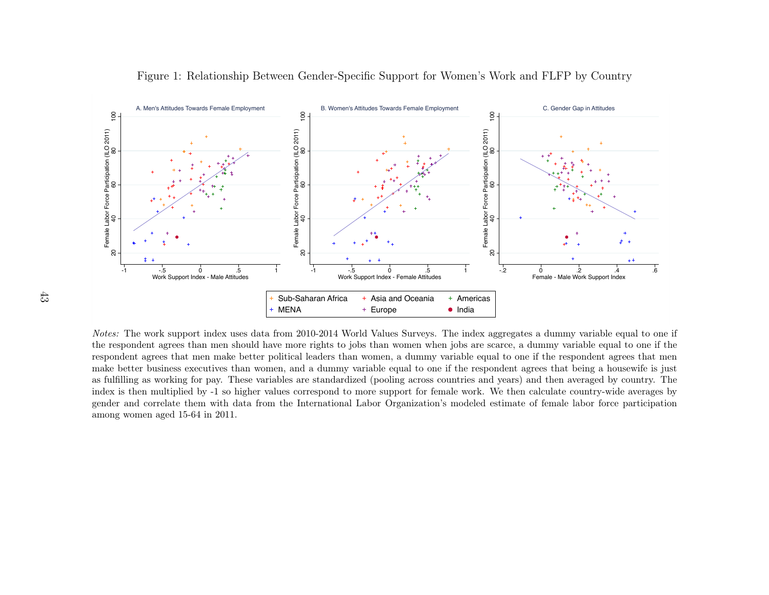

<span id="page-43-0"></span>Figure 1: Relationship Between Gender-Specific Support for Women's Work and FLFP by Country

Notes: The work support index uses data from 2010-2014 World Values Surveys. The index aggregates <sup>a</sup> dummy variable equa<sup>l</sup> to one if the respondent agrees than men should have more rights to jobs than women when jobs are scarce, <sup>a</sup> dummy variable equal to one if the respondent agrees that men make better political leaders than women, <sup>a</sup> dummy variable equal to one if the respondent agrees that men make better business executives than women, and <sup>a</sup> dummy variable equal to one if the respondent agrees that being <sup>a</sup> housewife is just as fulfilling as working for pay. These variables are standardized (pooling across countries and years) and then averaged by country. The index is then multiplied by -1 so higher values correspond to more support for female work. We then calculate country-wide averages by gender and correlate them with data from the International Labor Organization's modeled estimate of female labor force participationamong women aged 15-64 in 2011.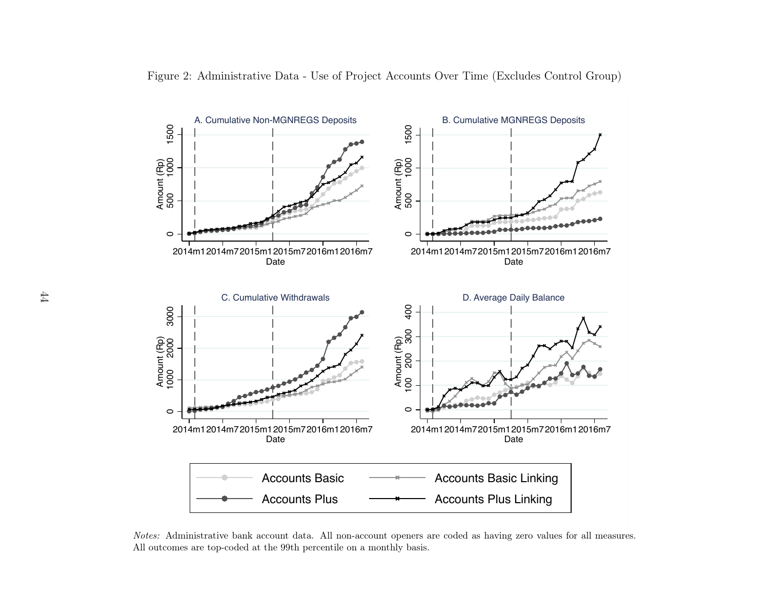

Figure 2: Administrative Data - Use of Project Accounts Over Time (Excludes Control Group)

<span id="page-44-0"></span>Notes: Administrative bank account data. All non-account openers are coded as having zero values for all measures. All outcomes are top-coded at the 99th percentile on <sup>a</sup> monthly basis.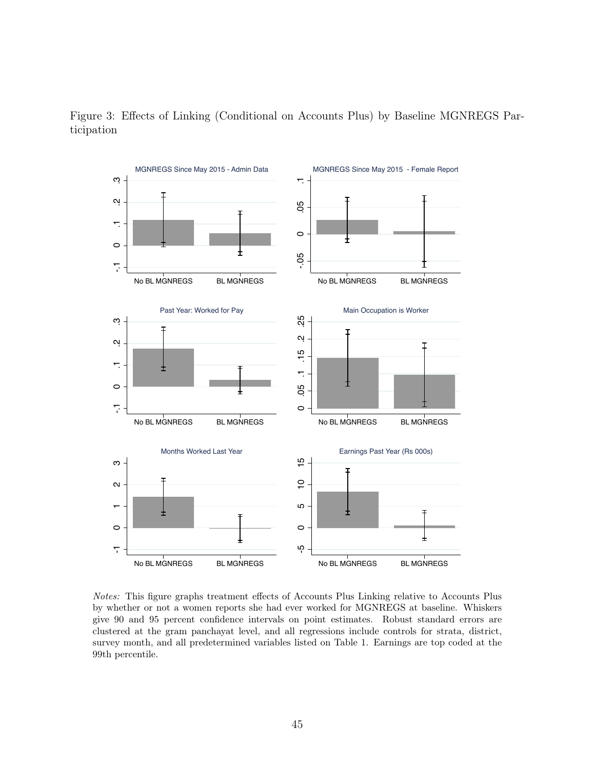

<span id="page-45-0"></span>Figure 3: Effects of Linking (Conditional on Accounts Plus) by Baseline MGNREGS Participation

Notes: This figure graphs treatment effects of Accounts Plus Linking relative to Accounts Plus by whether or not a women reports she had ever worked for MGNREGS at baseline. Whiskers give 90 and 95 percent confidence intervals on point estimates. Robust standard errors are clustered at the gram panchayat level, and all regressions include controls for strata, district, survey month, and all predetermined variables listed on Table 1. Earnings are top coded at the 99th percentile.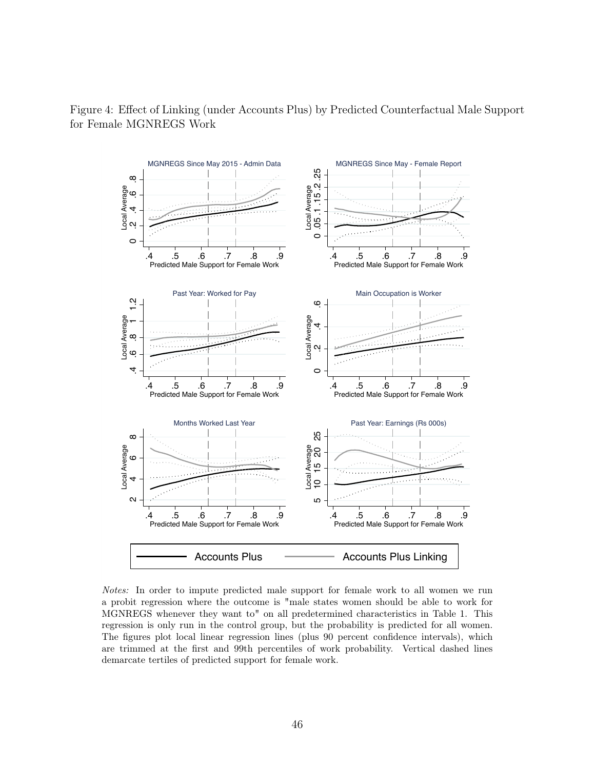

<span id="page-46-0"></span>Figure 4: Effect of Linking (under Accounts Plus) by Predicted Counterfactual Male Support for Female MGNREGS Work

Notes: In order to impute predicted male support for female work to all women we run a probit regression where the outcome is "male states women should be able to work for MGNREGS whenever they want to" on all predetermined characteristics in Table 1. This regression is only run in the control group, but the probability is predicted for all women. The figures plot local linear regression lines (plus 90 percent confidence intervals), which are trimmed at the first and 99th percentiles of work probability. Vertical dashed lines demarcate tertiles of predicted support for female work.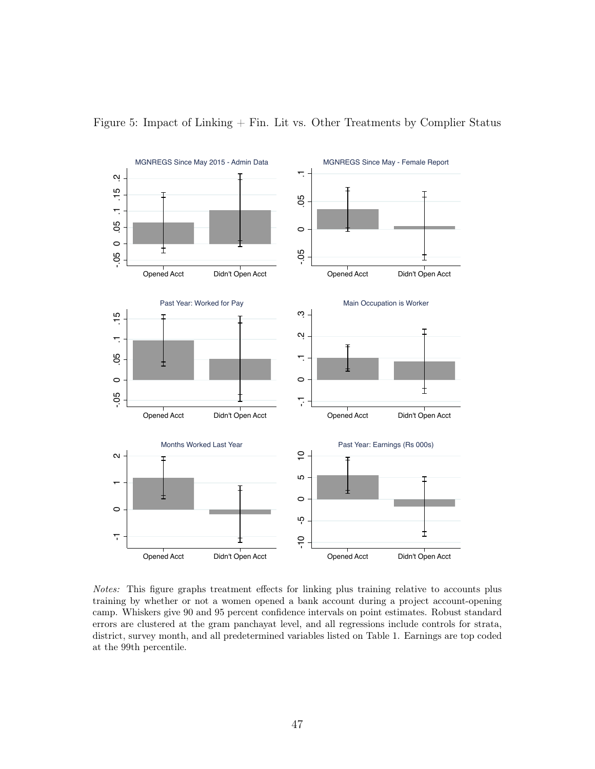

<span id="page-47-0"></span>Figure 5: Impact of Linking + Fin. Lit vs. Other Treatments by Complier Status

Notes: This figure graphs treatment effects for linking plus training relative to accounts plus training by whether or not a women opened a bank account during a project account-opening camp. Whiskers give 90 and 95 percent confidence intervals on point estimates. Robust standard errors are clustered at the gram panchayat level, and all regressions include controls for strata, district, survey month, and all predetermined variables listed on Table 1. Earnings are top coded at the 99th percentile.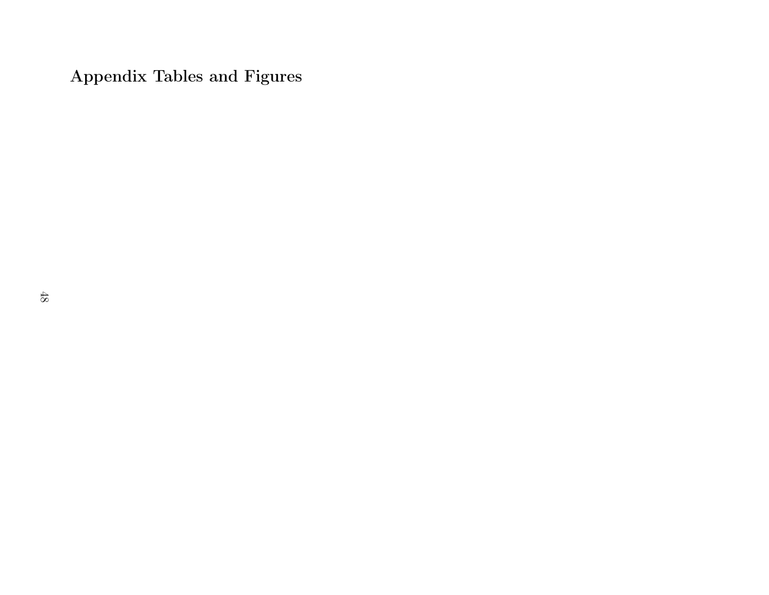Appendix Tables and Figures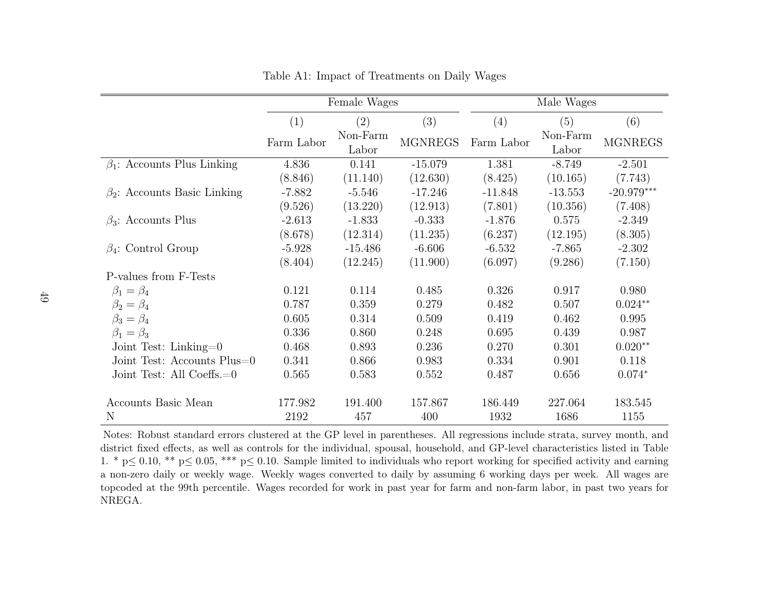|                                    |            | Female Wages      |                |            | Male Wages        |                |
|------------------------------------|------------|-------------------|----------------|------------|-------------------|----------------|
|                                    | (1)        | (2)               | (3)            | (4)        | (5)               | (6)            |
|                                    | Farm Labor | Non-Farm<br>Labor | <b>MGNREGS</b> | Farm Labor | Non-Farm<br>Labor | <b>MGNREGS</b> |
| $\beta_1$ : Accounts Plus Linking  | 4.836      | 0.141             | $-15.079$      | 1.381      | $-8.749$          | $-2.501$       |
|                                    | (8.846)    | (11.140)          | (12.630)       | (8.425)    | (10.165)          | (7.743)        |
| $\beta_2$ : Accounts Basic Linking | $-7.882$   | $-5.546$          | $-17.246$      | $-11.848$  | $-13.553$         | $-20.979***$   |
|                                    | (9.526)    | (13.220)          | (12.913)       | (7.801)    | (10.356)          | (7.408)        |
| $\beta_3$ : Accounts Plus          | $-2.613$   | $-1.833$          | $-0.333$       | $-1.876$   | 0.575             | $-2.349$       |
|                                    | (8.678)    | (12.314)          | (11.235)       | (6.237)    | (12.195)          | (8.305)        |
| $\beta_4$ : Control Group          | $-5.928$   | $-15.486$         | $-6.606$       | $-6.532$   | $-7.865$          | $-2.302$       |
|                                    | (8.404)    | (12.245)          | (11.900)       | (6.097)    | (9.286)           | (7.150)        |
| P-values from F-Tests              |            |                   |                |            |                   |                |
| $\beta_1=\beta_4$                  | 0.121      | 0.114             | 0.485          | 0.326      | 0.917             | 0.980          |
| $\beta_2=\beta_4$                  | 0.787      | 0.359             | 0.279          | 0.482      | 0.507             | $0.024**$      |
| $\beta_3 = \beta_4$                | 0.605      | 0.314             | 0.509          | 0.419      | 0.462             | 0.995          |
| $\beta_1 = \beta_3$                | 0.336      | 0.860             | 0.248          | 0.695      | 0.439             | 0.987          |
| Joint Test: Linking= $0$           | 0.468      | 0.893             | 0.236          | 0.270      | 0.301             | $0.020**$      |
| Joint Test: Accounts Plus=0        | 0.341      | 0.866             | 0.983          | 0.334      | 0.901             | 0.118          |
| Joint Test: All Coeffs.=0          | 0.565      | 0.583             | 0.552          | 0.487      | 0.656             | $0.074*$       |
| Accounts Basic Mean                | 177.982    | 191.400           | 157.867        | 186.449    | 227.064           | 183.545        |
| N                                  | 2192       | 457               | 400            | 1932       | 1686              | 1155           |

<span id="page-49-0"></span>Table A1: Impact of Treatments on Daily Wages

Notes: Robust standard errors clustered at the GP level in parentheses. All regressions include strata, survey month, and district fixed effects, as well as controls for the individual, spousal, household, and GP-level characteristics listed in Table1. \*  $p \le 0.10$ , \*\*  $p \le 0.05$ , \*\*\*  $p \le 0.10$ . Sample limited to individuals who report working for specified activity and earning <sup>a</sup> non-zero daily or weekly wage. Weekly wages converted to daily by assuming 6 working days per week. All wages are topcoded at the 99th percentile. Wages recorded for work in past year for farm and non-farm labor, in past two years forNREGA.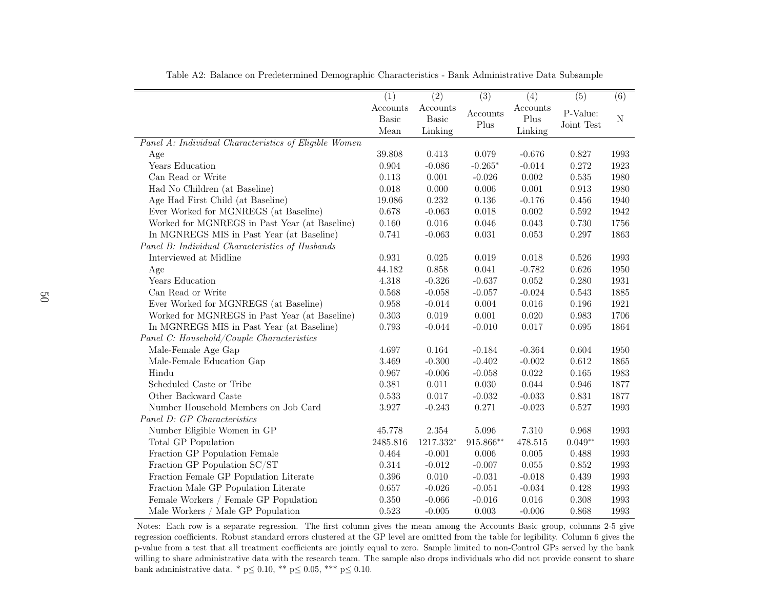|                                                       | $\overline{(1)}$ | $\overline{(2)}$ | $\overline{(3)}$ | $\overline{(4)}$ | $\overline{(5)}$ | $\overline{(6)}$ |
|-------------------------------------------------------|------------------|------------------|------------------|------------------|------------------|------------------|
|                                                       | Accounts         | Accounts         |                  | Accounts         |                  |                  |
|                                                       | <b>Basic</b>     | Basic            | Accounts         | Plus             | P-Value:         | ${\rm N}$        |
|                                                       | Mean             | Linking          | Plus             | Linking          | Joint Test       |                  |
| Panel A: Individual Characteristics of Eligible Women |                  |                  |                  |                  |                  |                  |
|                                                       | 39.808           | 0.413            | 0.079            | $-0.676$         | 0.827            | 1993             |
| Age<br>Years Education                                | 0.904            | $-0.086$         | $-0.265*$        | $-0.014$         | 0.272            | 1923             |
| Can Read or Write                                     | 0.113            | 0.001            | $-0.026$         | 0.002            | $0.535\,$        | 1980             |
|                                                       | 0.018            | 0.000            | 0.006            | 0.001            | 0.913            | 1980             |
| Had No Children (at Baseline)                         |                  |                  |                  |                  |                  |                  |
| Age Had First Child (at Baseline)                     | 19.086           | 0.232            | $0.136\,$        | $-0.176$         | 0.456            | 1940             |
| Ever Worked for MGNREGS (at Baseline)                 | 0.678            | $-0.063$         | 0.018            | 0.002            | 0.592            | 1942             |
| Worked for MGNREGS in Past Year (at Baseline)         | 0.160            | 0.016            | 0.046            | 0.043            | 0.730            | 1756             |
| In MGNREGS MIS in Past Year (at Baseline)             | 0.741            | $-0.063$         | 0.031            | $0.053\,$        | 0.297            | 1863             |
| Panel B: Individual Characteristics of Husbands       |                  |                  |                  |                  |                  |                  |
| Interviewed at Midline                                | 0.931            | 0.025            | 0.019            | 0.018            | 0.526            | 1993             |
| Age                                                   | 44.182           | 0.858            | 0.041            | $-0.782$         | 0.626            | 1950             |
| Years Education                                       | 4.318            | $-0.326$         | $-0.637$         | 0.052            | 0.280            | 1931             |
| Can Read or Write                                     | 0.568            | $-0.058$         | $-0.057$         | $-0.024$         | 0.543            | 1885             |
| Ever Worked for MGNREGS (at Baseline)                 | 0.958            | $-0.014$         | 0.004            | 0.016            | 0.196            | 1921             |
| Worked for MGNREGS in Past Year (at Baseline)         | 0.303            | $0.019\,$        | 0.001            | 0.020            | 0.983            | 1706             |
| In MGNREGS MIS in Past Year (at Baseline)             | 0.793            | $-0.044$         | $-0.010$         | 0.017            | 0.695            | 1864             |
| Panel C: Household/Couple Characteristics             |                  |                  |                  |                  |                  |                  |
| Male-Female Age Gap                                   | 4.697            | 0.164            | $-0.184$         | $-0.364$         | 0.604            | 1950             |
| Male-Female Education Gap                             | 3.469            | $-0.300$         | $-0.402$         | $-0.002$         | 0.612            | 1865             |
| Hindu                                                 | 0.967            | $-0.006$         | $-0.058$         | $0.022\,$        | 0.165            | 1983             |
| Scheduled Caste or Tribe                              | 0.381            | 0.011            | 0.030            | 0.044            | 0.946            | 1877             |
| Other Backward Caste                                  | 0.533            | 0.017            | $-0.032$         | $-0.033$         | 0.831            | 1877             |
| Number Household Members on Job Card                  | 3.927            | $-0.243$         | 0.271            | $-0.023$         | 0.527            | 1993             |
| Panel D: GP Characteristics                           |                  |                  |                  |                  |                  |                  |
| Number Eligible Women in GP                           | 45.778           | $2.354\,$        | 5.096            | $7.310\,$        | 0.968            | 1993             |
| Total GP Population                                   | 2485.816         | 1217.332*        | 915.866**        | 478.515          | $0.049**$        | 1993             |
| Fraction GP Population Female                         | 0.464            | $-0.001$         | 0.006            | $0.005\,$        | $0.488\,$        | 1993             |
| Fraction GP Population SC/ST                          | 0.314            | $-0.012$         | $-0.007$         | $0.055\,$        | 0.852            | 1993             |
| Fraction Female GP Population Literate                | 0.396            | 0.010            | $-0.031$         | $-0.018$         | 0.439            | 1993             |
| Fraction Male GP Population Literate                  | 0.657            | $-0.026$         | $-0.051$         | $-0.034$         | 0.428            | 1993             |
| Female Workers / Female GP Population                 | 0.350            | $-0.066$         | $-0.016$         | 0.016            | 0.308            | 1993             |
| Male Workers / Male GP Population                     | 0.523            | $-0.005$         | 0.003            | $-0.006$         | 0.868            | 1993             |

Table A2: Balance on Predetermined Demographic Characteristics - Bank Administrative Data Subsample

 Notes: Each row is <sup>a</sup> separate regression. The first column gives the mean among the Accounts Basic group, columns 2-5 give regression coefficients. Robust standard errors clustered at the GP level are omitted from the table for legibility. Column 6 gives the p-value from <sup>a</sup> test that all treatment coefficients are jointly equal to zero. Sample limited to non-Control GPs served by the bank willing to share administrative data with the research team. The sample also drops individuals who did not provide consent to sharebank administrative data. \*  $p \le 0.10$ , \*\*  $p \le 0.05$ , \*\*\*  $p \le 0.10$ .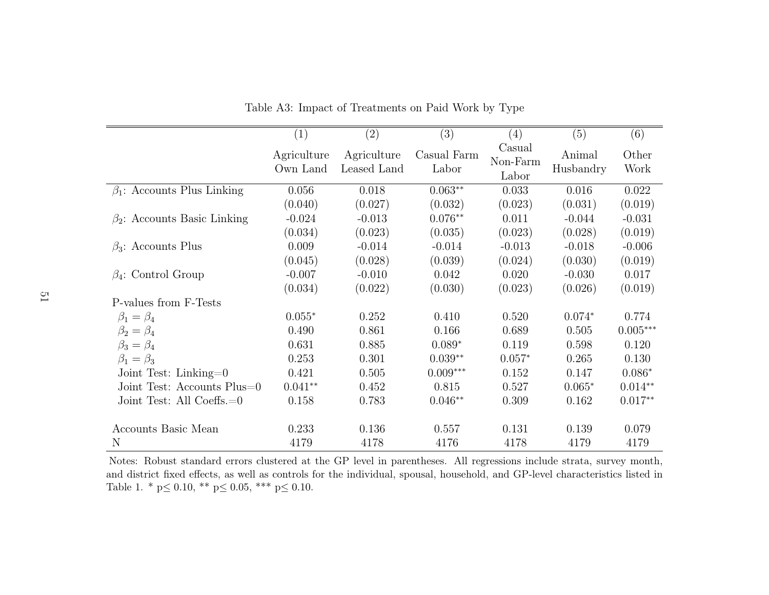|                                    | (1)                     | $\left( 2\right)$          | (3)                  | (4)                         | (5)                 | (6)           |
|------------------------------------|-------------------------|----------------------------|----------------------|-----------------------------|---------------------|---------------|
|                                    | Agriculture<br>Own Land | Agriculture<br>Leased Land | Casual Farm<br>Labor | Casual<br>Non-Farm<br>Labor | Animal<br>Husbandry | Other<br>Work |
| $\beta_1$ : Accounts Plus Linking  | 0.056                   | 0.018                      | $0.063**$            | 0.033                       | 0.016               | 0.022         |
|                                    | (0.040)                 | (0.027)                    | (0.032)              | (0.023)                     | (0.031)             | (0.019)       |
| $\beta_2$ : Accounts Basic Linking | $-0.024$                | $-0.013$                   | $0.076**$            | 0.011                       | $-0.044$            | $-0.031$      |
|                                    | (0.034)                 | (0.023)                    | (0.035)              | (0.023)                     | (0.028)             | (0.019)       |
| $\beta_3$ : Accounts Plus          | 0.009                   | $-0.014$                   | $-0.014$             | $-0.013$                    | $-0.018$            | $-0.006$      |
|                                    | (0.045)                 | (0.028)                    | (0.039)              | (0.024)                     | (0.030)             | (0.019)       |
| $\beta_4$ : Control Group          | $-0.007$                | $-0.010$                   | 0.042                | 0.020                       | $-0.030$            | 0.017         |
|                                    | (0.034)                 | (0.022)                    | (0.030)              | (0.023)                     | (0.026)             | (0.019)       |
| P-values from F-Tests              |                         |                            |                      |                             |                     |               |
| $\beta_1=\beta_4$                  | $0.055*$                | 0.252                      | 0.410                | 0.520                       | $0.074*$            | 0.774         |
| $\beta_2=\beta_4$                  | 0.490                   | 0.861                      | 0.166                | 0.689                       | 0.505               | $0.005***$    |
| $\beta_3 = \beta_4$                | 0.631                   | 0.885                      | $0.089*$             | 0.119                       | 0.598               | 0.120         |
| $\beta_1=\beta_3$                  | 0.253                   | 0.301                      | $0.039**$            | $0.057*$                    | 0.265               | 0.130         |
| Joint Test: Linking=0              | 0.421                   | 0.505                      | $0.009***$           | 0.152                       | 0.147               | $0.086*$      |
| Joint Test: Accounts Plus=0        | $0.041**$               | 0.452                      | 0.815                | 0.527                       | $0.065*$            | $0.014**$     |
| Joint Test: All Coeffs. $=0$       | 0.158                   | 0.783                      | $0.046**$            | 0.309                       | 0.162               | $0.017**$     |
| Accounts Basic Mean                | 0.233                   | 0.136                      | 0.557                | 0.131                       | 0.139               | 0.079         |
| N                                  | 4179                    | 4178                       | 4176                 | 4178                        | 4179                | 4179          |

<span id="page-51-0"></span>Table A3: Impact of Treatments on Paid Work by Type

Notes: Robust standard errors clustered at the GP level in parentheses. All regressions include strata, survey month, and district fixed effects, as well as controls for the individual, spousal, household, and GP-level characteristics listed inTable 1.  $*$  p $\leq$  0.10,  $**$  p $\leq$  0.05,  $***$  p $\leq$  0.10.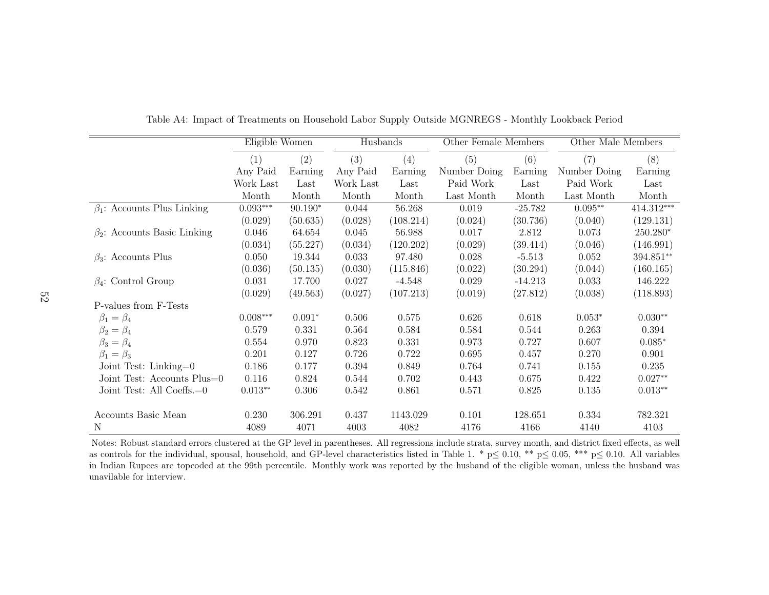|                                    | Eligible Women |           | Husbands  |           | Other Female Members |           | Other Male Members |            |
|------------------------------------|----------------|-----------|-----------|-----------|----------------------|-----------|--------------------|------------|
|                                    | (1)            | (2)       | (3)       | (4)       | (5)                  | (6)       | (7)                | (8)        |
|                                    | Any Paid       | Earning   | Any Paid  | Earning   | Number Doing         | Earning   | Number Doing       | Earning    |
|                                    | Work Last      | Last      | Work Last | Last      | Paid Work            | Last      | Paid Work          | Last       |
|                                    | Month          | Month     | Month     | Month     | Last Month           | Month     | Last Month         | Month      |
| $\beta_1$ : Accounts Plus Linking  | $0.093***$     | $90.190*$ | 0.044     | 56.268    | 0.019                | $-25.782$ | $0.095***$         | 414.312*** |
|                                    | (0.029)        | (50.635)  | (0.028)   | (108.214) | (0.024)              | (30.736)  | (0.040)            | (129.131)  |
| $\beta_2$ : Accounts Basic Linking | 0.046          | 64.654    | 0.045     | 56.988    | 0.017                | 2.812     | 0.073              | 250.280*   |
|                                    | (0.034)        | (55.227)  | (0.034)   | (120.202) | (0.029)              | (39.414)  | (0.046)            | (146.991)  |
| $\beta_3$ : Accounts Plus          | 0.050          | 19.344    | 0.033     | 97.480    | 0.028                | $-5.513$  | 0.052              | 394.851**  |
|                                    | (0.036)        | (50.135)  | (0.030)   | (115.846) | (0.022)              | (30.294)  | (0.044)            | (160.165)  |
| $\beta_4$ : Control Group          | 0.031          | 17.700    | 0.027     | $-4.548$  | 0.029                | $-14.213$ | 0.033              | 146.222    |
|                                    | (0.029)        | (49.563)  | (0.027)   | (107.213) | (0.019)              | (27.812)  | (0.038)            | (118.893)  |
| P-values from F-Tests              |                |           |           |           |                      |           |                    |            |
| $\beta_1=\beta_4$                  | $0.008***$     | $0.091*$  | 0.506     | 0.575     | 0.626                | 0.618     | $0.053*$           | $0.030**$  |
| $\beta_2=\beta_4$                  | 0.579          | 0.331     | 0.564     | 0.584     | 0.584                | 0.544     | 0.263              | 0.394      |
| $\beta_3 = \beta_4$                | 0.554          | 0.970     | 0.823     | 0.331     | 0.973                | 0.727     | 0.607              | $0.085*$   |
| $\beta_1=\beta_3$                  | 0.201          | 0.127     | 0.726     | 0.722     | 0.695                | 0.457     | 0.270              | 0.901      |
| Joint Test: Linking= $0$           | 0.186          | 0.177     | 0.394     | 0.849     | 0.764                | 0.741     | 0.155              | 0.235      |
| Joint Test: Accounts Plus=0        | 0.116          | 0.824     | 0.544     | 0.702     | 0.443                | 0.675     | 0.422              | $0.027**$  |
| Joint Test: All Coeffs.=0          | $0.013**$      | 0.306     | 0.542     | 0.861     | 0.571                | 0.825     | 0.135              | $0.013**$  |
|                                    |                |           |           |           |                      |           |                    |            |
| Accounts Basic Mean                | 0.230          | 306.291   | 0.437     | 1143.029  | 0.101                | 128.651   | 0.334              | 782.321    |
| N                                  | 4089           | 4071      | 4003      | 4082      | 4176                 | 4166      | 4140               | 4103       |

<span id="page-52-0"></span>Table A4: Impact of Treatments on Household Labor Supply Outside MGNREGS - Monthly Lookback Period

 Notes: Robust standard errors clustered at the GP level in parentheses. All regressions include strata, survey month, and district fixed effects, as wellas controls for the individual, spousal, household, and GP-level characteristics listed in Table 1. \*  $p \le 0.10$ , \*\*  $p \le 0.05$ , \*\*\*  $p \le 0.10$ . All variables in Indian Burges are tensored at the 00th perceptile. Marthly in Indian Rupees are topcoded at the 99th percentile. Monthly work was reported by the husband of the eligible woman, unless the husband wasunavilable for interview.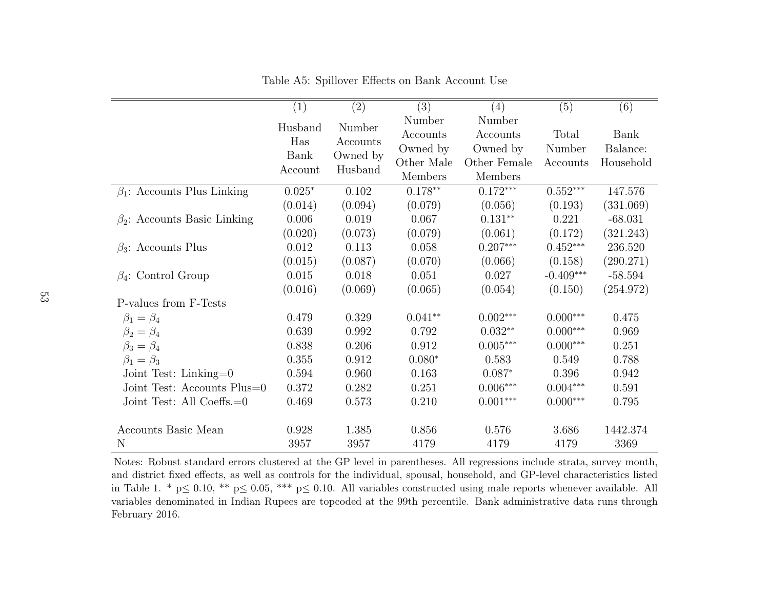|                                    | (1)      | $\overline{(2)}$    | $\overline{(3)}$ | (4)          | (5)         | (6)       |
|------------------------------------|----------|---------------------|------------------|--------------|-------------|-----------|
|                                    | Husband  | Number              | Number           | Number       |             |           |
|                                    |          |                     | Accounts         | Accounts     | Total       | Bank      |
|                                    | Has      | Accounts            | Owned by         | Owned by     | Number      | Balance:  |
|                                    | Bank     | Owned by<br>Husband | Other Male       | Other Female | Accounts    | Household |
|                                    | Account  |                     | Members          | Members      |             |           |
| $\beta_1$ : Accounts Plus Linking  | $0.025*$ | 0.102               | $0.178**$        | $0.172***$   | $0.552***$  | 147.576   |
|                                    | (0.014)  | (0.094)             | (0.079)          | (0.056)      | (0.193)     | (331.069) |
| $\beta_2$ : Accounts Basic Linking | 0.006    | 0.019               | 0.067            | $0.131**$    | 0.221       | $-68.031$ |
|                                    | (0.020)  | (0.073)             | (0.079)          | (0.061)      | (0.172)     | (321.243) |
| $\beta_3$ : Accounts Plus          | 0.012    | 0.113               | 0.058            | $0.207***$   | $0.452***$  | 236.520   |
|                                    | (0.015)  | (0.087)             | (0.070)          | (0.066)      | (0.158)     | (290.271) |
| $\beta_4$ : Control Group          | 0.015    | 0.018               | 0.051            | 0.027        | $-0.409***$ | $-58.594$ |
|                                    | (0.016)  | (0.069)             | (0.065)          | (0.054)      | (0.150)     | (254.972) |
| P-values from F-Tests              |          |                     |                  |              |             |           |
| $\beta_1=\beta_4$                  | 0.479    | 0.329               | $0.041**$        | $0.002***$   | $0.000***$  | 0.475     |
| $\beta_2=\beta_4$                  | 0.639    | 0.992               | 0.792            | $0.032**$    | $0.000***$  | 0.969     |
| $\beta_3 = \beta_4$                | 0.838    | 0.206               | 0.912            | $0.005***$   | $0.000***$  | 0.251     |
| $\beta_1 = \beta_3$                | 0.355    | 0.912               | $0.080*$         | 0.583        | 0.549       | 0.788     |
| Joint Test: Linking= $0$           | 0.594    | 0.960               | 0.163            | $0.087*$     | 0.396       | 0.942     |
| Joint Test: Accounts Plus=0        | 0.372    | 0.282               | 0.251            | $0.006***$   | $0.004***$  | 0.591     |
| Joint Test: All Coeffs. $=0$       | 0.469    | 0.573               | 0.210            | $0.001***$   | $0.000***$  | 0.795     |
| Accounts Basic Mean                | 0.928    | 1.385               | 0.856            | 0.576        | 3.686       | 1442.374  |
| N                                  | 3957     | 3957                | 4179             | 4179         | 4179        | 3369      |

<span id="page-53-0"></span>Table A5: Spillover Effects on Bank Account Use

Notes: Robust standard errors clustered at the GP level in parentheses. All regressions include strata, survey month, and district fixed effects, as well as controls for the individual, spousal, household, and GP-level characteristics listedin Table 1. \*  $p \le 0.10$ , \*\*  $p \le 0.05$ , \*\*\*  $p \le 0.10$ . All variables constructed using male reports whenever available. All variables denominated in Indian Rupees are topcoded at the 99th percentile. Bank administrative data runs throughFebruary 2016.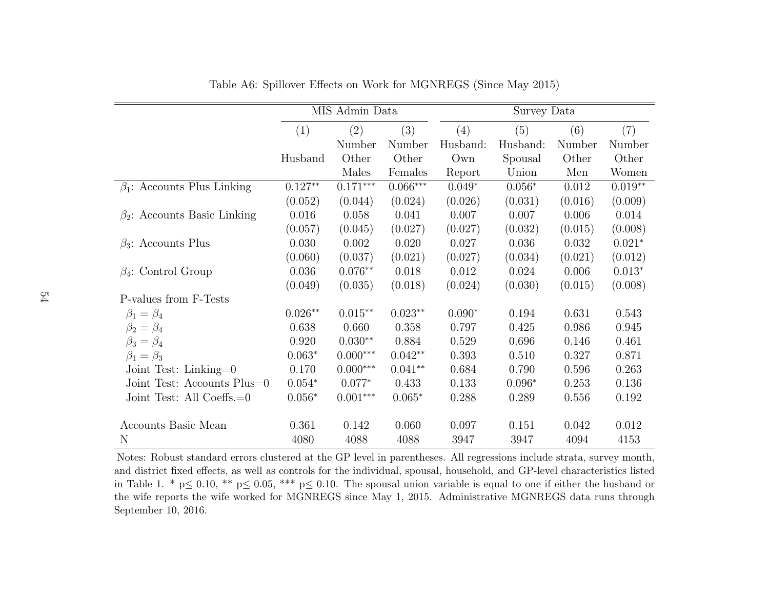|                                    |           | MIS Admin Data |            | Survey Data |          |         |           |  |  |  |
|------------------------------------|-----------|----------------|------------|-------------|----------|---------|-----------|--|--|--|
|                                    | (1)       | (2)            | (3)        | (4)         | (5)      | (6)     | (7)       |  |  |  |
|                                    |           | Number         | Number     | Husband:    | Husband: | Number  | Number    |  |  |  |
|                                    | Husband   | Other          | Other      | Own         | Spousal  | Other   | Other     |  |  |  |
|                                    |           | Males          | Females    | Report      | Union    | Men     | Women     |  |  |  |
| $\beta_1$ : Accounts Plus Linking  | $0.127**$ | $0.171***$     | $0.066***$ | $0.049*$    | $0.056*$ | 0.012   | $0.019**$ |  |  |  |
|                                    | (0.052)   | (0.044)        | (0.024)    | (0.026)     | (0.031)  | (0.016) | (0.009)   |  |  |  |
| $\beta_2$ : Accounts Basic Linking | 0.016     | 0.058          | 0.041      | 0.007       | 0.007    | 0.006   | 0.014     |  |  |  |
|                                    | (0.057)   | (0.045)        | (0.027)    | (0.027)     | (0.032)  | (0.015) | (0.008)   |  |  |  |
| $\beta_3$ : Accounts Plus          | 0.030     | 0.002          | 0.020      | 0.027       | 0.036    | 0.032   | $0.021*$  |  |  |  |
|                                    | (0.060)   | (0.037)        | (0.021)    | (0.027)     | (0.034)  | (0.021) | (0.012)   |  |  |  |
| $\beta_4$ : Control Group          | 0.036     | $0.076**$      | 0.018      | 0.012       | 0.024    | 0.006   | $0.013*$  |  |  |  |
|                                    | (0.049)   | (0.035)        | (0.018)    | (0.024)     | (0.030)  | (0.015) | (0.008)   |  |  |  |
| P-values from F-Tests              |           |                |            |             |          |         |           |  |  |  |
| $\beta_1 = \beta_4$                | $0.026**$ | $0.015**$      | $0.023**$  | $0.090*$    | 0.194    | 0.631   | 0.543     |  |  |  |
| $\beta_2=\beta_4$                  | 0.638     | 0.660          | 0.358      | 0.797       | 0.425    | 0.986   | 0.945     |  |  |  |
| $\beta_3 = \beta_4$                | 0.920     | $0.030**$      | 0.884      | 0.529       | 0.696    | 0.146   | 0.461     |  |  |  |
| $\beta_1=\beta_3$                  | $0.063*$  | $0.000***$     | $0.042**$  | 0.393       | 0.510    | 0.327   | 0.871     |  |  |  |
| Joint Test: Linking= $0$           | 0.170     | $0.000***$     | $0.041**$  | 0.684       | 0.790    | 0.596   | 0.263     |  |  |  |
| Joint Test: Accounts Plus=0        | $0.054*$  | $0.077*$       | 0.433      | 0.133       | $0.096*$ | 0.253   | 0.136     |  |  |  |
| Joint Test: All Coeffs.=0          | $0.056*$  | $0.001***$     | $0.065*$   | 0.288       | 0.289    | 0.556   | 0.192     |  |  |  |
|                                    |           |                |            |             |          |         |           |  |  |  |
| Accounts Basic Mean                | 0.361     | 0.142          | 0.060      | 0.097       | 0.151    | 0.042   | 0.012     |  |  |  |
| N                                  | 4080      | 4088           | 4088       | 3947        | 3947     | 4094    | 4153      |  |  |  |

Table A6: Spillover Effects on Work for MGNREGS (Since May 2015)

Notes: Robust standard errors clustered at the GP level in parentheses. All regressions include strata, survey month, and district fixed effects, as well as controls for the individual, spousal, household, and GP-level characteristics listedin Table 1. \*  $p \leq 0.10$ , \*\*  $p \leq 0.05$ , \*\*\*  $p \leq 0.10$ . The spousal union variable is equal to one if either the husband or the wife reports the wife worked for MGNREGS since May 1, 2015. Administrative MGNREGS data runs throughSeptember 10, 2016.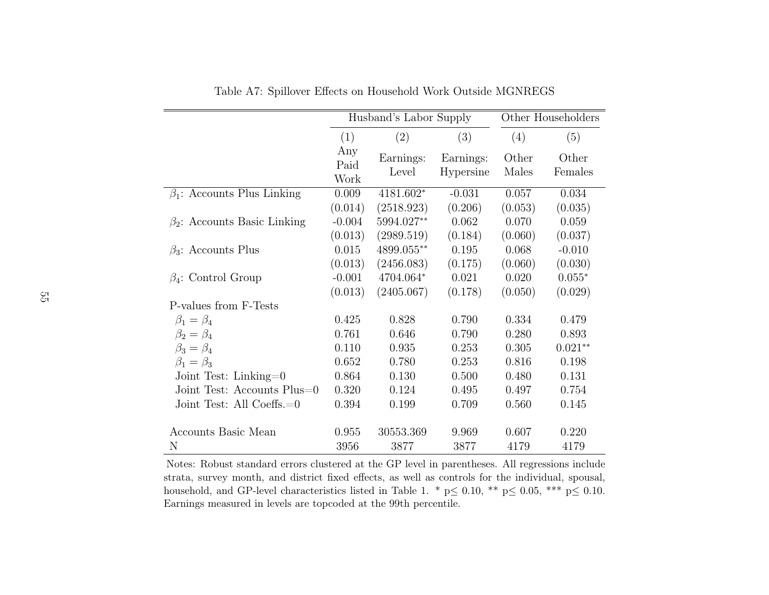|                                    |                     | Husband's Labor Supply |                        | Other Householders |                  |
|------------------------------------|---------------------|------------------------|------------------------|--------------------|------------------|
|                                    | (1)                 | (2)                    | (3)                    | (4)                | (5)              |
|                                    | Any<br>Paid<br>Work | Earnings:<br>Level     | Earnings:<br>Hypersine | Other<br>Males     | Other<br>Females |
| $\beta_1$ : Accounts Plus Linking  | 0.009               | 4181.602*              | $-0.031$               | 0.057              | 0.034            |
|                                    | (0.014)             | (2518.923)             | (0.206)                | (0.053)            | (0.035)          |
| $\beta_2$ : Accounts Basic Linking | $-0.004$            | 5994.027**             | 0.062                  | 0.070              | 0.059            |
|                                    | (0.013)             | (2989.519)             | (0.184)                | (0.060)            | (0.037)          |
| $\beta_3$ : Accounts Plus          | 0.015               | 4899.055**             | 0.195                  | 0.068              | $-0.010$         |
|                                    | (0.013)             | (2456.083)             | (0.175)                | (0.060)            | (0.030)          |
| $\beta_4$ : Control Group          | $-0.001$            | 4704.064*              | 0.021                  | 0.020              | $0.055*$         |
|                                    | (0.013)             | (2405.067)             | (0.178)                | (0.050)            | (0.029)          |
| P-values from F-Tests              |                     |                        |                        |                    |                  |
| $\beta_1 = \beta_4$                | 0.425               | 0.828                  | 0.790                  | 0.334              | 0.479            |
| $\beta_2=\beta_4$                  | 0.761               | 0.646                  | 0.790                  | 0.280              | 0.893            |
| $\beta_3 = \beta_4$                | 0.110               | 0.935                  | 0.253                  | 0.305              | $0.021**$        |
| $\beta_1 = \beta_3$                | 0.652               | 0.780                  | 0.253                  | 0.816              | 0.198            |
| Joint Test: Linking= $0$           | 0.864               | 0.130                  | 0.500                  | 0.480              | 0.131            |
| Joint Test: Accounts Plus=0        | 0.320               | 0.124                  | 0.495                  | 0.497              | 0.754            |
| Joint Test: All Coeffs.=0          | 0.394               | 0.199                  | 0.709                  | 0.560              | 0.145            |
| Accounts Basic Mean                | 0.955               | 30553.369              | 9.969                  | 0.607              | 0.220            |
| N                                  | 3956                | 3877                   | 3877                   | 4179               | 4179             |

Table A7: Spillover Effects on Household Work Outside MGNREGS

<span id="page-55-0"></span>Notes: Robust standard errors clustered at the GP level in parentheses. All regressions include strata, survey month, and district fixed effects, as well as controls for the individual, spousal,household, and GP-level characteristics listed in Table 1. \*  $p \leq 0.10$ , \*\*  $p \leq 0.05$ , \*\*\*  $p \leq 0.10$ . Earnings measured in levels are topcoded at the 99th percentile.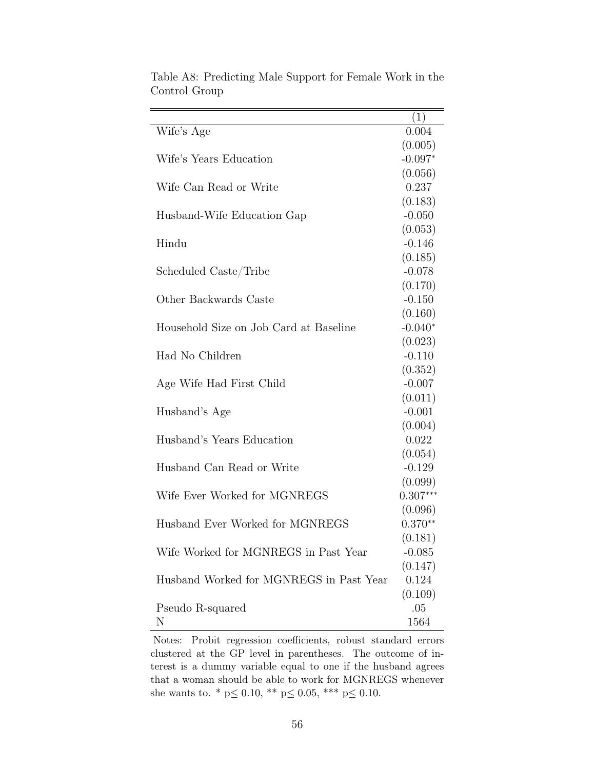|                                         | (1)                 |
|-----------------------------------------|---------------------|
| Wife's Age                              | 0.004               |
|                                         | (0.005)             |
| Wife's Years Education                  | $-0.097*$           |
|                                         | (0.056)             |
| Wife Can Read or Write                  | 0.237               |
|                                         | (0.183)             |
| Husband-Wife Education Gap              | $-0.050$            |
|                                         | (0.053)             |
| Hindu                                   | $-0.146$            |
|                                         | (0.185)             |
| Scheduled Caste/Tribe                   | $-0.078$            |
|                                         | (0.170)             |
| Other Backwards Caste                   | $-0.150$            |
|                                         | (0.160)             |
| Household Size on Job Card at Baseline  | $-0.040*$           |
|                                         | (0.023)             |
| Had No Children                         | $-0.110$            |
|                                         | (0.352)             |
| Age Wife Had First Child                | $-0.007$            |
|                                         | (0.011)<br>$-0.001$ |
| Husband's Age                           | (0.004)             |
| Husband's Years Education               | 0.022               |
|                                         | (0.054)             |
| Husband Can Read or Write               | $-0.129$            |
|                                         | (0.099)             |
| Wife Ever Worked for MGNREGS            | $0.307***$          |
|                                         | (0.096)             |
| Husband Ever Worked for MGNREGS         | $0.370**$           |
|                                         | (0.181)             |
| Wife Worked for MGNREGS in Past Year    | $-0.085$            |
|                                         | (0.147)             |
| Husband Worked for MGNREGS in Past Year | 0.124               |
|                                         | (0.109)             |
| Pseudo R-squared                        | .05                 |
| N                                       | 1564                |

<span id="page-56-0"></span>Table A8: Predicting Male Support for Female Work in the Control Group

Notes: Probit regression coefficients, robust standard errors clustered at the GP level in parentheses. The outcome of interest is a dummy variable equal to one if the husband agrees that a woman should be able to work for MGNREGS whenever she wants to. \*  $p \le 0.10$ , \*\*  $p \le 0.05$ , \*\*\*  $p \le 0.10$ .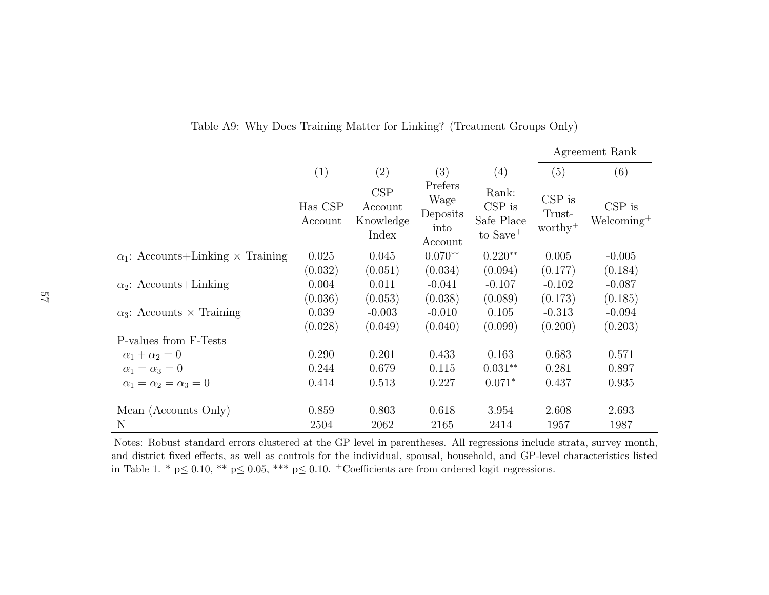|                                          |                    |                                      |                                                |                                                         |                                           | Agreement Rank            |
|------------------------------------------|--------------------|--------------------------------------|------------------------------------------------|---------------------------------------------------------|-------------------------------------------|---------------------------|
|                                          | (1)                | (2)                                  | (3)                                            | (4)                                                     | (5)                                       | (6)                       |
|                                          | Has CSP<br>Account | CSP<br>Account<br>Knowledge<br>Index | Prefers<br>Wage<br>Deposits<br>into<br>Account | Rank:<br>$CSP$ is<br>Safe Place<br>to Save <sup>+</sup> | $CSP$ is<br>Trust-<br>$\mathrm{worthy}^+$ | $CSP$ is<br>$Welcoming^+$ |
| $\alpha_1$ : Accounts+Linking × Training | 0.025              | 0.045                                | $0.070**$                                      | $0.220**$                                               | 0.005                                     | $-0.005$                  |
|                                          | (0.032)            | (0.051)                              | (0.034)                                        | (0.094)                                                 | (0.177)                                   | (0.184)                   |
| $\alpha_2$ : Accounts+Linking            | 0.004              | 0.011                                | $-0.041$                                       | $-0.107$                                                | $-0.102$                                  | $-0.087$                  |
|                                          | (0.036)            | (0.053)                              | (0.038)                                        | (0.089)                                                 | (0.173)                                   | (0.185)                   |
| $\alpha_3$ : Accounts $\times$ Training  | 0.039              | $-0.003$                             | $-0.010$                                       | 0.105                                                   | $-0.313$                                  | $-0.094$                  |
|                                          | (0.028)            | (0.049)                              | (0.040)                                        | (0.099)                                                 | (0.200)                                   | (0.203)                   |
| P-values from F-Tests                    |                    |                                      |                                                |                                                         |                                           |                           |
| $\alpha_1 + \alpha_2 = 0$                | 0.290              | 0.201                                | 0.433                                          | 0.163                                                   | 0.683                                     | 0.571                     |
| $\alpha_1=\alpha_3=0$                    | 0.244              | 0.679                                | 0.115                                          | $0.031**$                                               | 0.281                                     | 0.897                     |
| $\alpha_1=\alpha_2=\alpha_3=0$           | 0.414              | 0.513                                | 0.227                                          | $0.071*$                                                | 0.437                                     | 0.935                     |
|                                          |                    |                                      |                                                |                                                         |                                           |                           |
| Mean (Accounts Only)                     | 0.859              | 0.803                                | 0.618                                          | 3.954                                                   | 2.608                                     | 2.693                     |
| N                                        | 2504               | 2062                                 | 2165                                           | 2414                                                    | 1957                                      | 1987                      |

<span id="page-57-0"></span>Table A9: Why Does Training Matter for Linking? (Treatment Groups Only)

Notes: Robust standard errors clustered at the GP level in parentheses. All regressions include strata, survey month, and district fixed effects, as well as controls for the individual, spousal, household, and GP-level characteristics listedin Table 1. \*  $p \le 0.10$ , \*\*  $p \le 0.05$ , \*\*\*  $p \le 0.10$ . + Coefficients are from ordered logit regressions.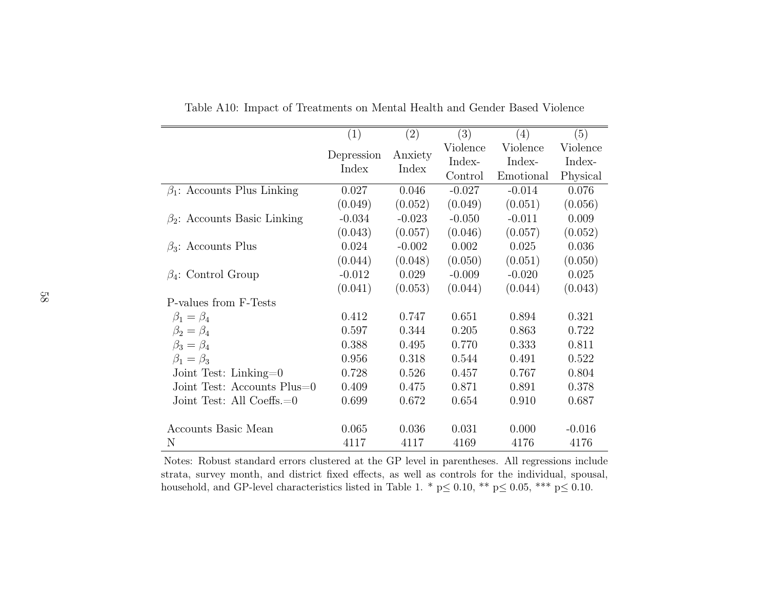|                                    | (1)        | $\left( 2\right)$ | (3)      | (4)       | (5)      |
|------------------------------------|------------|-------------------|----------|-----------|----------|
|                                    |            |                   | Violence | Violence  | Violence |
|                                    | Depression | Anxiety           | Index-   | Index-    | Index-   |
|                                    | Index      | Index             | Control  | Emotional | Physical |
| $\beta_1$ : Accounts Plus Linking  | 0.027      | 0.046             | $-0.027$ | $-0.014$  | 0.076    |
|                                    | (0.049)    | (0.052)           | (0.049)  | (0.051)   | (0.056)  |
| $\beta_2$ : Accounts Basic Linking | $-0.034$   | $-0.023$          | $-0.050$ | $-0.011$  | 0.009    |
|                                    | (0.043)    | (0.057)           | (0.046)  | (0.057)   | (0.052)  |
| $\beta_3$ : Accounts Plus          | 0.024      | $-0.002$          | 0.002    | 0.025     | 0.036    |
|                                    | (0.044)    | (0.048)           | (0.050)  | (0.051)   | (0.050)  |
| $\beta_4$ : Control Group          | $-0.012$   | 0.029             | $-0.009$ | $-0.020$  | 0.025    |
|                                    | (0.041)    | (0.053)           | (0.044)  | (0.044)   | (0.043)  |
| P-values from F-Tests              |            |                   |          |           |          |
| $\beta_1=\beta_4$                  | 0.412      | 0.747             | 0.651    | 0.894     | 0.321    |
| $\beta_2 = \beta_4$                | 0.597      | 0.344             | 0.205    | 0.863     | 0.722    |
| $\beta_3 = \beta_4$                | 0.388      | 0.495             | 0.770    | 0.333     | 0.811    |
| $\beta_1 = \beta_3$                | 0.956      | 0.318             | 0.544    | 0.491     | 0.522    |
| Joint Test: Linking=0              | 0.728      | 0.526             | 0.457    | 0.767     | 0.804    |
| Joint Test: Accounts Plus=0        | 0.409      | 0.475             | 0.871    | 0.891     | 0.378    |
| Joint Test: All Coeffs. $=0$       | 0.699      | 0.672             | 0.654    | 0.910     | 0.687    |
|                                    |            |                   |          |           |          |
| Accounts Basic Mean                | 0.065      | 0.036             | 0.031    | 0.000     | $-0.016$ |
| N                                  | 4117       | 4117              | 4169     | 4176      | 4176     |

<span id="page-58-0"></span>Table A10: Impact of Treatments on Mental Health and Gender Based Violence

Notes: Robust standard errors clustered at the GP level in parentheses. All regressions includestrata, survey month, and district fixed effects, as well as controls for the individual, spousal, household, and GP-level characteristics listed in Table 1. \*  $p \le 0.10$ , \*\*  $p \le 0.05$ , \*\*\*  $p \le 0.10$ . 0.10.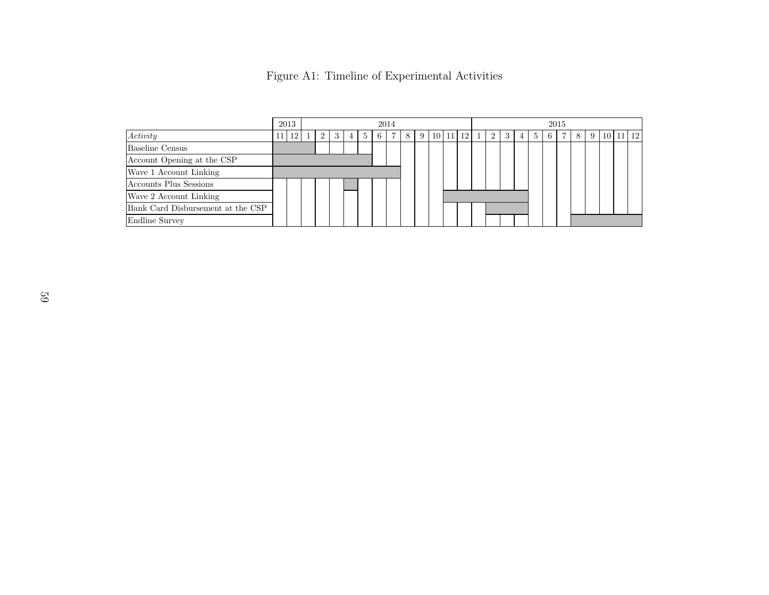|                                   | 2013<br>2014 |  |          |   |   |    |   |  | 2015 |                |  |          |  |   |   |   |   |    |  |    |   |  |       |                 |
|-----------------------------------|--------------|--|----------|---|---|----|---|--|------|----------------|--|----------|--|---|---|---|---|----|--|----|---|--|-------|-----------------|
| Activity                          | 12           |  | $\Omega$ | 3 | 4 | -5 | 6 |  | -8 L | 9 <sup>1</sup> |  | 10 11 12 |  | 2 | 3 | 4 | 5 | -6 |  | -8 | 9 |  | 10 11 | 12 <sup>1</sup> |
| Baseline Census                   |              |  |          |   |   |    |   |  |      |                |  |          |  |   |   |   |   |    |  |    |   |  |       |                 |
| Account Opening at the CSP        |              |  |          |   |   |    |   |  |      |                |  |          |  |   |   |   |   |    |  |    |   |  |       |                 |
| Wave 1 Account Linking            |              |  |          |   |   |    |   |  |      |                |  |          |  |   |   |   |   |    |  |    |   |  |       |                 |
| Accounts Plus Sessions            |              |  |          |   |   |    |   |  |      |                |  |          |  |   |   |   |   |    |  |    |   |  |       |                 |
| Wave 2 Account Linking            |              |  |          |   |   |    |   |  |      |                |  |          |  |   |   |   |   |    |  |    |   |  |       |                 |
| Bank Card Disbursement at the CSP |              |  |          |   |   |    |   |  |      |                |  |          |  |   |   |   |   |    |  |    |   |  |       |                 |
| Endline Survey                    |              |  |          |   |   |    |   |  |      |                |  |          |  |   |   |   |   |    |  |    |   |  |       |                 |

<span id="page-59-0"></span>

|  | Figure A1: Timeline of Experimental Activities |  |
|--|------------------------------------------------|--|
|  |                                                |  |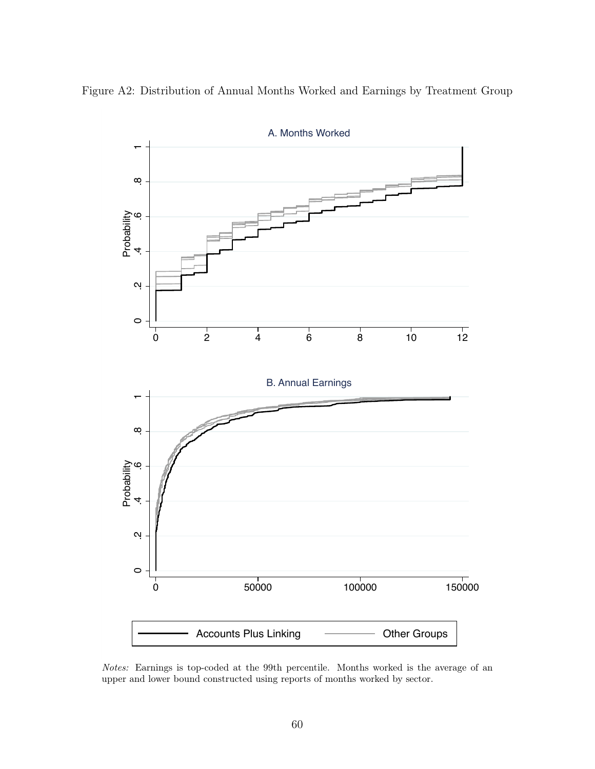<span id="page-60-0"></span>



Notes: Earnings is top-coded at the 99th percentile. Months worked is the average of an upper and lower bound constructed using reports of months worked by sector.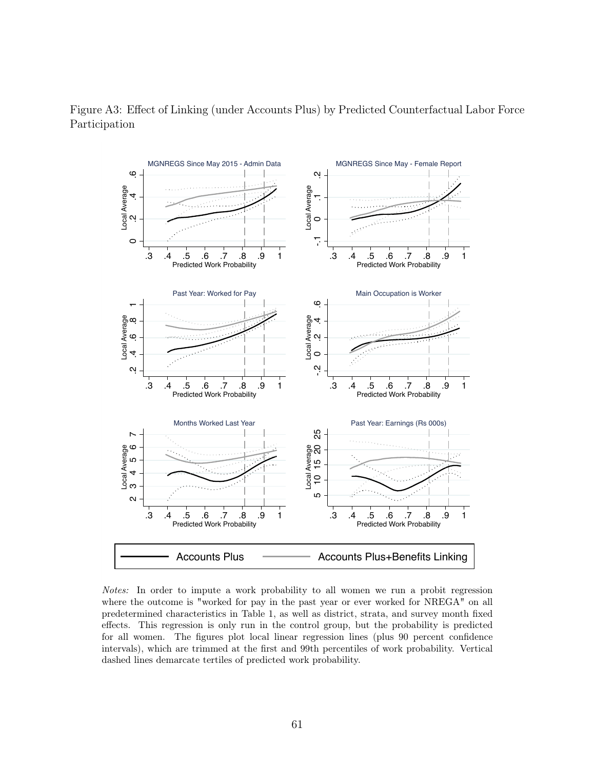

<span id="page-61-0"></span>Figure A3: Effect of Linking (under Accounts Plus) by Predicted Counterfactual Labor Force Participation

Notes: In order to impute a work probability to all women we run a probit regression where the outcome is "worked for pay in the past year or ever worked for NREGA" on all predetermined characteristics in Table 1, as well as district, strata, and survey month fixed effects. This regression is only run in the control group, but the probability is predicted for all women. The figures plot local linear regression lines (plus 90 percent confidence intervals), which are trimmed at the first and 99th percentiles of work probability. Vertical dashed lines demarcate tertiles of predicted work probability.